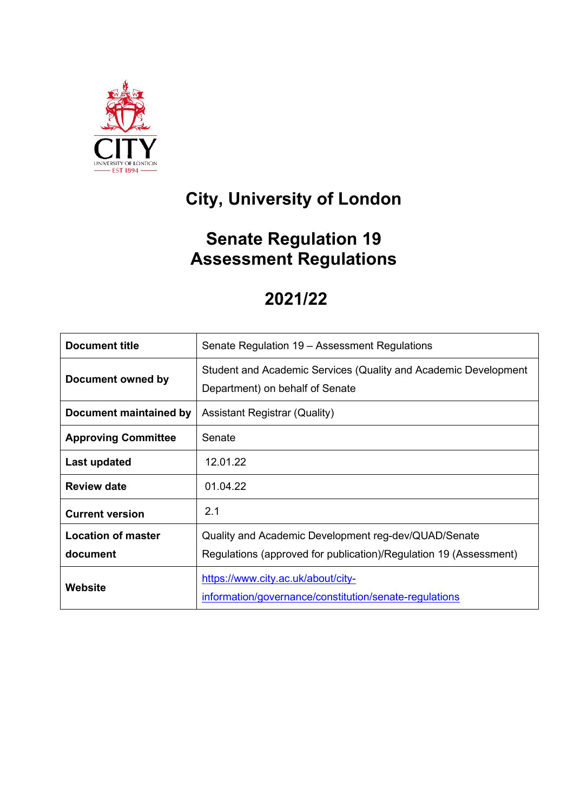

# **City, University of London**

## **Senate Regulation 19 Assessment Regulations**

## **2021/22**

| <b>Document title</b>      | Senate Regulation 19 - Assessment Regulations                                                      |  |
|----------------------------|----------------------------------------------------------------------------------------------------|--|
| Document owned by          | Student and Academic Services (Quality and Academic Development<br>Department) on behalf of Senate |  |
| Document maintained by     | <b>Assistant Registrar (Quality)</b>                                                               |  |
| <b>Approving Committee</b> | Senate                                                                                             |  |
| Last updated               | 12.01.22                                                                                           |  |
| <b>Review date</b>         | 01.04.22                                                                                           |  |
| <b>Current version</b>     | 2.1                                                                                                |  |
| <b>Location of master</b>  | Quality and Academic Development reg-dev/QUAD/Senate                                               |  |
| document                   | Regulations (approved for publication)/Regulation 19 (Assessment)                                  |  |
| <b>Website</b>             | https://www.city.ac.uk/about/city-<br>information/governance/constitution/senate-regulations       |  |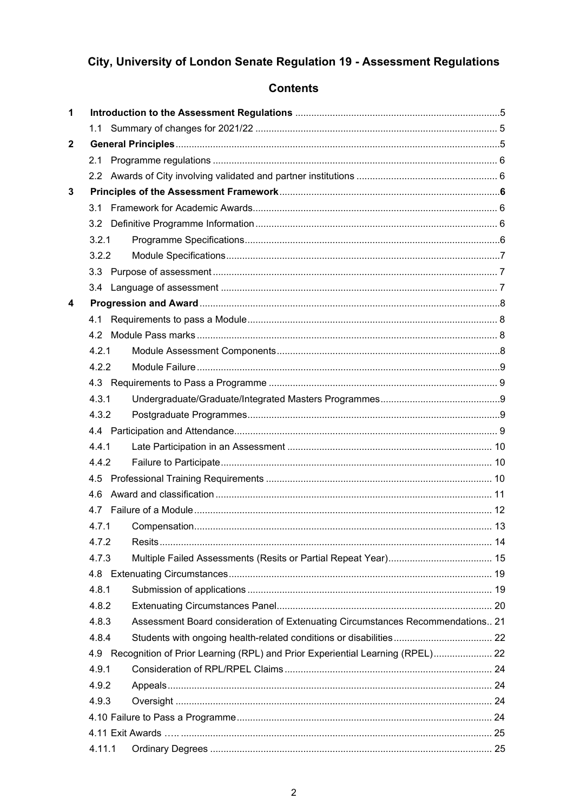## City, University of London Senate Regulation 19 - Assessment Regulations

## **Contents**

| 1            |        |                                                                                |  |
|--------------|--------|--------------------------------------------------------------------------------|--|
|              |        |                                                                                |  |
| $\mathbf{2}$ |        |                                                                                |  |
|              | 2.1    |                                                                                |  |
|              |        |                                                                                |  |
| 3            |        |                                                                                |  |
|              | 3.1    |                                                                                |  |
|              |        |                                                                                |  |
|              | 3.2.1  |                                                                                |  |
|              | 3.2.2  |                                                                                |  |
|              |        |                                                                                |  |
|              |        |                                                                                |  |
| 4            |        |                                                                                |  |
|              | 4.1    |                                                                                |  |
|              |        |                                                                                |  |
|              | 4.2.1  |                                                                                |  |
|              | 4.2.2  |                                                                                |  |
|              |        |                                                                                |  |
|              | 4.3.1  |                                                                                |  |
|              | 4.3.2  |                                                                                |  |
|              |        |                                                                                |  |
|              | 4.4.1  |                                                                                |  |
|              | 4.4.2  |                                                                                |  |
|              |        |                                                                                |  |
|              | 4.6    |                                                                                |  |
|              | 4.7    |                                                                                |  |
|              | 4.7.1  |                                                                                |  |
|              | 4.7.2  |                                                                                |  |
|              | 4.7.3  |                                                                                |  |
|              | 4.8    |                                                                                |  |
|              | 4.8.1  |                                                                                |  |
|              | 4.8.2  |                                                                                |  |
|              | 4.8.3  | Assessment Board consideration of Extenuating Circumstances Recommendations 21 |  |
|              | 4.8.4  |                                                                                |  |
|              | 4.9    | Recognition of Prior Learning (RPL) and Prior Experiential Learning (RPEL) 22  |  |
|              | 4.9.1  |                                                                                |  |
|              | 4.9.2  |                                                                                |  |
|              | 4.9.3  |                                                                                |  |
|              |        |                                                                                |  |
|              |        |                                                                                |  |
|              | 4.11.1 |                                                                                |  |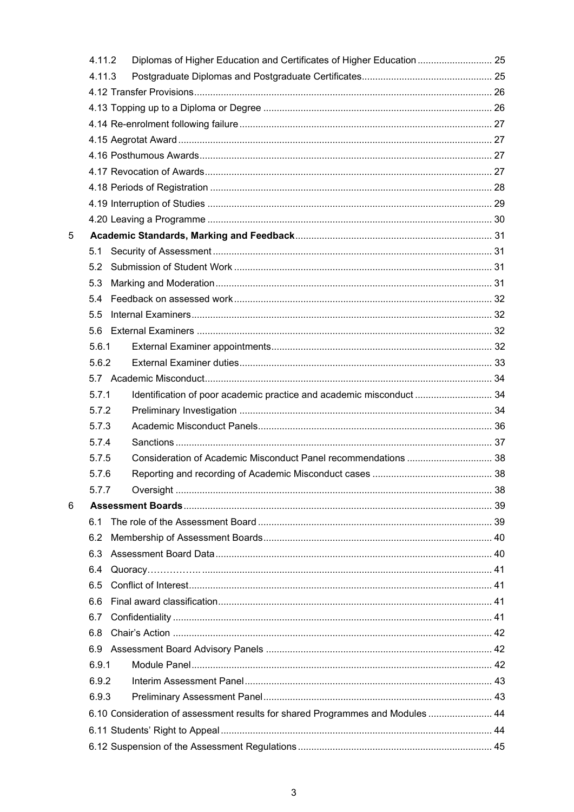|   | 4.11.2 | Diplomas of Higher Education and Certificates of Higher Education  25          |  |
|---|--------|--------------------------------------------------------------------------------|--|
|   | 4.11.3 |                                                                                |  |
|   |        |                                                                                |  |
|   |        |                                                                                |  |
|   |        |                                                                                |  |
|   |        |                                                                                |  |
|   |        |                                                                                |  |
|   |        |                                                                                |  |
|   |        |                                                                                |  |
|   |        |                                                                                |  |
|   |        |                                                                                |  |
| 5 |        |                                                                                |  |
|   | 5.1    |                                                                                |  |
|   | 5.2    |                                                                                |  |
|   | 5.3    |                                                                                |  |
|   | 5.4    |                                                                                |  |
|   | 5.5    |                                                                                |  |
|   | 5.6    |                                                                                |  |
|   | 5.6.1  |                                                                                |  |
|   | 5.6.2  |                                                                                |  |
|   |        |                                                                                |  |
|   | 5.7.1  | Identification of poor academic practice and academic misconduct  34           |  |
|   | 5.7.2  |                                                                                |  |
|   | 5.7.3  |                                                                                |  |
|   | 5.7.4  |                                                                                |  |
|   | 5.7.5  | Consideration of Academic Misconduct Panel recommendations  38                 |  |
|   | 5.7.6  |                                                                                |  |
|   | 5.7.7  |                                                                                |  |
| 6 |        |                                                                                |  |
|   | 6.1    |                                                                                |  |
|   | 6.2    |                                                                                |  |
|   | 6.3    |                                                                                |  |
|   | 6.4    |                                                                                |  |
|   | 6.5    |                                                                                |  |
|   | 6.6    |                                                                                |  |
|   | 6.7    |                                                                                |  |
|   | 6.8    |                                                                                |  |
|   | 6.9    |                                                                                |  |
|   | 6.9.1  |                                                                                |  |
|   | 6.9.2  |                                                                                |  |
|   | 6.9.3  |                                                                                |  |
|   |        | 6.10 Consideration of assessment results for shared Programmes and Modules  44 |  |
|   |        |                                                                                |  |
|   |        |                                                                                |  |
|   |        |                                                                                |  |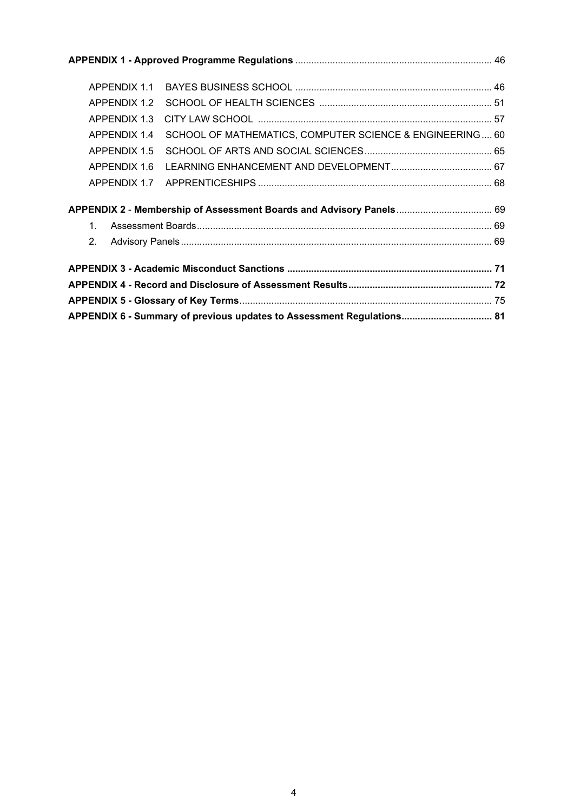| APPENDIX 1.1                                                          |                                                          |  |  |
|-----------------------------------------------------------------------|----------------------------------------------------------|--|--|
| APPENDIX 1.2                                                          |                                                          |  |  |
| APPENDIX 1.3                                                          |                                                          |  |  |
| APPENDIX 1.4                                                          | SCHOOL OF MATHEMATICS, COMPUTER SCIENCE & ENGINEERING 60 |  |  |
| APPFNDIX 1.5                                                          |                                                          |  |  |
| APPENDIX 1.6                                                          |                                                          |  |  |
| APPENDIX 1.7                                                          |                                                          |  |  |
|                                                                       |                                                          |  |  |
| $\mathbf{1}$                                                          |                                                          |  |  |
| 2 <sub>1</sub>                                                        |                                                          |  |  |
|                                                                       |                                                          |  |  |
|                                                                       |                                                          |  |  |
| APPENDIX 6 - Summary of previous updates to Assessment Regulations 81 |                                                          |  |  |
|                                                                       |                                                          |  |  |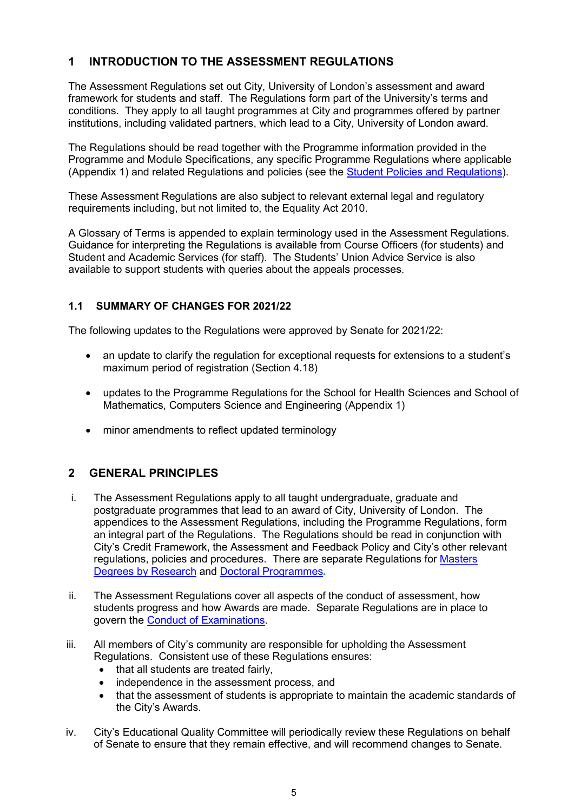## <span id="page-4-0"></span>**1 INTRODUCTION TO THE ASSESSMENT REGULATIONS**

The Assessment Regulations set out City, University of London's assessment and award framework for students and staff. The Regulations form part of the University's terms and conditions. They apply to all taught programmes at City and programmes offered by partner institutions, including validated partners, which lead to a City, University of London award.

The Regulations should be read together with the Programme information provided in the Programme and Module Specifications, any specific Programme Regulations where applicable (Appendix 1) and related Regulations and policies (see the [Student Policies and Regulations\)](http://www.city.ac.uk/about/education/quality-manual/6-assessment).

These Assessment Regulations are also subject to relevant external legal and regulatory requirements including, but not limited to, the Equality Act 2010.

A Glossary of Terms is appended to explain terminology used in the Assessment Regulations. Guidance for interpreting the Regulations is available from Course Officers (for students) and Student and Academic Services (for staff). The Students' Union Advice Service is also available to support students with queries about the appeals processes.

### <span id="page-4-1"></span>**1.1 SUMMARY OF CHANGES FOR 2021/22**

The following updates to the Regulations were approved by Senate for 2021/22:

- an update to clarify the regulation for exceptional requests for extensions to a student's maximum period of registration (Section 4.18)
- updates to the Programme Regulations for the School for Health Sciences and School of Mathematics, Computers Science and Engineering (Appendix 1)
- minor amendments to reflect updated terminology

## <span id="page-4-2"></span>**2 GENERAL PRINCIPLES**

- i. The Assessment Regulations apply to all taught undergraduate, graduate and postgraduate programmes that lead to an award of City, University of London. The appendices to the Assessment Regulations, including the Programme Regulations, form an integral part of the Regulations. The Regulations should be read in conjunction with City's Credit Framework, the Assessment and Feedback Policy and City's other relevant regulations, policies and procedures. There are separate Regulations for [Masters](https://www.city.ac.uk/__data/assets/pdf_file/0003/531552/Senate_Regulation_23_Masters_Degrees_by_Research_20200602.pdf)  [Degrees by Research](https://www.city.ac.uk/__data/assets/pdf_file/0003/531552/Senate_Regulation_23_Masters_Degrees_by_Research_20200602.pdf) and [Doctoral Programmes](https://www.city.ac.uk/__data/assets/pdf_file/0003/334740/Senate_Regulation_24_Doctoral_Programmes.pdf)**.**
- ii. The Assessment Regulations cover all aspects of the conduct of assessment, how students progress and how Awards are made. Separate Regulations are in place to govern the [Conduct of Examinations.](http://www.city.ac.uk/__data/assets/pdf_file/0004/201577/Senate_Regulation_11_Conduct_of_Examinations-20130923.pdf)
- iii. All members of City's community are responsible for upholding the Assessment Regulations. Consistent use of these Regulations ensures:
	- that all students are treated fairly,
	- independence in the assessment process, and
	- that the assessment of students is appropriate to maintain the academic standards of the City's Awards.
- iv. City's Educational Quality Committee will periodically review these Regulations on behalf of Senate to ensure that they remain effective, and will recommend changes to Senate.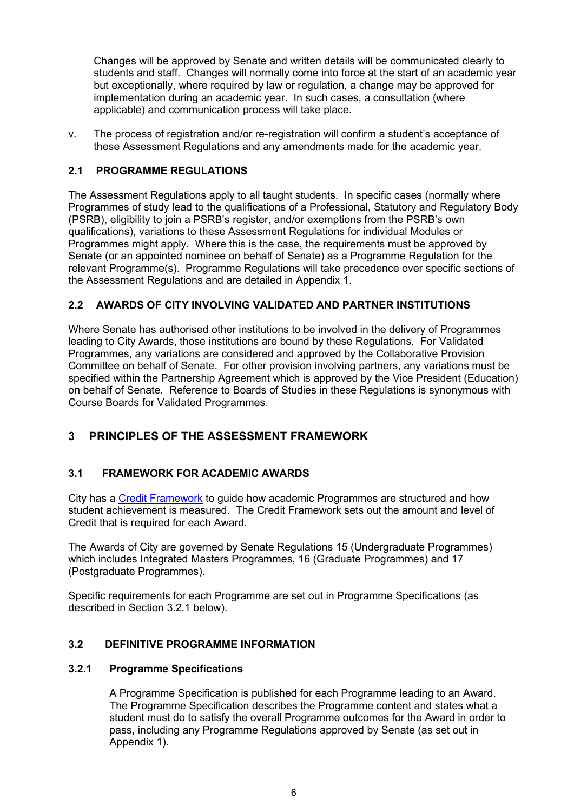Changes will be approved by Senate and written details will be communicated clearly to students and staff. Changes will normally come into force at the start of an academic year but exceptionally, where required by law or regulation, a change may be approved for implementation during an academic year. In such cases, a consultation (where applicable) and communication process will take place.

v. The process of registration and/or re-registration will confirm a student's acceptance of these Assessment Regulations and any amendments made for the academic year.

### <span id="page-5-0"></span>**2.1 PROGRAMME REGULATIONS**

The Assessment Regulations apply to all taught students. In specific cases (normally where Programmes of study lead to the qualifications of a Professional, Statutory and Regulatory Body (PSRB), eligibility to join a PSRB's register, and/or exemptions from the PSRB's own qualifications), variations to these Assessment Regulations for individual Modules or Programmes might apply. Where this is the case, the requirements must be approved by Senate (or an appointed nominee on behalf of Senate) as a Programme Regulation for the relevant Programme(s). Programme Regulations will take precedence over specific sections of the Assessment Regulations and are detailed in Appendix 1.

### <span id="page-5-1"></span>**2.2 AWARDS OF CITY INVOLVING VALIDATED AND PARTNER INSTITUTIONS**

Where Senate has authorised other institutions to be involved in the delivery of Programmes leading to City Awards, those institutions are bound by these Regulations. For Validated Programmes, any variations are considered and approved by the Collaborative Provision Committee on behalf of Senate. For other provision involving partners, any variations must be specified within the Partnership Agreement which is approved by the Vice President (Education) on behalf of Senate. Reference to Boards of Studies in these Regulations is synonymous with Course Boards for Validated Programmes.

## <span id="page-5-2"></span>**3 PRINCIPLES OF THE ASSESSMENT FRAMEWORK**

### <span id="page-5-3"></span>**3.1 FRAMEWORK FOR ACADEMIC AWARDS**

City has a [Credit Framework](https://www.city.ac.uk/__data/assets/pdf_file/0008/386432/Credit_framework.pdf) to guide how academic Programmes are structured and how student achievement is measured. The Credit Framework sets out the amount and level of Credit that is required for each Award.

The Awards of City are governed by Senate Regulations 15 (Undergraduate Programmes) which includes Integrated Masters Programmes, 16 (Graduate Programmes) and 17 (Postgraduate Programmes).

Specific requirements for each Programme are set out in Programme Specifications (as described in Section 3.2.1 below).

#### <span id="page-5-4"></span>**3.2 DEFINITIVE PROGRAMME INFORMATION**

#### <span id="page-5-5"></span>**3.2.1 Programme Specifications**

A Programme Specification is published for each Programme leading to an Award. The Programme Specification describes the Programme content and states what a student must do to satisfy the overall Programme outcomes for the Award in order to pass, including any Programme Regulations approved by Senate (as set out in Appendix 1).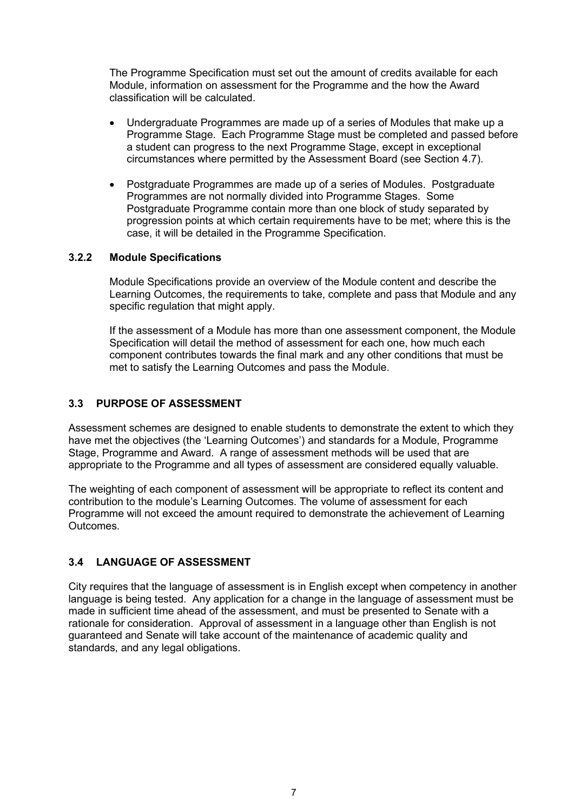The Programme Specification must set out the amount of credits available for each Module, information on assessment for the Programme and the how the Award classification will be calculated.

- Undergraduate Programmes are made up of a series of Modules that make up a Programme Stage. Each Programme Stage must be completed and passed before a student can progress to the next Programme Stage, except in exceptional circumstances where permitted by the Assessment Board (see Section 4.7).
- Postgraduate Programmes are made up of a series of Modules. Postgraduate Programmes are not normally divided into Programme Stages. Some Postgraduate Programme contain more than one block of study separated by progression points at which certain requirements have to be met; where this is the case, it will be detailed in the Programme Specification.

#### <span id="page-6-0"></span>**3.2.2 Module Specifications**

Module Specifications provide an overview of the Module content and describe the Learning Outcomes, the requirements to take, complete and pass that Module and any specific regulation that might apply.

If the assessment of a Module has more than one assessment component, the Module Specification will detail the method of assessment for each one, how much each component contributes towards the final mark and any other conditions that must be met to satisfy the Learning Outcomes and pass the Module.

#### <span id="page-6-1"></span>**3.3 PURPOSE OF ASSESSMENT**

Assessment schemes are designed to enable students to demonstrate the extent to which they have met the objectives (the 'Learning Outcomes') and standards for a Module, Programme Stage, Programme and Award. A range of assessment methods will be used that are appropriate to the Programme and all types of assessment are considered equally valuable.

The weighting of each component of assessment will be appropriate to reflect its content and contribution to the module's Learning Outcomes. The volume of assessment for each Programme will not exceed the amount required to demonstrate the achievement of Learning Outcomes.

### <span id="page-6-2"></span>**3.4 LANGUAGE OF ASSESSMENT**

City requires that the language of assessment is in English except when competency in another language is being tested. Any application for a change in the language of assessment must be made in sufficient time ahead of the assessment, and must be presented to Senate with a rationale for consideration. Approval of assessment in a language other than English is not guaranteed and Senate will take account of the maintenance of academic quality and standards, and any legal obligations.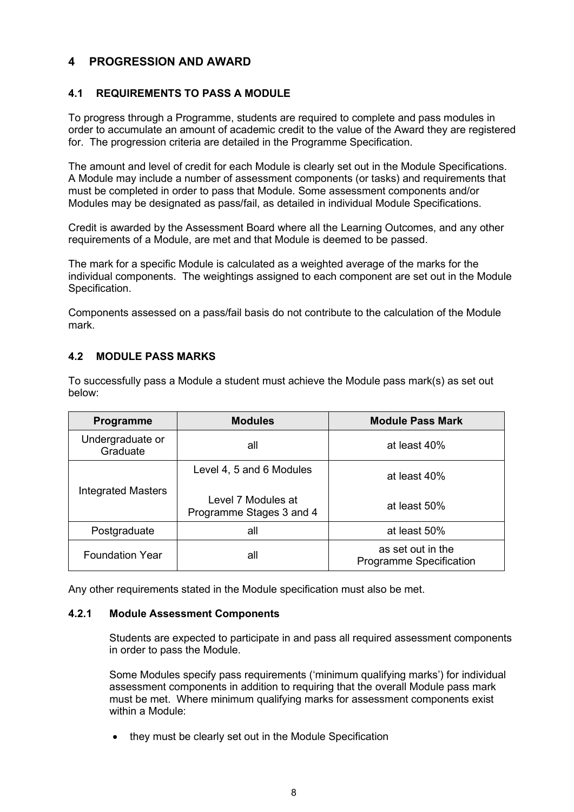## <span id="page-7-0"></span>**4 PROGRESSION AND AWARD**

#### <span id="page-7-1"></span>**4.1 REQUIREMENTS TO PASS A MODULE**

To progress through a Programme, students are required to complete and pass modules in order to accumulate an amount of academic credit to the value of the Award they are registered for. The progression criteria are detailed in the Programme Specification.

The amount and level of credit for each Module is clearly set out in the Module Specifications. A Module may include a number of assessment components (or tasks) and requirements that must be completed in order to pass that Module. Some assessment components and/or Modules may be designated as pass/fail, as detailed in individual Module Specifications.

Credit is awarded by the Assessment Board where all the Learning Outcomes, and any other requirements of a Module, are met and that Module is deemed to be passed.

The mark for a specific Module is calculated as a weighted average of the marks for the individual components. The weightings assigned to each component are set out in the Module Specification.

Components assessed on a pass/fail basis do not contribute to the calculation of the Module mark.

### <span id="page-7-2"></span>**4.2 MODULE PASS MARKS**

To successfully pass a Module a student must achieve the Module pass mark(s) as set out below:

| Programme                     | <b>Modules</b>                                 | <b>Module Pass Mark</b>                             |  |
|-------------------------------|------------------------------------------------|-----------------------------------------------------|--|
| Undergraduate or<br>Graduate  | all                                            | at least 40%                                        |  |
|                               | Level 4, 5 and 6 Modules                       | at least 40%                                        |  |
| <b>Integrated Masters</b>     | Level 7 Modules at<br>Programme Stages 3 and 4 | at least 50%                                        |  |
| Postgraduate                  | all                                            | at least 50%                                        |  |
| <b>Foundation Year</b><br>all |                                                | as set out in the<br><b>Programme Specification</b> |  |

Any other requirements stated in the Module specification must also be met.

#### <span id="page-7-3"></span>**4.2.1 Module Assessment Components**

Students are expected to participate in and pass all required assessment components in order to pass the Module.

Some Modules specify pass requirements ('minimum qualifying marks') for individual assessment components in addition to requiring that the overall Module pass mark must be met. Where minimum qualifying marks for assessment components exist within a Module:

• they must be clearly set out in the Module Specification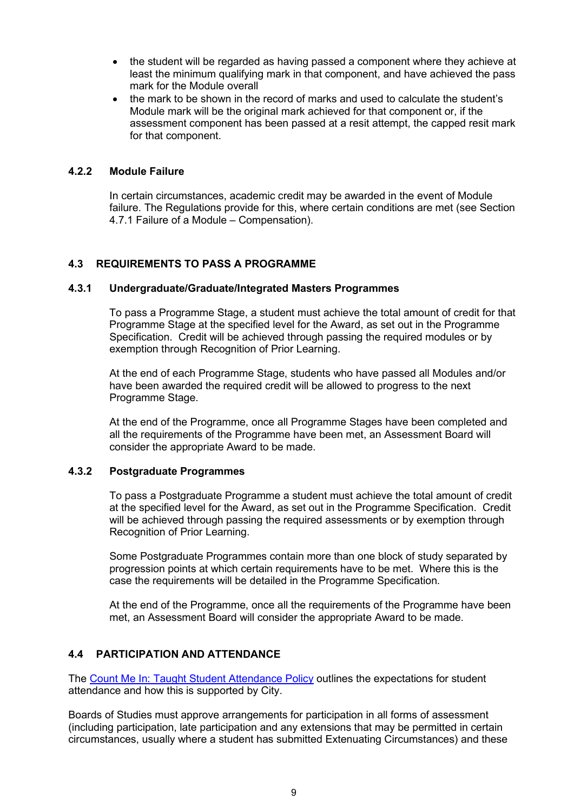- the student will be regarded as having passed a component where they achieve at least the minimum qualifying mark in that component, and have achieved the pass mark for the Module overall
- the mark to be shown in the record of marks and used to calculate the student's Module mark will be the original mark achieved for that component or, if the assessment component has been passed at a resit attempt, the capped resit mark for that component.

#### <span id="page-8-0"></span>**4.2.2 Module Failure**

In certain circumstances, academic credit may be awarded in the event of Module failure. The Regulations provide for this, where certain conditions are met (see Section 4.7.1 Failure of a Module – Compensation).

#### <span id="page-8-1"></span>**4.3 REQUIREMENTS TO PASS A PROGRAMME**

#### <span id="page-8-2"></span>**4.3.1 Undergraduate/Graduate/Integrated Masters Programmes**

To pass a Programme Stage, a student must achieve the total amount of credit for that Programme Stage at the specified level for the Award, as set out in the Programme Specification. Credit will be achieved through passing the required modules or by exemption through Recognition of Prior Learning.

At the end of each Programme Stage, students who have passed all Modules and/or have been awarded the required credit will be allowed to progress to the next Programme Stage.

At the end of the Programme, once all Programme Stages have been completed and all the requirements of the Programme have been met, an Assessment Board will consider the appropriate Award to be made.

#### <span id="page-8-3"></span>**4.3.2 Postgraduate Programmes**

To pass a Postgraduate Programme a student must achieve the total amount of credit at the specified level for the Award, as set out in the Programme Specification. Credit will be achieved through passing the required assessments or by exemption through Recognition of Prior Learning.

Some Postgraduate Programmes contain more than one block of study separated by progression points at which certain requirements have to be met. Where this is the case the requirements will be detailed in the Programme Specification.

At the end of the Programme, once all the requirements of the Programme have been met, an Assessment Board will consider the appropriate Award to be made.

#### <span id="page-8-4"></span>**4.4 PARTICIPATION AND ATTENDANCE**

The [Count Me In: Taught Student Attendance Policy](https://www.city.ac.uk/__data/assets/pdf_file/0010/429472/Count-Me-In-Taught-Student-Attendance-policy.pdf) outlines the expectations for student attendance and how this is supported by City.

Boards of Studies must approve arrangements for participation in all forms of assessment (including participation, late participation and any extensions that may be permitted in certain circumstances, usually where a student has submitted Extenuating Circumstances) and these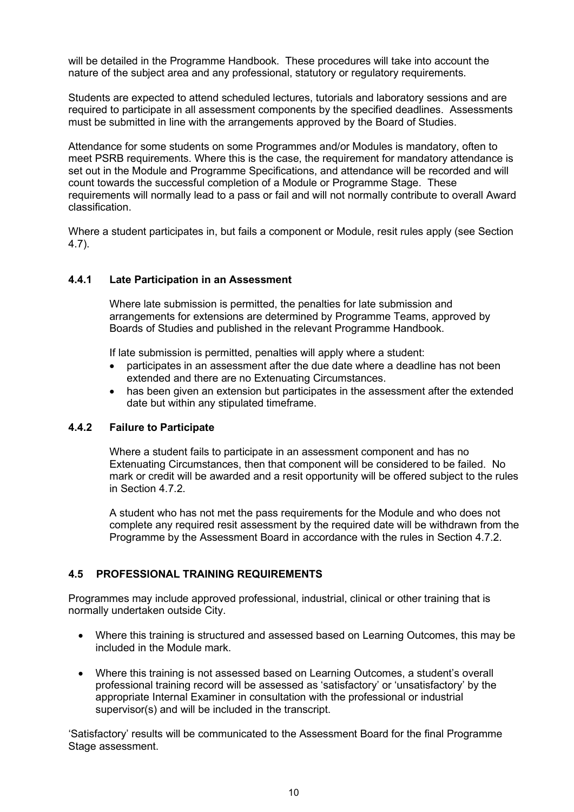will be detailed in the Programme Handbook. These procedures will take into account the nature of the subject area and any professional, statutory or regulatory requirements.

Students are expected to attend scheduled lectures, tutorials and laboratory sessions and are required to participate in all assessment components by the specified deadlines. Assessments must be submitted in line with the arrangements approved by the Board of Studies.

Attendance for some students on some Programmes and/or Modules is mandatory, often to meet PSRB requirements. Where this is the case, the requirement for mandatory attendance is set out in the Module and Programme Specifications, and attendance will be recorded and will count towards the successful completion of a Module or Programme Stage. These requirements will normally lead to a pass or fail and will not normally contribute to overall Award classification.

Where a student participates in, but fails a component or Module, resit rules apply (see Section 4.7).

#### <span id="page-9-0"></span>**4.4.1 Late Participation in an Assessment**

Where late submission is permitted, the penalties for late submission and arrangements for extensions are determined by Programme Teams, approved by Boards of Studies and published in the relevant Programme Handbook.

If late submission is permitted, penalties will apply where a student:

- participates in an assessment after the due date where a deadline has not been extended and there are no Extenuating Circumstances.
- has been given an extension but participates in the assessment after the extended date but within any stipulated timeframe.

#### <span id="page-9-1"></span>**4.4.2 Failure to Participate**

Where a student fails to participate in an assessment component and has no Extenuating Circumstances, then that component will be considered to be failed. No mark or credit will be awarded and a resit opportunity will be offered subject to the rules in Section 4.7.2.

A student who has not met the pass requirements for the Module and who does not complete any required resit assessment by the required date will be withdrawn from the Programme by the Assessment Board in accordance with the rules in Section 4.7.2.

#### <span id="page-9-2"></span>**4.5 PROFESSIONAL TRAINING REQUIREMENTS**

Programmes may include approved professional, industrial, clinical or other training that is normally undertaken outside City.

- Where this training is structured and assessed based on Learning Outcomes, this may be included in the Module mark.
- Where this training is not assessed based on Learning Outcomes, a student's overall professional training record will be assessed as 'satisfactory' or 'unsatisfactory' by the appropriate Internal Examiner in consultation with the professional or industrial supervisor(s) and will be included in the transcript.

'Satisfactory' results will be communicated to the Assessment Board for the final Programme Stage assessment.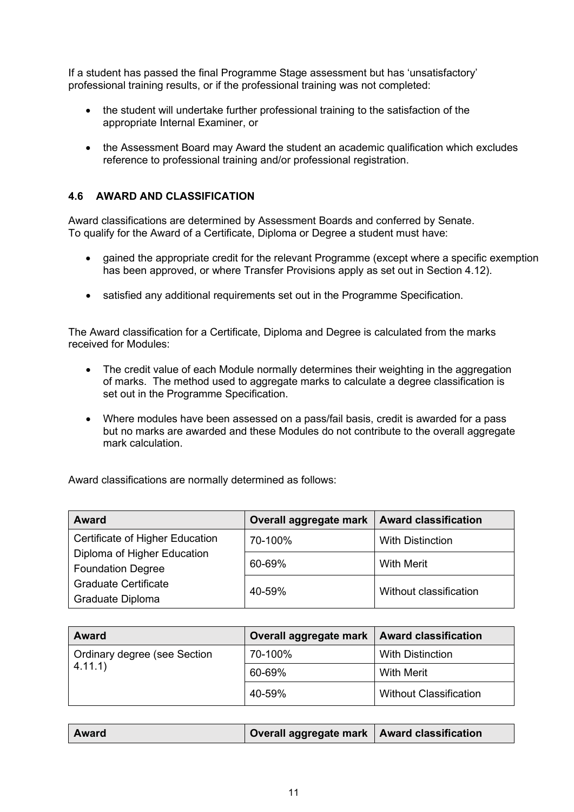If a student has passed the final Programme Stage assessment but has 'unsatisfactory' professional training results, or if the professional training was not completed:

- the student will undertake further professional training to the satisfaction of the appropriate Internal Examiner, or
- the Assessment Board may Award the student an academic qualification which excludes reference to professional training and/or professional registration.

#### <span id="page-10-0"></span>**4.6 AWARD AND CLASSIFICATION**

Award classifications are determined by Assessment Boards and conferred by Senate. To qualify for the Award of a Certificate, Diploma or Degree a student must have:

- gained the appropriate credit for the relevant Programme (except where a specific exemption has been approved, or where Transfer Provisions apply as set out in Section 4.12).
- satisfied any additional requirements set out in the Programme Specification.

The Award classification for a Certificate, Diploma and Degree is calculated from the marks received for Modules:

- The credit value of each Module normally determines their weighting in the aggregation of marks. The method used to aggregate marks to calculate a degree classification is set out in the Programme Specification.
- Where modules have been assessed on a pass/fail basis, credit is awarded for a pass but no marks are awarded and these Modules do not contribute to the overall aggregate mark calculation.

Award classifications are normally determined as follows:

| <b>Award</b>                    | Overall aggregate mark   Award classification |                        |  |
|---------------------------------|-----------------------------------------------|------------------------|--|
| Certificate of Higher Education | 70-100%                                       | With Distinction       |  |
| Diploma of Higher Education     |                                               |                        |  |
| <b>Foundation Degree</b>        | 60-69%                                        | <b>With Merit</b>      |  |
| <b>Graduate Certificate</b>     |                                               | Without classification |  |
| Graduate Diploma                | 40-59%                                        |                        |  |

| <b>Award</b>                        | Overall aggregate mark   Award classification |                               |
|-------------------------------------|-----------------------------------------------|-------------------------------|
| <b>Ordinary degree (see Section</b> | 70-100%                                       | With Distinction              |
| 4.11.1                              | 60-69%                                        | With Merit                    |
|                                     | 40-59%                                        | <b>Without Classification</b> |

|--|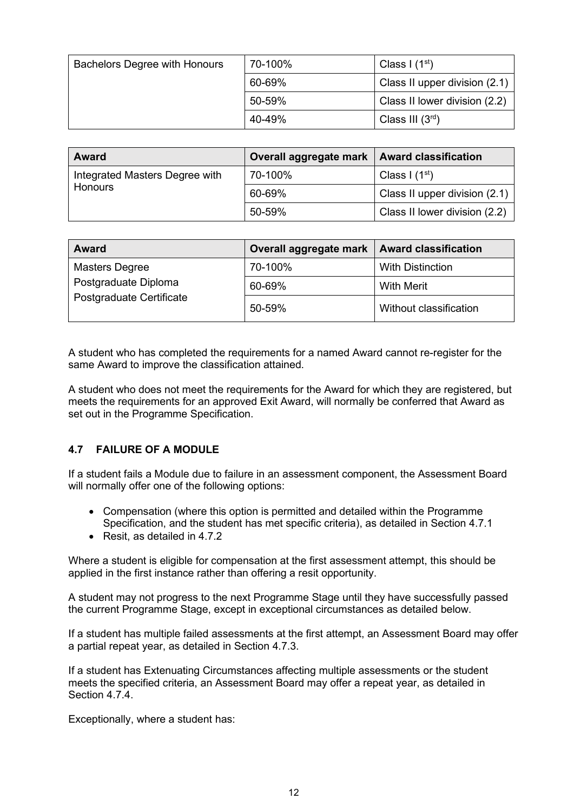| <b>Bachelors Degree with Honours</b> | 70-100% | Class I $(1st)$               |
|--------------------------------------|---------|-------------------------------|
|                                      | 60-69%  | Class II upper division (2.1) |
|                                      | 50-59%  | Class II lower division (2.2) |
|                                      | 40-49%  | Class III $(3rd)$             |

| <b>Award</b>                   | Overall aggregate mark   Award classification |                               |
|--------------------------------|-----------------------------------------------|-------------------------------|
| Integrated Masters Degree with | 70-100%                                       | Class $1(1st)$                |
| <b>Honours</b>                 | 60-69%                                        | Class II upper division (2.1) |
|                                | 50-59%                                        | Class II lower division (2.2) |

| <b>Award</b>             | Overall aggregate mark   Award classification |                         |
|--------------------------|-----------------------------------------------|-------------------------|
| Masters Degree           | 70-100%                                       | <b>With Distinction</b> |
| Postgraduate Diploma     | 60-69%                                        | With Merit              |
| Postgraduate Certificate | 50-59%                                        | Without classification  |

A student who has completed the requirements for a named Award cannot re-register for the same Award to improve the classification attained.

A student who does not meet the requirements for the Award for which they are registered, but meets the requirements for an approved Exit Award, will normally be conferred that Award as set out in the Programme Specification.

### <span id="page-11-0"></span>**4.7 FAILURE OF A MODULE**

If a student fails a Module due to failure in an assessment component, the Assessment Board will normally offer one of the following options:

- Compensation (where this option is permitted and detailed within the Programme Specification, and the student has met specific criteria), as detailed in Section 4.7.1
- Resit, as detailed in 4.7.2

Where a student is eligible for compensation at the first assessment attempt, this should be applied in the first instance rather than offering a resit opportunity.

A student may not progress to the next Programme Stage until they have successfully passed the current Programme Stage, except in exceptional circumstances as detailed below.

If a student has multiple failed assessments at the first attempt, an Assessment Board may offer a partial repeat year, as detailed in Section 4.7.3.

If a student has Extenuating Circumstances affecting multiple assessments or the student meets the specified criteria, an Assessment Board may offer a repeat year, as detailed in Section 4.7.4.

Exceptionally, where a student has: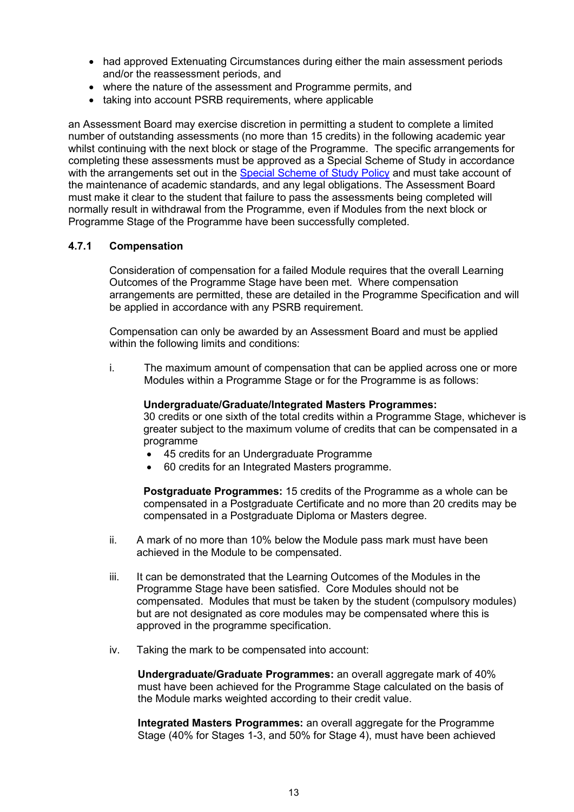- had approved Extenuating Circumstances during either the main assessment periods and/or the reassessment periods, and
- where the nature of the assessment and Programme permits, and
- taking into account PSRB requirements, where applicable

an Assessment Board may exercise discretion in permitting a student to complete a limited number of outstanding assessments (no more than 15 credits) in the following academic year whilst continuing with the next block or stage of the Programme. The specific arrangements for completing these assessments must be approved as a Special Scheme of Study in accordance with the arrangements set out in the [Special Scheme of Study Policy](http://www.city.ac.uk/__data/assets/pdf_file/0007/69019/special_schemes_of_study.pdf) and must take account of the maintenance of academic standards, and any legal obligations. The Assessment Board must make it clear to the student that failure to pass the assessments being completed will normally result in withdrawal from the Programme, even if Modules from the next block or Programme Stage of the Programme have been successfully completed.

#### <span id="page-12-0"></span>**4.7.1 Compensation**

Consideration of compensation for a failed Module requires that the overall Learning Outcomes of the Programme Stage have been met. Where compensation arrangements are permitted, these are detailed in the Programme Specification and will be applied in accordance with any PSRB requirement.

Compensation can only be awarded by an Assessment Board and must be applied within the following limits and conditions:

i. The maximum amount of compensation that can be applied across one or more Modules within a Programme Stage or for the Programme is as follows:

#### **Undergraduate/Graduate/Integrated Masters Programmes:**

30 credits or one sixth of the total credits within a Programme Stage, whichever is greater subject to the maximum volume of credits that can be compensated in a programme

- 45 credits for an Undergraduate Programme
- 60 credits for an Integrated Masters programme.

**Postgraduate Programmes:** 15 credits of the Programme as a whole can be compensated in a Postgraduate Certificate and no more than 20 credits may be compensated in a Postgraduate Diploma or Masters degree.

- ii. A mark of no more than 10% below the Module pass mark must have been achieved in the Module to be compensated.
- iii. It can be demonstrated that the Learning Outcomes of the Modules in the Programme Stage have been satisfied. Core Modules should not be compensated. Modules that must be taken by the student (compulsory modules) but are not designated as core modules may be compensated where this is approved in the programme specification.
- iv. Taking the mark to be compensated into account:

**Undergraduate/Graduate Programmes:** an overall aggregate mark of 40% must have been achieved for the Programme Stage calculated on the basis of the Module marks weighted according to their credit value.

**Integrated Masters Programmes:** an overall aggregate for the Programme Stage (40% for Stages 1-3, and 50% for Stage 4), must have been achieved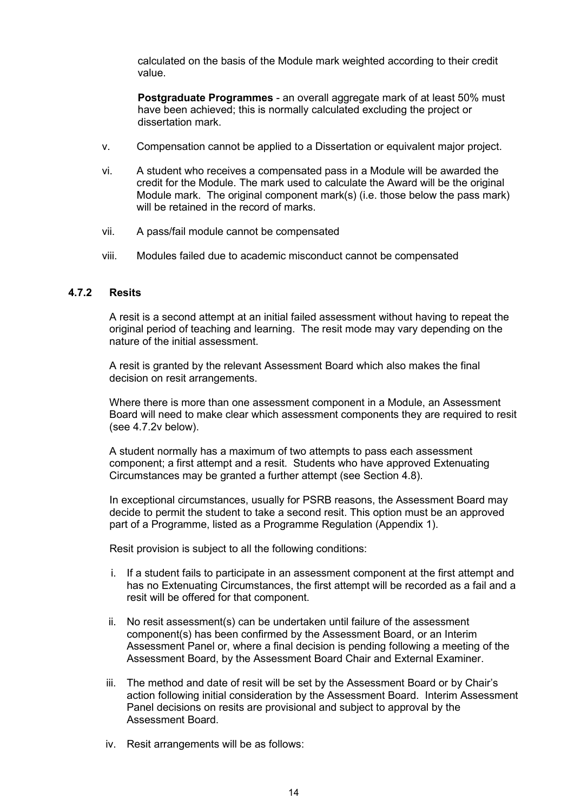calculated on the basis of the Module mark weighted according to their credit value.

**Postgraduate Programmes** - an overall aggregate mark of at least 50% must have been achieved; this is normally calculated excluding the project or dissertation mark.

- v. Compensation cannot be applied to a Dissertation or equivalent major project.
- vi. A student who receives a compensated pass in a Module will be awarded the credit for the Module. The mark used to calculate the Award will be the original Module mark. The original component mark(s) (i.e. those below the pass mark) will be retained in the record of marks.
- vii. A pass/fail module cannot be compensated
- viii. Modules failed due to academic misconduct cannot be compensated

#### <span id="page-13-0"></span>**4.7.2 Resits**

A resit is a second attempt at an initial failed assessment without having to repeat the original period of teaching and learning. The resit mode may vary depending on the nature of the initial assessment.

A resit is granted by the relevant Assessment Board which also makes the final decision on resit arrangements.

Where there is more than one assessment component in a Module, an Assessment Board will need to make clear which assessment components they are required to resit (see 4.7.2v below).

A student normally has a maximum of two attempts to pass each assessment component; a first attempt and a resit. Students who have approved Extenuating Circumstances may be granted a further attempt (see Section 4.8).

In exceptional circumstances, usually for PSRB reasons, the Assessment Board may decide to permit the student to take a second resit. This option must be an approved part of a Programme, listed as a Programme Regulation (Appendix 1).

Resit provision is subject to all the following conditions:

- i. If a student fails to participate in an assessment component at the first attempt and has no Extenuating Circumstances, the first attempt will be recorded as a fail and a resit will be offered for that component.
- ii. No resit assessment(s) can be undertaken until failure of the assessment component(s) has been confirmed by the Assessment Board, or an Interim Assessment Panel or, where a final decision is pending following a meeting of the Assessment Board, by the Assessment Board Chair and External Examiner.
- iii. The method and date of resit will be set by the Assessment Board or by Chair's action following initial consideration by the Assessment Board. Interim Assessment Panel decisions on resits are provisional and subject to approval by the Assessment Board.
- iv. Resit arrangements will be as follows: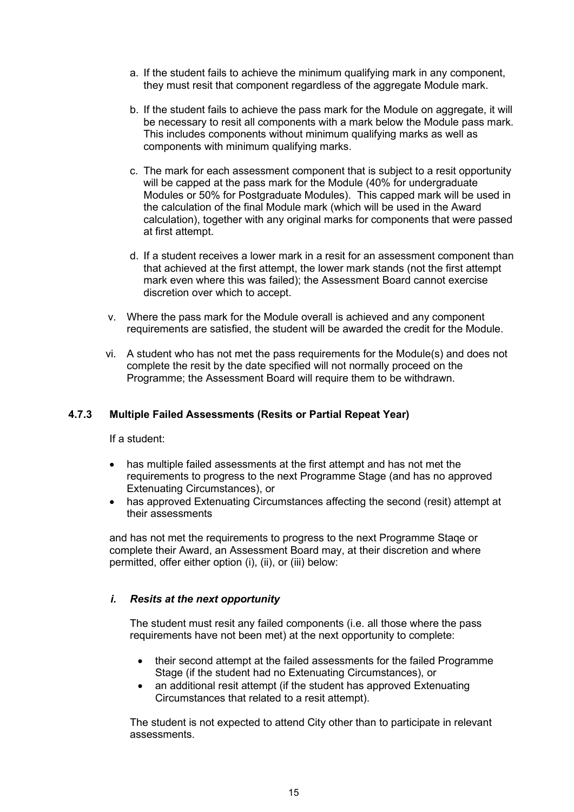- a. If the student fails to achieve the minimum qualifying mark in any component, they must resit that component regardless of the aggregate Module mark.
- b. If the student fails to achieve the pass mark for the Module on aggregate, it will be necessary to resit all components with a mark below the Module pass mark. This includes components without minimum qualifying marks as well as components with minimum qualifying marks.
- c. The mark for each assessment component that is subject to a resit opportunity will be capped at the pass mark for the Module (40% for undergraduate Modules or 50% for Postgraduate Modules). This capped mark will be used in the calculation of the final Module mark (which will be used in the Award calculation), together with any original marks for components that were passed at first attempt.
- d. If a student receives a lower mark in a resit for an assessment component than that achieved at the first attempt, the lower mark stands (not the first attempt mark even where this was failed); the Assessment Board cannot exercise discretion over which to accept.
- v. Where the pass mark for the Module overall is achieved and any component requirements are satisfied, the student will be awarded the credit for the Module.
- vi. A student who has not met the pass requirements for the Module(s) and does not complete the resit by the date specified will not normally proceed on the Programme; the Assessment Board will require them to be withdrawn.

### <span id="page-14-0"></span>**4.7.3 Multiple Failed Assessments (Resits or Partial Repeat Year)**

If a student:

- has multiple failed assessments at the first attempt and has not met the requirements to progress to the next Programme Stage (and has no approved Extenuating Circumstances), or
- has approved Extenuating Circumstances affecting the second (resit) attempt at their assessments

and has not met the requirements to progress to the next Programme Staqe or complete their Award, an Assessment Board may, at their discretion and where permitted, offer either option (i), (ii), or (iii) below:

#### *i. Resits at the next opportunity*

The student must resit any failed components (i.e. all those where the pass requirements have not been met) at the next opportunity to complete:

- their second attempt at the failed assessments for the failed Programme Stage (if the student had no Extenuating Circumstances), or
- an additional resit attempt (if the student has approved Extenuating Circumstances that related to a resit attempt).

The student is not expected to attend City other than to participate in relevant assessments.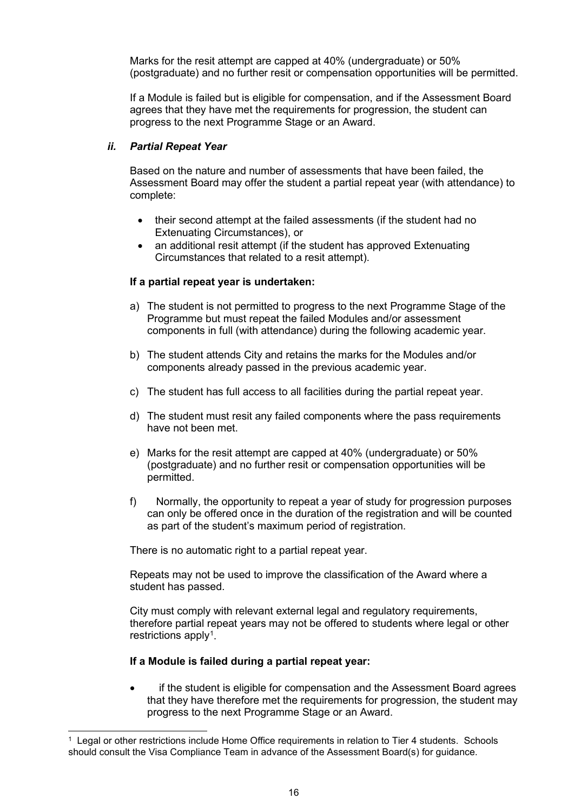Marks for the resit attempt are capped at 40% (undergraduate) or 50% (postgraduate) and no further resit or compensation opportunities will be permitted.

If a Module is failed but is eligible for compensation, and if the Assessment Board agrees that they have met the requirements for progression, the student can progress to the next Programme Stage or an Award.

#### *ii. Partial Repeat Year*

Based on the nature and number of assessments that have been failed, the Assessment Board may offer the student a partial repeat year (with attendance) to complete:

- their second attempt at the failed assessments (if the student had no Extenuating Circumstances), or
- an additional resit attempt (if the student has approved Extenuating Circumstances that related to a resit attempt).

#### **If a partial repeat year is undertaken:**

- a) The student is not permitted to progress to the next Programme Stage of the Programme but must repeat the failed Modules and/or assessment components in full (with attendance) during the following academic year.
- b) The student attends City and retains the marks for the Modules and/or components already passed in the previous academic year.
- c) The student has full access to all facilities during the partial repeat year.
- d) The student must resit any failed components where the pass requirements have not been met.
- e) Marks for the resit attempt are capped at 40% (undergraduate) or 50% (postgraduate) and no further resit or compensation opportunities will be permitted.
- f) Normally, the opportunity to repeat a year of study for progression purposes can only be offered once in the duration of the registration and will be counted as part of the student's maximum period of registration.

There is no automatic right to a partial repeat year.

Repeats may not be used to improve the classification of the Award where a student has passed.

City must comply with relevant external legal and regulatory requirements, therefore partial repeat years may not be offered to students where legal or other restrictions apply<sup>[1](#page-15-0)</sup>.

#### **If a Module is failed during a partial repeat year:**

if the student is eligible for compensation and the Assessment Board agrees that they have therefore met the requirements for progression, the student may progress to the next Programme Stage or an Award.

<span id="page-15-0"></span><sup>1</sup> Legal or other restrictions include Home Office requirements in relation to Tier 4 students. Schools should consult the Visa Compliance Team in advance of the Assessment Board(s) for guidance.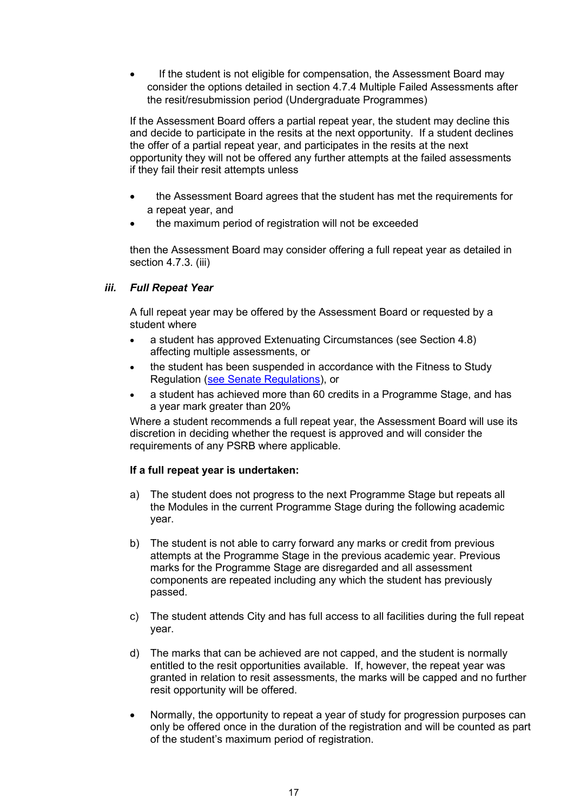If the student is not eligible for compensation, the Assessment Board may consider the options detailed in section 4.7.4 Multiple Failed Assessments after the resit/resubmission period (Undergraduate Programmes)

If the Assessment Board offers a partial repeat year, the student may decline this and decide to participate in the resits at the next opportunity. If a student declines the offer of a partial repeat year, and participates in the resits at the next opportunity they will not be offered any further attempts at the failed assessments if they fail their resit attempts unless

- the Assessment Board agrees that the student has met the requirements for a repeat year, and
- the maximum period of registration will not be exceeded

then the Assessment Board may consider offering a full repeat year as detailed in section 4.7.3. (iii)

#### *iii. Full Repeat Year*

A full repeat year may be offered by the Assessment Board or requested by a student where

- a student has approved Extenuating Circumstances (see Section 4.8) affecting multiple assessments, or
- the student has been suspended in accordance with the Fitness to Study Regulation [\(see Senate Regulations\)](https://www.city.ac.uk/about/governance/policies/city-university-of-london-senate-regulations), or
- a student has achieved more than 60 credits in a Programme Stage, and has a year mark greater than 20%

Where a student recommends a full repeat year, the Assessment Board will use its discretion in deciding whether the request is approved and will consider the requirements of any PSRB where applicable.

#### **If a full repeat year is undertaken:**

- a) The student does not progress to the next Programme Stage but repeats all the Modules in the current Programme Stage during the following academic year.
- b) The student is not able to carry forward any marks or credit from previous attempts at the Programme Stage in the previous academic year. Previous marks for the Programme Stage are disregarded and all assessment components are repeated including any which the student has previously passed.
- c) The student attends City and has full access to all facilities during the full repeat year.
- d) The marks that can be achieved are not capped, and the student is normally entitled to the resit opportunities available. If, however, the repeat year was granted in relation to resit assessments, the marks will be capped and no further resit opportunity will be offered.
- Normally, the opportunity to repeat a year of study for progression purposes can only be offered once in the duration of the registration and will be counted as part of the student's maximum period of registration.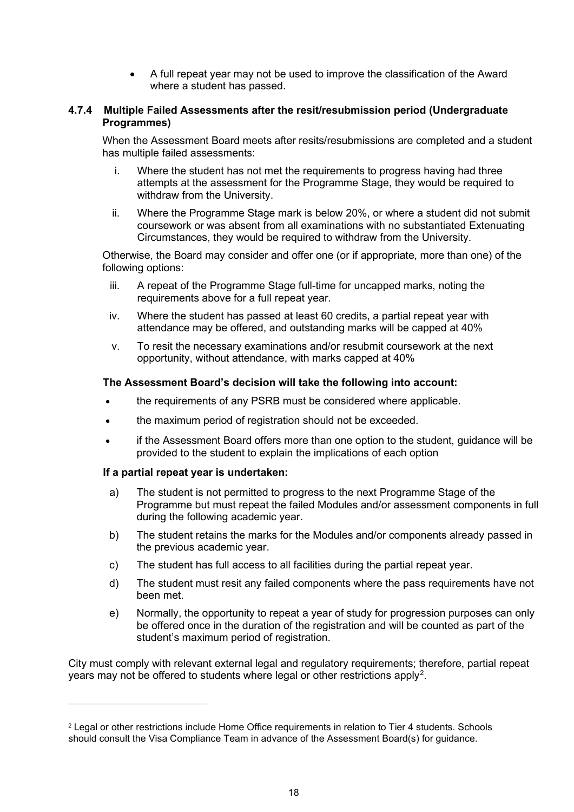• A full repeat year may not be used to improve the classification of the Award where a student has passed.

#### **4.7.4 Multiple Failed Assessments after the resit/resubmission period (Undergraduate Programmes)**

When the Assessment Board meets after resits/resubmissions are completed and a student has multiple failed assessments:

- i. Where the student has not met the requirements to progress having had three attempts at the assessment for the Programme Stage, they would be required to withdraw from the University.
- ii. Where the Programme Stage mark is below 20%, or where a student did not submit coursework or was absent from all examinations with no substantiated Extenuating Circumstances, they would be required to withdraw from the University.

Otherwise, the Board may consider and offer one (or if appropriate, more than one) of the following options:

- iii. A repeat of the Programme Stage full-time for uncapped marks, noting the requirements above for a full repeat year.
- iv. Where the student has passed at least 60 credits, a partial repeat year with attendance may be offered, and outstanding marks will be capped at 40%
- v. To resit the necessary examinations and/or resubmit coursework at the next opportunity, without attendance, with marks capped at 40%

#### **The Assessment Board's decision will take the following into account:**

- the requirements of any PSRB must be considered where applicable.
- the maximum period of registration should not be exceeded.
- if the Assessment Board offers more than one option to the student, guidance will be provided to the student to explain the implications of each option

#### **If a partial repeat year is undertaken:**

- a) The student is not permitted to progress to the next Programme Stage of the Programme but must repeat the failed Modules and/or assessment components in full during the following academic year.
- b) The student retains the marks for the Modules and/or components already passed in the previous academic year.
- c) The student has full access to all facilities during the partial repeat year.
- d) The student must resit any failed components where the pass requirements have not been met.
- e) Normally, the opportunity to repeat a year of study for progression purposes can only be offered once in the duration of the registration and will be counted as part of the student's maximum period of registration.

City must comply with relevant external legal and regulatory requirements; therefore, partial repeat years may not be offered to students where legal or other restrictions apply<sup>[2](#page-17-0)</sup>.

<span id="page-17-0"></span><sup>2</sup> Legal or other restrictions include Home Office requirements in relation to Tier 4 students. Schools should consult the Visa Compliance Team in advance of the Assessment Board(s) for guidance.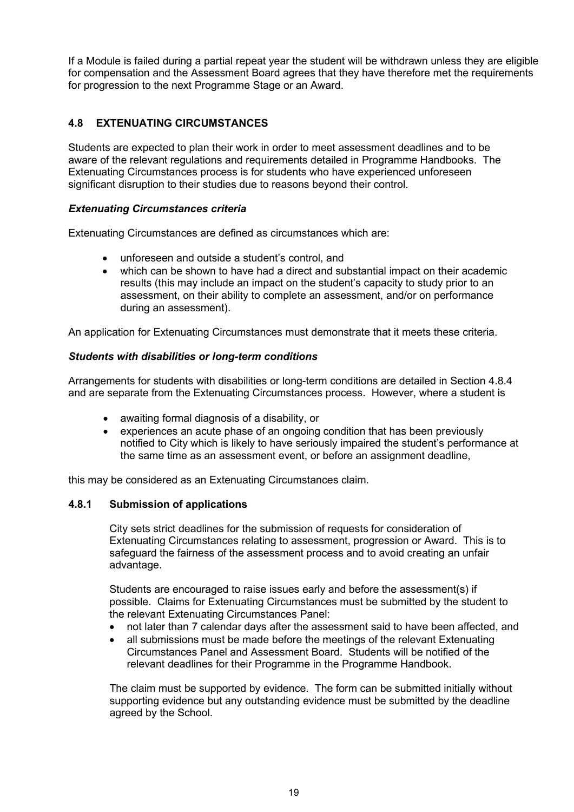If a Module is failed during a partial repeat year the student will be withdrawn unless they are eligible for compensation and the Assessment Board agrees that they have therefore met the requirements for progression to the next Programme Stage or an Award.

## <span id="page-18-0"></span>**4.8 EXTENUATING CIRCUMSTANCES**

Students are expected to plan their work in order to meet assessment deadlines and to be aware of the relevant regulations and requirements detailed in Programme Handbooks. The Extenuating Circumstances process is for students who have experienced unforeseen significant disruption to their studies due to reasons beyond their control.

#### *Extenuating Circumstances criteria*

Extenuating Circumstances are defined as circumstances which are:

- unforeseen and outside a student's control, and
- which can be shown to have had a direct and substantial impact on their academic results (this may include an impact on the student's capacity to study prior to an assessment, on their ability to complete an assessment, and/or on performance during an assessment).

An application for Extenuating Circumstances must demonstrate that it meets these criteria.

#### *Students with disabilities or long-term conditions*

Arrangements for students with disabilities or long-term conditions are detailed in Section 4.8.4 and are separate from the Extenuating Circumstances process. However, where a student is

- awaiting formal diagnosis of a disability, or
- experiences an acute phase of an ongoing condition that has been previously notified to City which is likely to have seriously impaired the student's performance at the same time as an assessment event, or before an assignment deadline,

this may be considered as an Extenuating Circumstances claim.

#### <span id="page-18-1"></span>**4.8.1 Submission of applications**

City sets strict deadlines for the submission of requests for consideration of Extenuating Circumstances relating to assessment, progression or Award. This is to safeguard the fairness of the assessment process and to avoid creating an unfair advantage.

Students are encouraged to raise issues early and before the assessment(s) if possible. Claims for Extenuating Circumstances must be submitted by the student to the relevant Extenuating Circumstances Panel:

- not later than 7 calendar days after the assessment said to have been affected, and
- all submissions must be made before the meetings of the relevant Extenuating Circumstances Panel and Assessment Board. Students will be notified of the relevant deadlines for their Programme in the Programme Handbook.

The claim must be supported by evidence. The form can be submitted initially without supporting evidence but any outstanding evidence must be submitted by the deadline agreed by the School.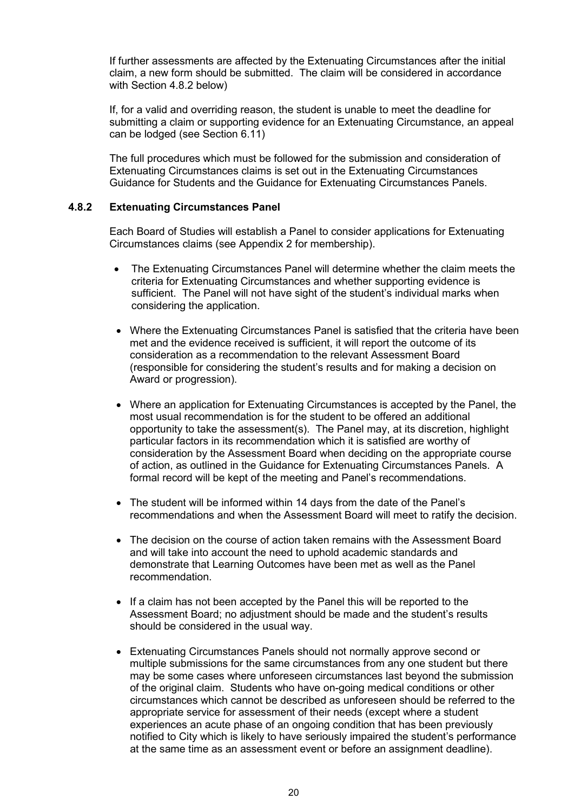If further assessments are affected by the Extenuating Circumstances after the initial claim, a new form should be submitted. The claim will be considered in accordance with Section 4.8.2 below)

If, for a valid and overriding reason, the student is unable to meet the deadline for submitting a claim or supporting evidence for an Extenuating Circumstance, an appeal can be lodged (see Section 6.11)

The full procedures which must be followed for the submission and consideration of Extenuating Circumstances claims is set out in the Extenuating Circumstances Guidance for Students and the Guidance for Extenuating Circumstances Panels.

#### <span id="page-19-0"></span>**4.8.2 Extenuating Circumstances Panel**

Each Board of Studies will establish a Panel to consider applications for Extenuating Circumstances claims (see Appendix 2 for membership).

- The Extenuating Circumstances Panel will determine whether the claim meets the criteria for Extenuating Circumstances and whether supporting evidence is sufficient. The Panel will not have sight of the student's individual marks when considering the application.
- Where the Extenuating Circumstances Panel is satisfied that the criteria have been met and the evidence received is sufficient, it will report the outcome of its consideration as a recommendation to the relevant Assessment Board (responsible for considering the student's results and for making a decision on Award or progression).
- Where an application for Extenuating Circumstances is accepted by the Panel, the most usual recommendation is for the student to be offered an additional opportunity to take the assessment(s). The Panel may, at its discretion, highlight particular factors in its recommendation which it is satisfied are worthy of consideration by the Assessment Board when deciding on the appropriate course of action, as outlined in the Guidance for Extenuating Circumstances Panels. A formal record will be kept of the meeting and Panel's recommendations.
- The student will be informed within 14 days from the date of the Panel's recommendations and when the Assessment Board will meet to ratify the decision.
- The decision on the course of action taken remains with the Assessment Board and will take into account the need to uphold academic standards and demonstrate that Learning Outcomes have been met as well as the Panel recommendation.
- If a claim has not been accepted by the Panel this will be reported to the Assessment Board; no adjustment should be made and the student's results should be considered in the usual way.
- Extenuating Circumstances Panels should not normally approve second or multiple submissions for the same circumstances from any one student but there may be some cases where unforeseen circumstances last beyond the submission of the original claim. Students who have on-going medical conditions or other circumstances which cannot be described as unforeseen should be referred to the appropriate service for assessment of their needs (except where a student experiences an acute phase of an ongoing condition that has been previously notified to City which is likely to have seriously impaired the student's performance at the same time as an assessment event or before an assignment deadline).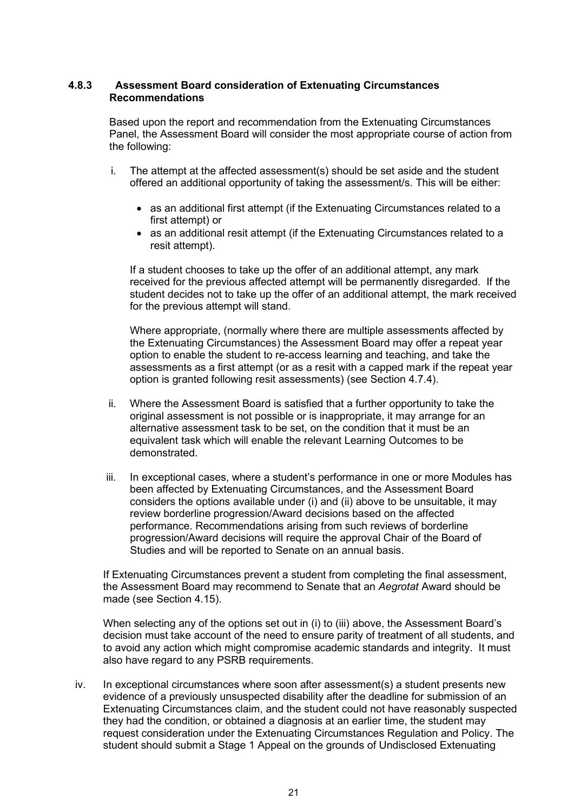#### **4.8.3 Assessment Board consideration of Extenuating Circumstances Recommendations**

<span id="page-20-0"></span>Based upon the report and recommendation from the Extenuating Circumstances Panel, the Assessment Board will consider the most appropriate course of action from the following:

- i. The attempt at the affected assessment(s) should be set aside and the student offered an additional opportunity of taking the assessment/s. This will be either:
	- as an additional first attempt (if the Extenuating Circumstances related to a first attempt) or
	- as an additional resit attempt (if the Extenuating Circumstances related to a resit attempt).

If a student chooses to take up the offer of an additional attempt, any mark received for the previous affected attempt will be permanently disregarded. If the student decides not to take up the offer of an additional attempt, the mark received for the previous attempt will stand.

Where appropriate, (normally where there are multiple assessments affected by the Extenuating Circumstances) the Assessment Board may offer a repeat year option to enable the student to re-access learning and teaching, and take the assessments as a first attempt (or as a resit with a capped mark if the repeat year option is granted following resit assessments) (see Section 4.7.4).

- ii. Where the Assessment Board is satisfied that a further opportunity to take the original assessment is not possible or is inappropriate, it may arrange for an alternative assessment task to be set, on the condition that it must be an equivalent task which will enable the relevant Learning Outcomes to be demonstrated.
- iii. In exceptional cases, where a student's performance in one or more Modules has been affected by Extenuating Circumstances, and the Assessment Board considers the options available under (i) and (ii) above to be unsuitable, it may review borderline progression/Award decisions based on the affected performance. Recommendations arising from such reviews of borderline progression/Award decisions will require the approval Chair of the Board of Studies and will be reported to Senate on an annual basis.

If Extenuating Circumstances prevent a student from completing the final assessment, the Assessment Board may recommend to Senate that an *Aegrotat* Award should be made (see Section 4.15).

When selecting any of the options set out in (i) to (iii) above, the Assessment Board's decision must take account of the need to ensure parity of treatment of all students, and to avoid any action which might compromise academic standards and integrity. It must also have regard to any PSRB requirements.

iv. In exceptional circumstances where soon after assessment(s) a student presents new evidence of a previously unsuspected disability after the deadline for submission of an Extenuating Circumstances claim, and the student could not have reasonably suspected they had the condition, or obtained a diagnosis at an earlier time, the student may request consideration under the Extenuating Circumstances Regulation and Policy. The student should submit a Stage 1 Appeal on the grounds of Undisclosed Extenuating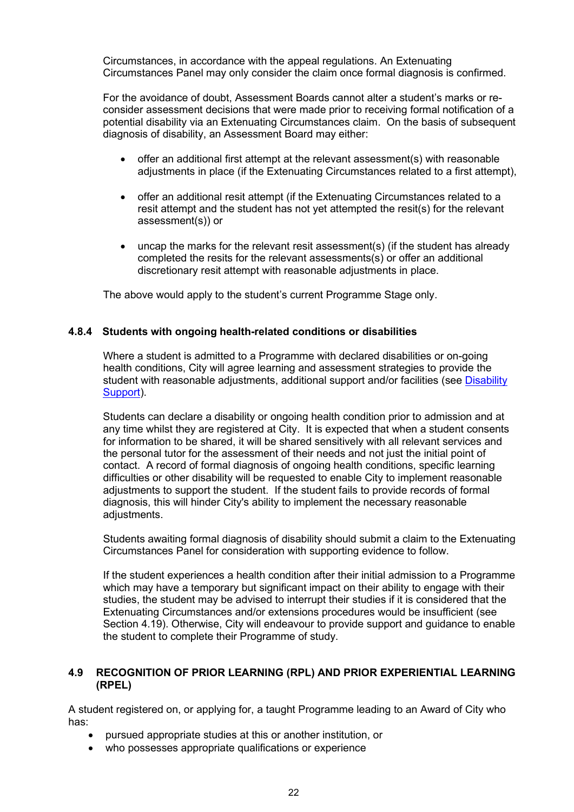Circumstances, in accordance with the appeal regulations. An Extenuating Circumstances Panel may only consider the claim once formal diagnosis is confirmed.

For the avoidance of doubt, Assessment Boards cannot alter a student's marks or reconsider assessment decisions that were made prior to receiving formal notification of a potential disability via an Extenuating Circumstances claim. On the basis of subsequent diagnosis of disability, an Assessment Board may either:

- offer an additional first attempt at the relevant assessment(s) with reasonable adjustments in place (if the Extenuating Circumstances related to a first attempt),
- offer an additional resit attempt (if the Extenuating Circumstances related to a resit attempt and the student has not yet attempted the resit(s) for the relevant assessment(s)) or
- uncap the marks for the relevant resit assessment(s) (if the student has already completed the resits for the relevant assessments(s) or offer an additional discretionary resit attempt with reasonable adjustments in place.

The above would apply to the student's current Programme Stage only.

#### <span id="page-21-0"></span>**4.8.4 Students with ongoing health-related conditions or disabilities**

Where a student is admitted to a Programme with declared disabilities or on-going health conditions, City will agree learning and assessment strategies to provide the student with reasonable adjustments, additional support and/or facilities (see Disability [Support\)](http://www.city.ac.uk/current-students/health-wellbeing-sport/disability-services).

Students can declare a disability or ongoing health condition prior to admission and at any time whilst they are registered at City. It is expected that when a student consents for information to be shared, it will be shared sensitively with all relevant services and the personal tutor for the assessment of their needs and not just the initial point of contact. A record of formal diagnosis of ongoing health conditions, specific learning difficulties or other disability will be requested to enable City to implement reasonable adjustments to support the student. If the student fails to provide records of formal diagnosis, this will hinder City's ability to implement the necessary reasonable adjustments.

Students awaiting formal diagnosis of disability should submit a claim to the Extenuating Circumstances Panel for consideration with supporting evidence to follow.

If the student experiences a health condition after their initial admission to a Programme which may have a temporary but significant impact on their ability to engage with their studies, the student may be advised to interrupt their studies if it is considered that the Extenuating Circumstances and/or extensions procedures would be insufficient (see Section 4.19). Otherwise, City will endeavour to provide support and guidance to enable the student to complete their Programme of study.

#### <span id="page-21-1"></span>**4.9 RECOGNITION OF PRIOR LEARNING (RPL) AND PRIOR EXPERIENTIAL LEARNING (RPEL)**

A student registered on, or applying for, a taught Programme leading to an Award of City who has:

- pursued appropriate studies at this or another institution, or
- who possesses appropriate qualifications or experience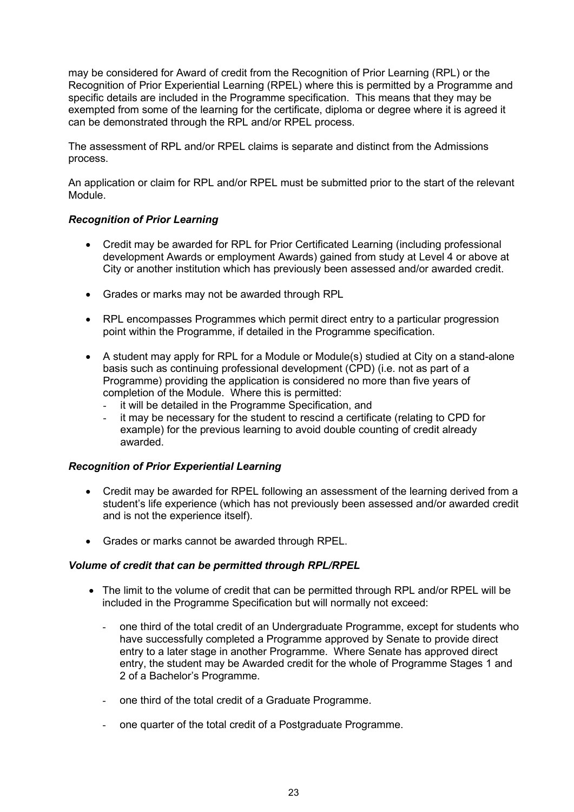may be considered for Award of credit from the Recognition of Prior Learning (RPL) or the Recognition of Prior Experiential Learning (RPEL) where this is permitted by a Programme and specific details are included in the Programme specification. This means that they may be exempted from some of the learning for the certificate, diploma or degree where it is agreed it can be demonstrated through the RPL and/or RPEL process.

The assessment of RPL and/or RPEL claims is separate and distinct from the Admissions process.

An application or claim for RPL and/or RPEL must be submitted prior to the start of the relevant Module.

#### *Recognition of Prior Learning*

- Credit may be awarded for RPL for Prior Certificated Learning (including professional development Awards or employment Awards) gained from study at Level 4 or above at City or another institution which has previously been assessed and/or awarded credit.
- Grades or marks may not be awarded through RPL
- RPL encompasses Programmes which permit direct entry to a particular progression point within the Programme, if detailed in the Programme specification.
- A student may apply for RPL for a Module or Module(s) studied at City on a stand-alone basis such as continuing professional development (CPD) (i.e. not as part of a Programme) providing the application is considered no more than five years of completion of the Module. Where this is permitted:
	- it will be detailed in the Programme Specification, and
	- it may be necessary for the student to rescind a certificate (relating to CPD for example) for the previous learning to avoid double counting of credit already awarded.

#### *Recognition of Prior Experiential Learning*

- Credit may be awarded for RPEL following an assessment of the learning derived from a student's life experience (which has not previously been assessed and/or awarded credit and is not the experience itself).
- Grades or marks cannot be awarded through RPEL.

#### *Volume of credit that can be permitted through RPL/RPEL*

- The limit to the volume of credit that can be permitted through RPL and/or RPEL will be included in the Programme Specification but will normally not exceed:
	- one third of the total credit of an Undergraduate Programme, except for students who have successfully completed a Programme approved by Senate to provide direct entry to a later stage in another Programme. Where Senate has approved direct entry, the student may be Awarded credit for the whole of Programme Stages 1 and 2 of a Bachelor's Programme.
	- one third of the total credit of a Graduate Programme.
	- one quarter of the total credit of a Postgraduate Programme.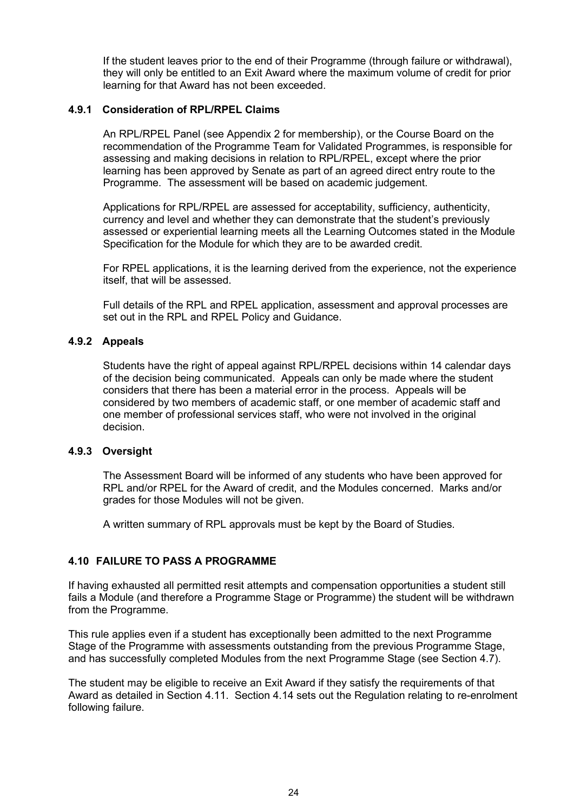If the student leaves prior to the end of their Programme (through failure or withdrawal), they will only be entitled to an Exit Award where the maximum volume of credit for prior learning for that Award has not been exceeded.

#### <span id="page-23-0"></span>**4.9.1 Consideration of RPL/RPEL Claims**

An RPL/RPEL Panel (see Appendix 2 for membership), or the Course Board on the recommendation of the Programme Team for Validated Programmes, is responsible for assessing and making decisions in relation to RPL/RPEL, except where the prior learning has been approved by Senate as part of an agreed direct entry route to the Programme. The assessment will be based on academic judgement.

Applications for RPL/RPEL are assessed for acceptability, sufficiency, authenticity, currency and level and whether they can demonstrate that the student's previously assessed or experiential learning meets all the Learning Outcomes stated in the Module Specification for the Module for which they are to be awarded credit.

For RPEL applications, it is the learning derived from the experience, not the experience itself, that will be assessed.

Full details of the RPL and RPEL application, assessment and approval processes are set out in the RPL and RPEL Policy and Guidance.

#### <span id="page-23-1"></span>**4.9.2 Appeals**

Students have the right of appeal against RPL/RPEL decisions within 14 calendar days of the decision being communicated. Appeals can only be made where the student considers that there has been a material error in the process. Appeals will be considered by two members of academic staff, or one member of academic staff and one member of professional services staff, who were not involved in the original decision.

#### <span id="page-23-2"></span>**4.9.3 Oversight**

The Assessment Board will be informed of any students who have been approved for RPL and/or RPEL for the Award of credit, and the Modules concerned. Marks and/or grades for those Modules will not be given.

A written summary of RPL approvals must be kept by the Board of Studies.

#### <span id="page-23-3"></span>**4.10 FAILURE TO PASS A PROGRAMME**

If having exhausted all permitted resit attempts and compensation opportunities a student still fails a Module (and therefore a Programme Stage or Programme) the student will be withdrawn from the Programme.

This rule applies even if a student has exceptionally been admitted to the next Programme Stage of the Programme with assessments outstanding from the previous Programme Stage, and has successfully completed Modules from the next Programme Stage (see Section 4.7).

The student may be eligible to receive an Exit Award if they satisfy the requirements of that Award as detailed in Section 4.11. Section 4.14 sets out the Regulation relating to re-enrolment following failure.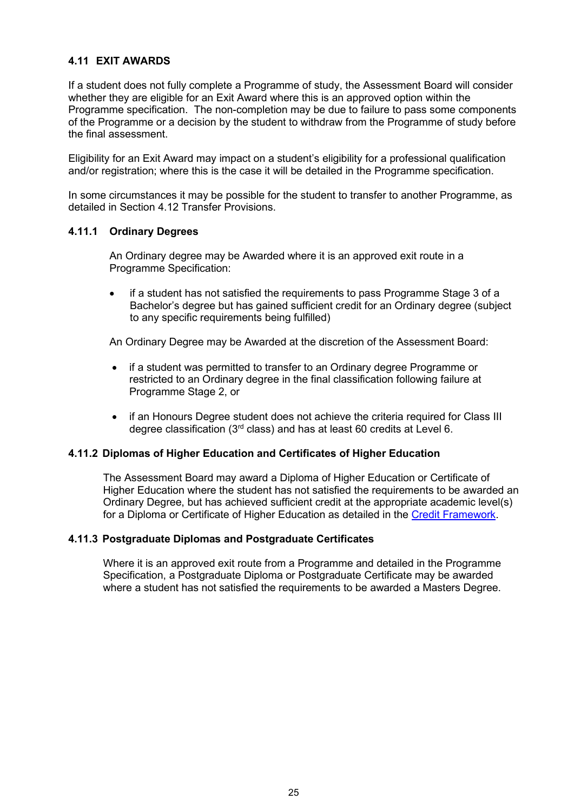## <span id="page-24-0"></span>**4.11 EXIT AWARDS**

If a student does not fully complete a Programme of study, the Assessment Board will consider whether they are eligible for an Exit Award where this is an approved option within the Programme specification. The non-completion may be due to failure to pass some components of the Programme or a decision by the student to withdraw from the Programme of study before the final assessment.

Eligibility for an Exit Award may impact on a student's eligibility for a professional qualification and/or registration; where this is the case it will be detailed in the Programme specification.

In some circumstances it may be possible for the student to transfer to another Programme, as detailed in Section 4.12 Transfer Provisions.

#### <span id="page-24-1"></span>**4.11.1 Ordinary Degrees**

An Ordinary degree may be Awarded where it is an approved exit route in a Programme Specification:

• if a student has not satisfied the requirements to pass Programme Stage 3 of a Bachelor's degree but has gained sufficient credit for an Ordinary degree (subject to any specific requirements being fulfilled)

An Ordinary Degree may be Awarded at the discretion of the Assessment Board:

- if a student was permitted to transfer to an Ordinary degree Programme or restricted to an Ordinary degree in the final classification following failure at Programme Stage 2, or
- if an Honours Degree student does not achieve the criteria required for Class III degree classification (3rd class) and has at least 60 credits at Level 6.

#### <span id="page-24-2"></span>**4.11.2 Diplomas of Higher Education and Certificates of Higher Education**

The Assessment Board may award a Diploma of Higher Education or Certificate of Higher Education where the student has not satisfied the requirements to be awarded an Ordinary Degree, but has achieved sufficient credit at the appropriate academic level(s) for a Diploma or Certificate of Higher Education as detailed in the [Credit Framework.](https://www.city.ac.uk/__data/assets/pdf_file/0008/386432/Credit_framework.pdf)

#### <span id="page-24-3"></span>**4.11.3 Postgraduate Diplomas and Postgraduate Certificates**

Where it is an approved exit route from a Programme and detailed in the Programme Specification, a Postgraduate Diploma or Postgraduate Certificate may be awarded where a student has not satisfied the requirements to be awarded a Masters Degree.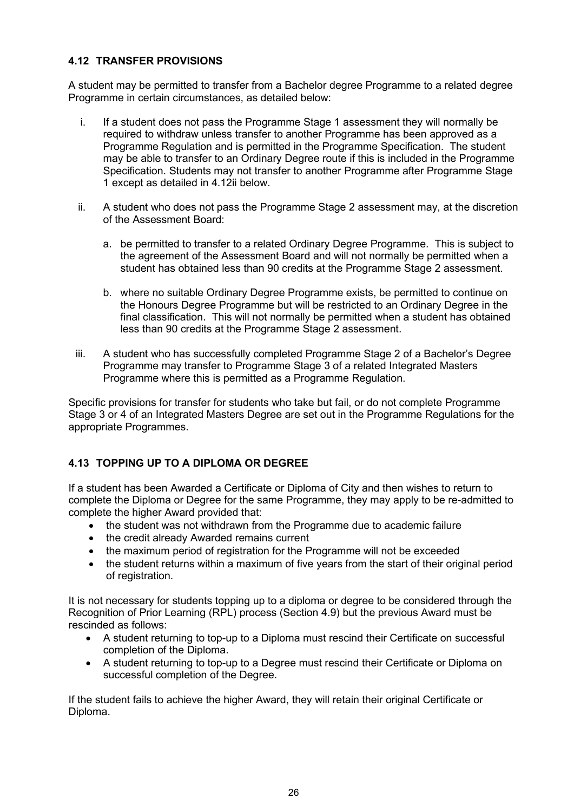### <span id="page-25-0"></span>**4.12 TRANSFER PROVISIONS**

A student may be permitted to transfer from a Bachelor degree Programme to a related degree Programme in certain circumstances, as detailed below:

- i. If a student does not pass the Programme Stage 1 assessment they will normally be required to withdraw unless transfer to another Programme has been approved as a Programme Regulation and is permitted in the Programme Specification. The student may be able to transfer to an Ordinary Degree route if this is included in the Programme Specification. Students may not transfer to another Programme after Programme Stage 1 except as detailed in 4.12ii below.
- ii. A student who does not pass the Programme Stage 2 assessment may, at the discretion of the Assessment Board:
	- a. be permitted to transfer to a related Ordinary Degree Programme. This is subject to the agreement of the Assessment Board and will not normally be permitted when a student has obtained less than 90 credits at the Programme Stage 2 assessment.
	- b. where no suitable Ordinary Degree Programme exists, be permitted to continue on the Honours Degree Programme but will be restricted to an Ordinary Degree in the final classification. This will not normally be permitted when a student has obtained less than 90 credits at the Programme Stage 2 assessment.
- iii. A student who has successfully completed Programme Stage 2 of a Bachelor's Degree Programme may transfer to Programme Stage 3 of a related Integrated Masters Programme where this is permitted as a Programme Regulation.

Specific provisions for transfer for students who take but fail, or do not complete Programme Stage 3 or 4 of an Integrated Masters Degree are set out in the Programme Regulations for the appropriate Programmes.

## <span id="page-25-1"></span>**4.13 TOPPING UP TO A DIPLOMA OR DEGREE**

If a student has been Awarded a Certificate or Diploma of City and then wishes to return to complete the Diploma or Degree for the same Programme, they may apply to be re-admitted to complete the higher Award provided that:

- the student was not withdrawn from the Programme due to academic failure
- the credit already Awarded remains current
- the maximum period of registration for the Programme will not be exceeded
- the student returns within a maximum of five years from the start of their original period of registration.

It is not necessary for students topping up to a diploma or degree to be considered through the Recognition of Prior Learning (RPL) process (Section 4.9) but the previous Award must be rescinded as follows:

- A student returning to top-up to a Diploma must rescind their Certificate on successful completion of the Diploma.
- A student returning to top-up to a Degree must rescind their Certificate or Diploma on successful completion of the Degree.

If the student fails to achieve the higher Award, they will retain their original Certificate or Diploma.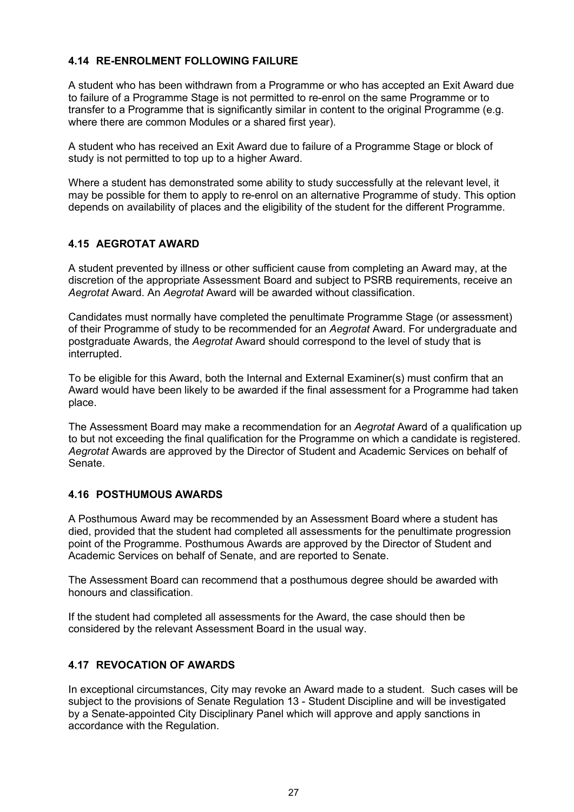#### <span id="page-26-0"></span>**4.14 RE-ENROLMENT FOLLOWING FAILURE**

A student who has been withdrawn from a Programme or who has accepted an Exit Award due to failure of a Programme Stage is not permitted to re-enrol on the same Programme or to transfer to a Programme that is significantly similar in content to the original Programme (e.g. where there are common Modules or a shared first year).

A student who has received an Exit Award due to failure of a Programme Stage or block of study is not permitted to top up to a higher Award.

Where a student has demonstrated some ability to study successfully at the relevant level, it may be possible for them to apply to re-enrol on an alternative Programme of study. This option depends on availability of places and the eligibility of the student for the different Programme.

#### <span id="page-26-1"></span>**4.15 AEGROTAT AWARD**

A student prevented by illness or other sufficient cause from completing an Award may, at the discretion of the appropriate Assessment Board and subject to PSRB requirements, receive an *Aegrotat* Award. An *Aegrotat* Award will be awarded without classification.

Candidates must normally have completed the penultimate Programme Stage (or assessment) of their Programme of study to be recommended for an *Aegrotat* Award. For undergraduate and postgraduate Awards, the *Aegrotat* Award should correspond to the level of study that is interrupted.

To be eligible for this Award, both the Internal and External Examiner(s) must confirm that an Award would have been likely to be awarded if the final assessment for a Programme had taken place.

The Assessment Board may make a recommendation for an *Aegrotat* Award of a qualification up to but not exceeding the final qualification for the Programme on which a candidate is registered. *Aegrotat* Awards are approved by the Director of Student and Academic Services on behalf of Senate.

#### <span id="page-26-2"></span>**4.16 POSTHUMOUS AWARDS**

A Posthumous Award may be recommended by an Assessment Board where a student has died, provided that the student had completed all assessments for the penultimate progression point of the Programme. Posthumous Awards are approved by the Director of Student and Academic Services on behalf of Senate, and are reported to Senate.

The Assessment Board can recommend that a posthumous degree should be awarded with honours and classification.

If the student had completed all assessments for the Award, the case should then be considered by the relevant Assessment Board in the usual way.

### <span id="page-26-3"></span>**4.17 REVOCATION OF AWARDS**

In exceptional circumstances, City may revoke an Award made to a student. Such cases will be subject to the provisions of Senate Regulation 13 - Student Discipline and will be investigated by a Senate-appointed City Disciplinary Panel which will approve and apply sanctions in accordance with the Regulation.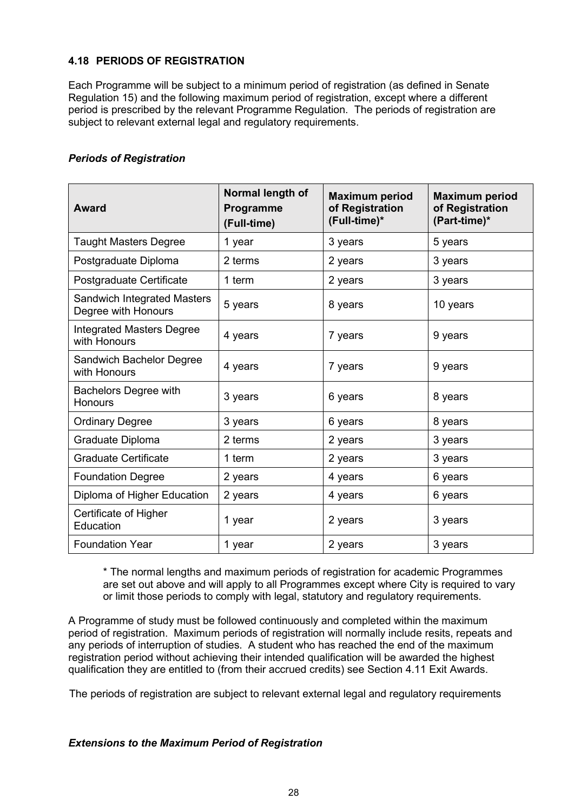#### <span id="page-27-0"></span>**4.18 PERIODS OF REGISTRATION**

Each Programme will be subject to a minimum period of registration (as defined in Senate Regulation 15) and the following maximum period of registration, except where a different period is prescribed by the relevant Programme Regulation. The periods of registration are subject to relevant external legal and regulatory requirements.

#### *Periods of Registration*

| <b>Award</b>                                              | Normal length of<br>Programme<br>(Full-time) | <b>Maximum period</b><br>of Registration<br>(Full-time)* | <b>Maximum period</b><br>of Registration<br>(Part-time)* |
|-----------------------------------------------------------|----------------------------------------------|----------------------------------------------------------|----------------------------------------------------------|
| <b>Taught Masters Degree</b>                              | 1 year                                       | 3 years                                                  | 5 years                                                  |
| Postgraduate Diploma                                      | 2 terms                                      | 2 years                                                  | 3 years                                                  |
| Postgraduate Certificate                                  | 1 term                                       | 2 years                                                  | 3 years                                                  |
| <b>Sandwich Integrated Masters</b><br>Degree with Honours | 5 years                                      | 8 years                                                  | 10 years                                                 |
| <b>Integrated Masters Degree</b><br>with Honours          | 4 years                                      | 7 years                                                  | 9 years                                                  |
| Sandwich Bachelor Degree<br>with Honours                  | 4 years                                      | 7 years                                                  | 9 years                                                  |
| <b>Bachelors Degree with</b><br><b>Honours</b>            | 3 years                                      | 6 years                                                  | 8 years                                                  |
| <b>Ordinary Degree</b>                                    | 3 years                                      | 6 years                                                  | 8 years                                                  |
| Graduate Diploma                                          | 2 terms                                      | 2 years                                                  | 3 years                                                  |
| <b>Graduate Certificate</b>                               | 1 term                                       | 2 years                                                  | 3 years                                                  |
| <b>Foundation Degree</b>                                  | 2 years                                      | 4 years                                                  | 6 years                                                  |
| Diploma of Higher Education                               | 2 years                                      | 4 years                                                  | 6 years                                                  |
| Certificate of Higher<br>Education                        | 1 year                                       | 2 years                                                  | 3 years                                                  |
| <b>Foundation Year</b>                                    | 1 year                                       | 2 years                                                  | 3 years                                                  |

\* The normal lengths and maximum periods of registration for academic Programmes are set out above and will apply to all Programmes except where City is required to vary or limit those periods to comply with legal, statutory and regulatory requirements.

A Programme of study must be followed continuously and completed within the maximum period of registration. Maximum periods of registration will normally include resits, repeats and any periods of interruption of studies. A student who has reached the end of the maximum registration period without achieving their intended qualification will be awarded the highest qualification they are entitled to (from their accrued credits) see Section 4.11 Exit Awards.

The periods of registration are subject to relevant external legal and regulatory requirements

#### *Extensions to the Maximum Period of Registration*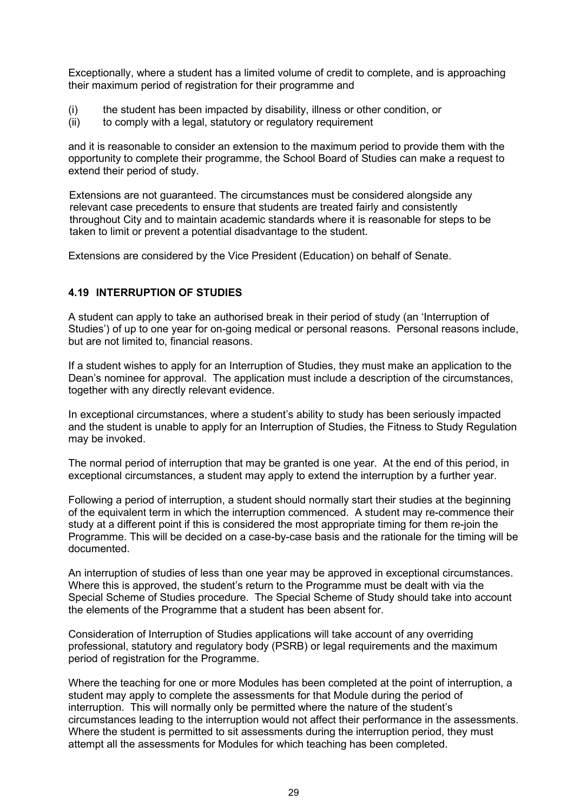Exceptionally, where a student has a limited volume of credit to complete, and is approaching their maximum period of registration for their programme and

- (i) the student has been impacted by disability, illness or other condition, or
- (ii) to comply with a legal, statutory or regulatory requirement

and it is reasonable to consider an extension to the maximum period to provide them with the opportunity to complete their programme, the School Board of Studies can make a request to extend their period of study.

Extensions are not guaranteed. The circumstances must be considered alongside any relevant case precedents to ensure that students are treated fairly and consistently throughout City and to maintain academic standards where it is reasonable for steps to be taken to limit or prevent a potential disadvantage to the student.

Extensions are considered by the Vice President (Education) on behalf of Senate.

#### <span id="page-28-0"></span>**4.19 INTERRUPTION OF STUDIES**

A student can apply to take an authorised break in their period of study (an 'Interruption of Studies') of up to one year for on-going medical or personal reasons. Personal reasons include, but are not limited to, financial reasons.

If a student wishes to apply for an Interruption of Studies, they must make an application to the Dean's nominee for approval. The application must include a description of the circumstances, together with any directly relevant evidence.

In exceptional circumstances, where a student's ability to study has been seriously impacted and the student is unable to apply for an Interruption of Studies, the Fitness to Study Regulation may be invoked.

The normal period of interruption that may be granted is one year. At the end of this period, in exceptional circumstances, a student may apply to extend the interruption by a further year.

Following a period of interruption, a student should normally start their studies at the beginning of the equivalent term in which the interruption commenced. A student may re-commence their study at a different point if this is considered the most appropriate timing for them re-join the Programme. This will be decided on a case-by-case basis and the rationale for the timing will be documented.

An interruption of studies of less than one year may be approved in exceptional circumstances. Where this is approved, the student's return to the Programme must be dealt with via the Special Scheme of Studies procedure. The Special Scheme of Study should take into account the elements of the Programme that a student has been absent for.

Consideration of Interruption of Studies applications will take account of any overriding professional, statutory and regulatory body (PSRB) or legal requirements and the maximum period of registration for the Programme.

Where the teaching for one or more Modules has been completed at the point of interruption, a student may apply to complete the assessments for that Module during the period of interruption. This will normally only be permitted where the nature of the student's circumstances leading to the interruption would not affect their performance in the assessments. Where the student is permitted to sit assessments during the interruption period, they must attempt all the assessments for Modules for which teaching has been completed.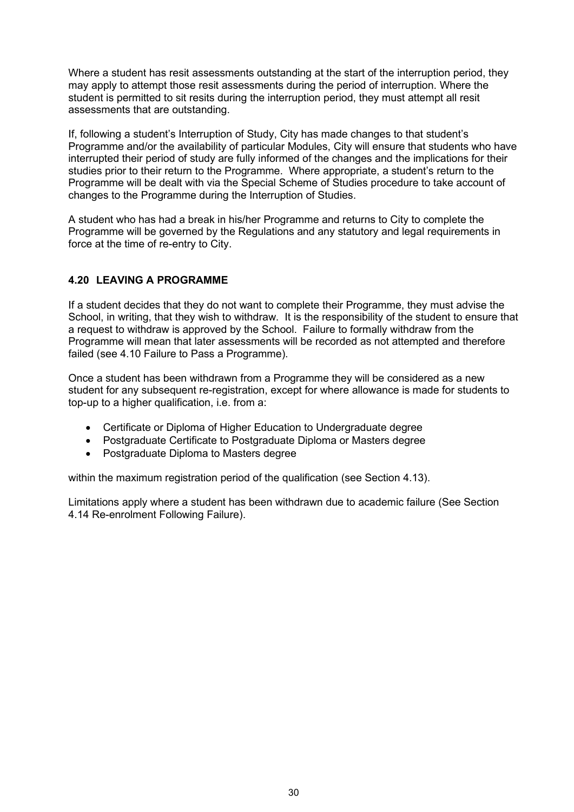Where a student has resit assessments outstanding at the start of the interruption period, they may apply to attempt those resit assessments during the period of interruption. Where the student is permitted to sit resits during the interruption period, they must attempt all resit assessments that are outstanding.

If, following a student's Interruption of Study, City has made changes to that student's Programme and/or the availability of particular Modules, City will ensure that students who have interrupted their period of study are fully informed of the changes and the implications for their studies prior to their return to the Programme. Where appropriate, a student's return to the Programme will be dealt with via the Special Scheme of Studies procedure to take account of changes to the Programme during the Interruption of Studies.

A student who has had a break in his/her Programme and returns to City to complete the Programme will be governed by the Regulations and any statutory and legal requirements in force at the time of re-entry to City.

## <span id="page-29-0"></span>**4.20 LEAVING A PROGRAMME**

If a student decides that they do not want to complete their Programme, they must advise the School, in writing, that they wish to withdraw. It is the responsibility of the student to ensure that a request to withdraw is approved by the School. Failure to formally withdraw from the Programme will mean that later assessments will be recorded as not attempted and therefore failed (see 4.10 Failure to Pass a Programme).

Once a student has been withdrawn from a Programme they will be considered as a new student for any subsequent re-registration, except for where allowance is made for students to top-up to a higher qualification, i.e. from a:

- Certificate or Diploma of Higher Education to Undergraduate degree
- Postgraduate Certificate to Postgraduate Diploma or Masters degree
- Postgraduate Diploma to Masters degree

within the maximum registration period of the qualification (see Section 4.13).

Limitations apply where a student has been withdrawn due to academic failure (See Section 4.14 Re-enrolment Following Failure).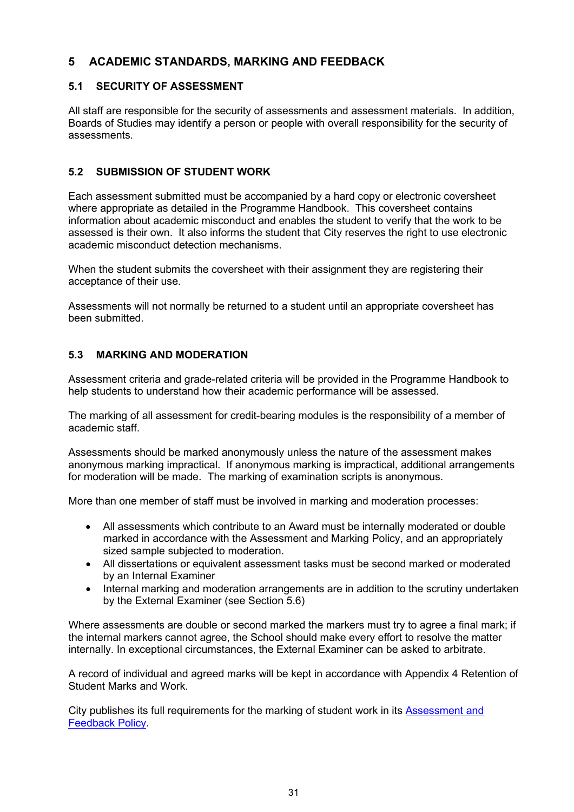## <span id="page-30-0"></span>**5 ACADEMIC STANDARDS, MARKING AND FEEDBACK**

#### <span id="page-30-1"></span>**5.1 SECURITY OF ASSESSMENT**

All staff are responsible for the security of assessments and assessment materials. In addition, Boards of Studies may identify a person or people with overall responsibility for the security of assessments.

#### <span id="page-30-2"></span>**5.2 SUBMISSION OF STUDENT WORK**

Each assessment submitted must be accompanied by a hard copy or electronic coversheet where appropriate as detailed in the Programme Handbook. This coversheet contains information about academic misconduct and enables the student to verify that the work to be assessed is their own. It also informs the student that City reserves the right to use electronic academic misconduct detection mechanisms.

When the student submits the coversheet with their assignment they are registering their acceptance of their use.

Assessments will not normally be returned to a student until an appropriate coversheet has been submitted.

#### <span id="page-30-3"></span>**5.3 MARKING AND MODERATION**

Assessment criteria and grade-related criteria will be provided in the Programme Handbook to help students to understand how their academic performance will be assessed.

The marking of all assessment for credit-bearing modules is the responsibility of a member of academic staff.

Assessments should be marked anonymously unless the nature of the assessment makes anonymous marking impractical. If anonymous marking is impractical, additional arrangements for moderation will be made. The marking of examination scripts is anonymous.

More than one member of staff must be involved in marking and moderation processes:

- All assessments which contribute to an Award must be internally moderated or double marked in accordance with the Assessment and Marking Policy, and an appropriately sized sample subjected to moderation.
- All dissertations or equivalent assessment tasks must be second marked or moderated by an Internal Examiner
- Internal marking and moderation arrangements are in addition to the scrutiny undertaken by the External Examiner (see Section 5.6)

Where assessments are double or second marked the markers must try to agree a final mark; if the internal markers cannot agree, the School should make every effort to resolve the matter internally. In exceptional circumstances, the External Examiner can be asked to arbitrate.

A record of individual and agreed marks will be kept in accordance with Appendix 4 Retention of Student Marks and Work.

City publishes its full requirements for the marking of student work in its [Assessment and](https://www.city.ac.uk/__data/assets/pdf_file/0009/452565/Assessment-and-Feedback-Policy...pdf)  [Feedback Policy.](https://www.city.ac.uk/__data/assets/pdf_file/0009/452565/Assessment-and-Feedback-Policy...pdf)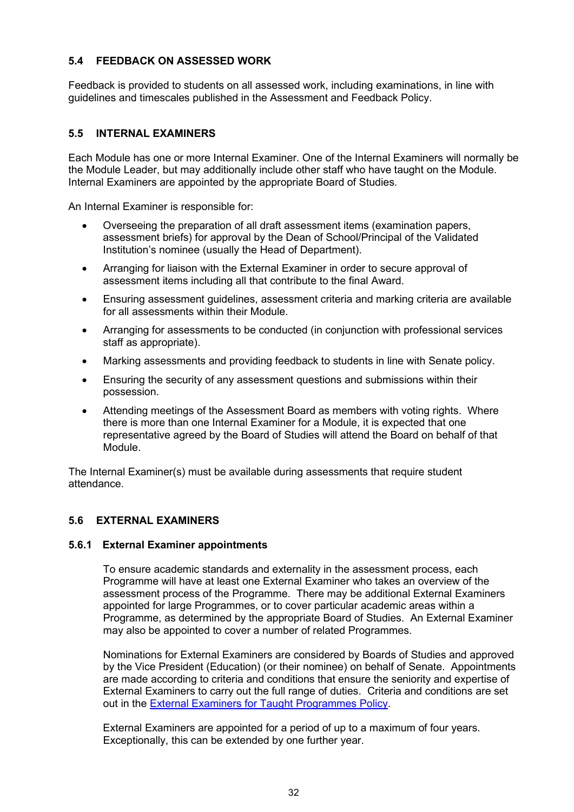#### <span id="page-31-0"></span>**5.4 FEEDBACK ON ASSESSED WORK**

Feedback is provided to students on all assessed work, including examinations, in line with guidelines and timescales published in the Assessment and Feedback Policy.

#### <span id="page-31-1"></span>**5.5 INTERNAL EXAMINERS**

Each Module has one or more Internal Examiner. One of the Internal Examiners will normally be the Module Leader, but may additionally include other staff who have taught on the Module. Internal Examiners are appointed by the appropriate Board of Studies.

An Internal Examiner is responsible for:

- Overseeing the preparation of all draft assessment items (examination papers, assessment briefs) for approval by the Dean of School/Principal of the Validated Institution's nominee (usually the Head of Department).
- Arranging for liaison with the External Examiner in order to secure approval of assessment items including all that contribute to the final Award.
- Ensuring assessment guidelines, assessment criteria and marking criteria are available for all assessments within their Module.
- Arranging for assessments to be conducted (in conjunction with professional services staff as appropriate).
- Marking assessments and providing feedback to students in line with Senate policy.
- Ensuring the security of any assessment questions and submissions within their possession.
- Attending meetings of the Assessment Board as members with voting rights. Where there is more than one Internal Examiner for a Module, it is expected that one representative agreed by the Board of Studies will attend the Board on behalf of that Module.

The Internal Examiner(s) must be available during assessments that require student attendance.

#### <span id="page-31-2"></span>**5.6 EXTERNAL EXAMINERS**

#### <span id="page-31-3"></span>**5.6.1 External Examiner appointments**

To ensure academic standards and externality in the assessment process, each Programme will have at least one External Examiner who takes an overview of the assessment process of the Programme. There may be additional External Examiners appointed for large Programmes, or to cover particular academic areas within a Programme, as determined by the appropriate Board of Studies. An External Examiner may also be appointed to cover a number of related Programmes.

Nominations for External Examiners are considered by Boards of Studies and approved by the Vice President (Education) (or their nominee) on behalf of Senate. Appointments are made according to criteria and conditions that ensure the seniority and expertise of External Examiners to carry out the full range of duties. Criteria and conditions are set out in the [External Examiners for Taught Programmes Policy.](https://www.city.ac.uk/about/governance/policies/external-examinations)

External Examiners are appointed for a period of up to a maximum of four years. Exceptionally, this can be extended by one further year.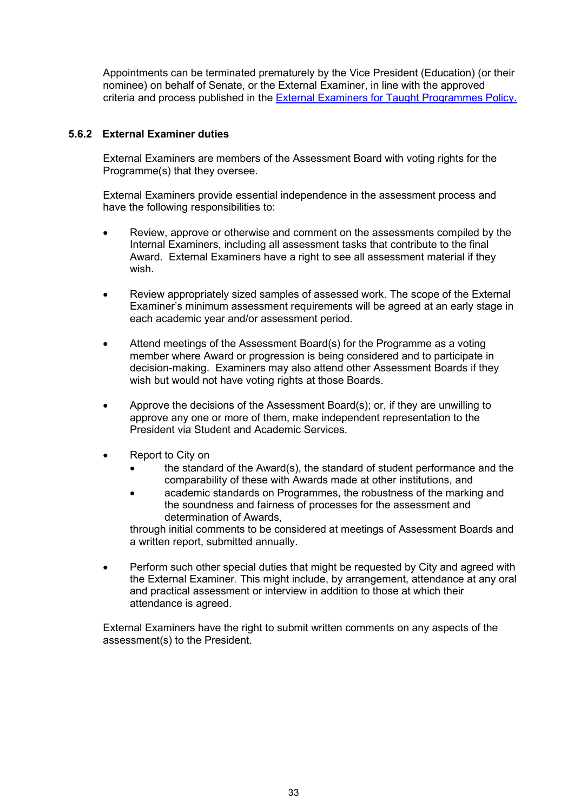Appointments can be terminated prematurely by the Vice President (Education) (or their nominee) on behalf of Senate, or the External Examiner, in line with the approved criteria and process published in the [External Examiners for Taught Programmes Policy.](https://www.city.ac.uk/about/governance/policies/external-examinations)

#### <span id="page-32-0"></span>**5.6.2 External Examiner duties**

External Examiners are members of the Assessment Board with voting rights for the Programme(s) that they oversee.

External Examiners provide essential independence in the assessment process and have the following responsibilities to:

- Review, approve or otherwise and comment on the assessments compiled by the Internal Examiners, including all assessment tasks that contribute to the final Award. External Examiners have a right to see all assessment material if they wish.
- Review appropriately sized samples of assessed work. The scope of the External Examiner's minimum assessment requirements will be agreed at an early stage in each academic year and/or assessment period.
- Attend meetings of the Assessment Board(s) for the Programme as a voting member where Award or progression is being considered and to participate in decision-making. Examiners may also attend other Assessment Boards if they wish but would not have voting rights at those Boards.
- Approve the decisions of the Assessment Board(s); or, if they are unwilling to approve any one or more of them, make independent representation to the President via Student and Academic Services.
- Report to City on
	- the standard of the Award(s), the standard of student performance and the comparability of these with Awards made at other institutions, and
	- academic standards on Programmes, the robustness of the marking and the soundness and fairness of processes for the assessment and determination of Awards,

through initial comments to be considered at meetings of Assessment Boards and a written report, submitted annually.

• Perform such other special duties that might be requested by City and agreed with the External Examiner. This might include, by arrangement, attendance at any oral and practical assessment or interview in addition to those at which their attendance is agreed.

External Examiners have the right to submit written comments on any aspects of the assessment(s) to the President.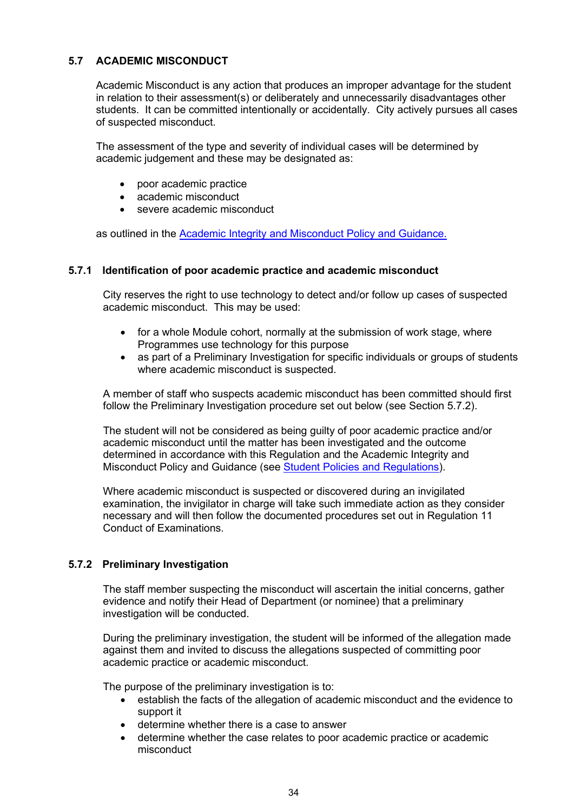#### <span id="page-33-0"></span>**5.7 ACADEMIC MISCONDUCT**

Academic Misconduct is any action that produces an improper advantage for the student in relation to their assessment(s) or deliberately and unnecessarily disadvantages other students. It can be committed intentionally or accidentally. City actively pursues all cases of suspected misconduct.

The assessment of the type and severity of individual cases will be determined by academic judgement and these may be designated as:

- poor academic practice
- academic misconduct
- severe academic misconduct

as outlined in the [Academic Integrity and Misconduct Policy and Guidance.](https://www.city.ac.uk/__data/assets/pdf_file/0008/494576/Academic-Misconduct-Policy-and-Guidance-1920..pdf)

#### <span id="page-33-1"></span>**5.7.1 Identification of poor academic practice and academic misconduct**

City reserves the right to use technology to detect and/or follow up cases of suspected academic misconduct. This may be used:

- for a whole Module cohort, normally at the submission of work stage, where Programmes use technology for this purpose
- as part of a Preliminary Investigation for specific individuals or groups of students where academic misconduct is suspected.

A member of staff who suspects academic misconduct has been committed should first follow the Preliminary Investigation procedure set out below (see Section 5.7.2).

The student will not be considered as being guilty of poor academic practice and/or academic misconduct until the matter has been investigated and the outcome determined in accordance with this Regulation and the Academic Integrity and Misconduct Policy and Guidance (see [Student Policies and Regulations\)](http://www.city.ac.uk/about/education/quality-manual/6-assessment).

Where academic misconduct is suspected or discovered during an invigilated examination, the invigilator in charge will take such immediate action as they consider necessary and will then follow the documented procedures set out in Regulation 11 Conduct of Examinations.

#### <span id="page-33-2"></span>**5.7.2 Preliminary Investigation**

The staff member suspecting the misconduct will ascertain the initial concerns, gather evidence and notify their Head of Department (or nominee) that a preliminary investigation will be conducted.

During the preliminary investigation, the student will be informed of the allegation made against them and invited to discuss the allegations suspected of committing poor academic practice or academic misconduct.

The purpose of the preliminary investigation is to:

- establish the facts of the allegation of academic misconduct and the evidence to support it
- determine whether there is a case to answer
- determine whether the case relates to poor academic practice or academic misconduct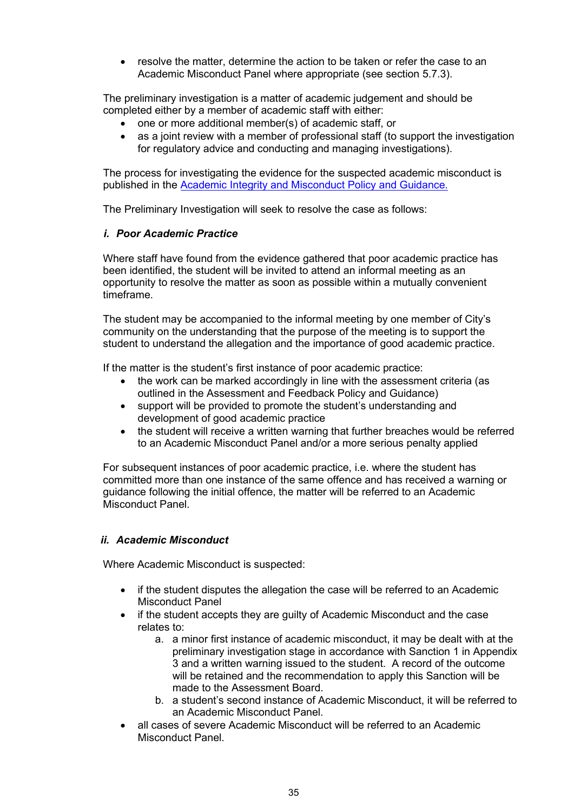• resolve the matter, determine the action to be taken or refer the case to an Academic Misconduct Panel where appropriate (see section 5.7.3).

The preliminary investigation is a matter of academic judgement and should be completed either by a member of academic staff with either:

- one or more additional member(s) of academic staff, or
- as a joint review with a member of professional staff (to support the investigation for regulatory advice and conducting and managing investigations).

The process for investigating the evidence for the suspected academic misconduct is published in the [Academic Integrity and Misconduct Policy and Guidance.](https://www.city.ac.uk/__data/assets/pdf_file/0008/494576/Academic-Misconduct-Policy-and-Guidance-1920..pdf) 

The Preliminary Investigation will seek to resolve the case as follows:

#### *i. Poor Academic Practice*

Where staff have found from the evidence gathered that poor academic practice has been identified, the student will be invited to attend an informal meeting as an opportunity to resolve the matter as soon as possible within a mutually convenient timeframe.

The student may be accompanied to the informal meeting by one member of City's community on the understanding that the purpose of the meeting is to support the student to understand the allegation and the importance of good academic practice.

If the matter is the student's first instance of poor academic practice:

- the work can be marked accordingly in line with the assessment criteria (as outlined in the Assessment and Feedback Policy and Guidance)
- support will be provided to promote the student's understanding and development of good academic practice
- the student will receive a written warning that further breaches would be referred to an Academic Misconduct Panel and/or a more serious penalty applied

For subsequent instances of poor academic practice, i.e. where the student has committed more than one instance of the same offence and has received a warning or guidance following the initial offence, the matter will be referred to an Academic Misconduct Panel.

#### *ii. Academic Misconduct*

Where Academic Misconduct is suspected:

- if the student disputes the allegation the case will be referred to an Academic Misconduct Panel
- if the student accepts they are guilty of Academic Misconduct and the case relates to:
	- a. a minor first instance of academic misconduct, it may be dealt with at the preliminary investigation stage in accordance with Sanction 1 in Appendix 3 and a written warning issued to the student. A record of the outcome will be retained and the recommendation to apply this Sanction will be made to the Assessment Board.
	- b. a student's second instance of Academic Misconduct, it will be referred to an Academic Misconduct Panel.
- all cases of severe Academic Misconduct will be referred to an Academic Misconduct Panel.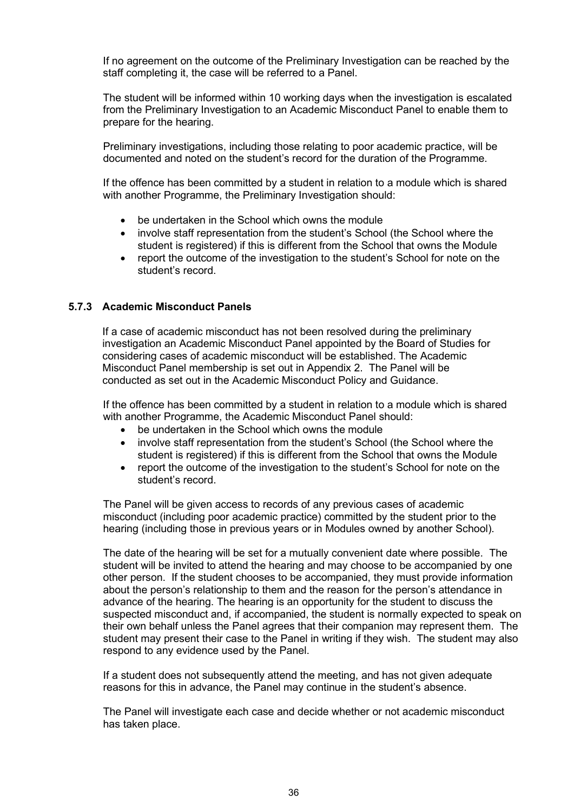If no agreement on the outcome of the Preliminary Investigation can be reached by the staff completing it, the case will be referred to a Panel.

The student will be informed within 10 working days when the investigation is escalated from the Preliminary Investigation to an Academic Misconduct Panel to enable them to prepare for the hearing.

Preliminary investigations, including those relating to poor academic practice, will be documented and noted on the student's record for the duration of the Programme.

If the offence has been committed by a student in relation to a module which is shared with another Programme, the Preliminary Investigation should:

- be undertaken in the School which owns the module
- involve staff representation from the student's School (the School where the student is registered) if this is different from the School that owns the Module
- report the outcome of the investigation to the student's School for note on the student's record.

#### <span id="page-35-0"></span>**5.7.3 Academic Misconduct Panels**

If a case of academic misconduct has not been resolved during the preliminary investigation an Academic Misconduct Panel appointed by the Board of Studies for considering cases of academic misconduct will be established. The Academic Misconduct Panel membership is set out in Appendix 2. The Panel will be conducted as set out in the Academic Misconduct Policy and Guidance.

If the offence has been committed by a student in relation to a module which is shared with another Programme, the Academic Misconduct Panel should:

- be undertaken in the School which owns the module
- involve staff representation from the student's School (the School where the student is registered) if this is different from the School that owns the Module
- report the outcome of the investigation to the student's School for note on the student's record.

The Panel will be given access to records of any previous cases of academic misconduct (including poor academic practice) committed by the student prior to the hearing (including those in previous years or in Modules owned by another School).

The date of the hearing will be set for a mutually convenient date where possible. The student will be invited to attend the hearing and may choose to be accompanied by one other person. If the student chooses to be accompanied, they must provide information about the person's relationship to them and the reason for the person's attendance in advance of the hearing. The hearing is an opportunity for the student to discuss the suspected misconduct and, if accompanied, the student is normally expected to speak on their own behalf unless the Panel agrees that their companion may represent them. The student may present their case to the Panel in writing if they wish. The student may also respond to any evidence used by the Panel.

If a student does not subsequently attend the meeting, and has not given adequate reasons for this in advance, the Panel may continue in the student's absence.

The Panel will investigate each case and decide whether or not academic misconduct has taken place.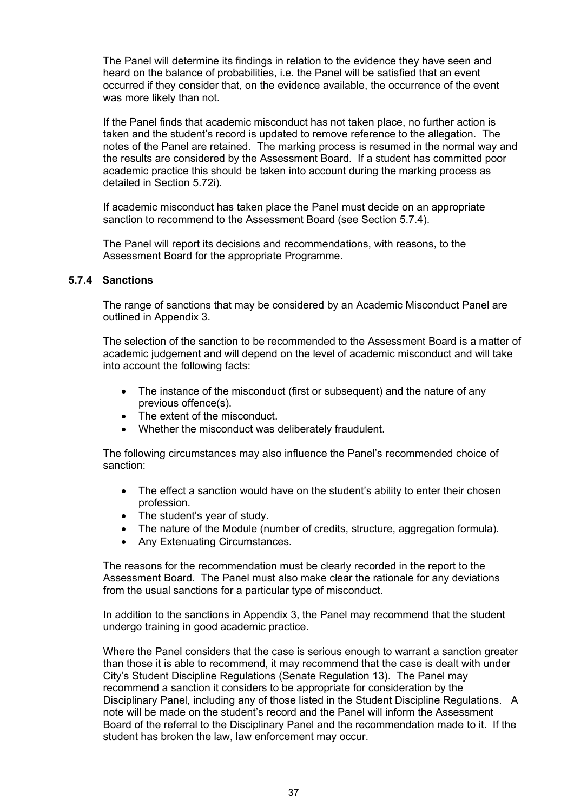The Panel will determine its findings in relation to the evidence they have seen and heard on the balance of probabilities, i.e. the Panel will be satisfied that an event occurred if they consider that, on the evidence available, the occurrence of the event was more likely than not.

If the Panel finds that academic misconduct has not taken place, no further action is taken and the student's record is updated to remove reference to the allegation. The notes of the Panel are retained. The marking process is resumed in the normal way and the results are considered by the Assessment Board. If a student has committed poor academic practice this should be taken into account during the marking process as detailed in Section 5.72i).

If academic misconduct has taken place the Panel must decide on an appropriate sanction to recommend to the Assessment Board (see Section 5.7.4).

The Panel will report its decisions and recommendations, with reasons, to the Assessment Board for the appropriate Programme.

#### **5.7.4 Sanctions**

The range of sanctions that may be considered by an Academic Misconduct Panel are outlined in Appendix 3.

The selection of the sanction to be recommended to the Assessment Board is a matter of academic judgement and will depend on the level of academic misconduct and will take into account the following facts:

- The instance of the misconduct (first or subsequent) and the nature of any previous offence(s).
- The extent of the misconduct.
- Whether the misconduct was deliberately fraudulent.

The following circumstances may also influence the Panel's recommended choice of sanction:

- The effect a sanction would have on the student's ability to enter their chosen profession.
- The student's year of study.
- The nature of the Module (number of credits, structure, aggregation formula).
- Any Extenuating Circumstances.

The reasons for the recommendation must be clearly recorded in the report to the Assessment Board. The Panel must also make clear the rationale for any deviations from the usual sanctions for a particular type of misconduct.

In addition to the sanctions in Appendix 3, the Panel may recommend that the student undergo training in good academic practice.

Where the Panel considers that the case is serious enough to warrant a sanction greater than those it is able to recommend, it may recommend that the case is dealt with under City's Student Discipline Regulations (Senate Regulation 13). The Panel may recommend a sanction it considers to be appropriate for consideration by the Disciplinary Panel, including any of those listed in the Student Discipline Regulations. A note will be made on the student's record and the Panel will inform the Assessment Board of the referral to the Disciplinary Panel and the recommendation made to it. If the student has broken the law, law enforcement may occur.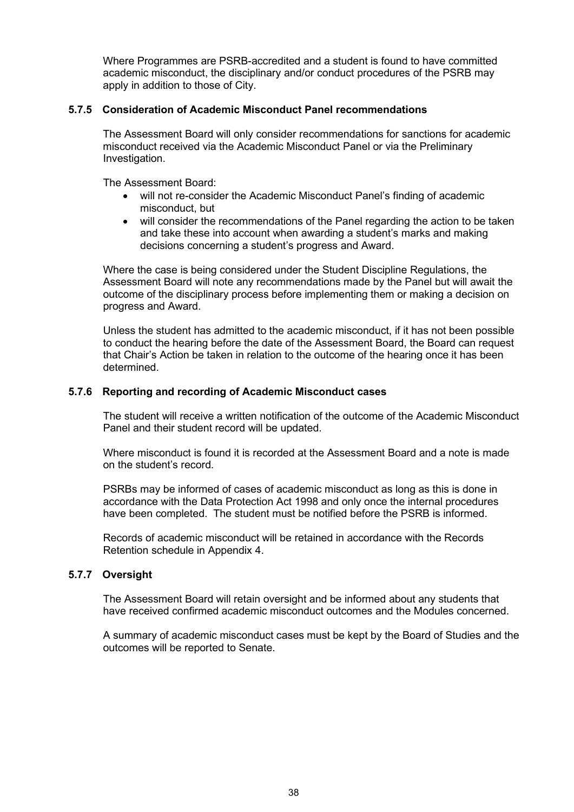Where Programmes are PSRB-accredited and a student is found to have committed academic misconduct, the disciplinary and/or conduct procedures of the PSRB may apply in addition to those of City.

#### **5.7.5 Consideration of Academic Misconduct Panel recommendations**

The Assessment Board will only consider recommendations for sanctions for academic misconduct received via the Academic Misconduct Panel or via the Preliminary Investigation.

The Assessment Board:

- will not re-consider the Academic Misconduct Panel's finding of academic misconduct, but
- will consider the recommendations of the Panel regarding the action to be taken and take these into account when awarding a student's marks and making decisions concerning a student's progress and Award.

Where the case is being considered under the Student Discipline Regulations, the Assessment Board will note any recommendations made by the Panel but will await the outcome of the disciplinary process before implementing them or making a decision on progress and Award.

Unless the student has admitted to the academic misconduct, if it has not been possible to conduct the hearing before the date of the Assessment Board, the Board can request that Chair's Action be taken in relation to the outcome of the hearing once it has been determined.

#### **5.7.6 Reporting and recording of Academic Misconduct cases**

The student will receive a written notification of the outcome of the Academic Misconduct Panel and their student record will be updated.

Where misconduct is found it is recorded at the Assessment Board and a note is made on the student's record.

PSRBs may be informed of cases of academic misconduct as long as this is done in accordance with the Data Protection Act 1998 and only once the internal procedures have been completed. The student must be notified before the PSRB is informed.

Records of academic misconduct will be retained in accordance with the Records Retention schedule in Appendix 4.

## **5.7.7 Oversight**

The Assessment Board will retain oversight and be informed about any students that have received confirmed academic misconduct outcomes and the Modules concerned.

A summary of academic misconduct cases must be kept by the Board of Studies and the outcomes will be reported to Senate.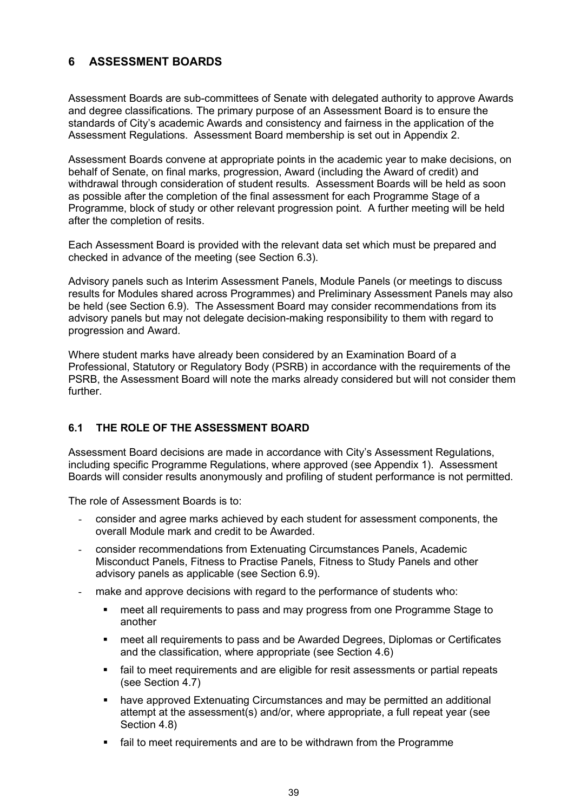# **6 ASSESSMENT BOARDS**

Assessment Boards are sub-committees of Senate with delegated authority to approve Awards and degree classifications*.* The primary purpose of an Assessment Board is to ensure the standards of City's academic Awards and consistency and fairness in the application of the Assessment Regulations.Assessment Board membership is set out in Appendix 2.

Assessment Boards convene at appropriate points in the academic year to make decisions, on behalf of Senate, on final marks, progression, Award (including the Award of credit) and withdrawal through consideration of student results*.* Assessment Boards will be held as soon as possible after the completion of the final assessment for each Programme Stage of a Programme, block of study or other relevant progression point. A further meeting will be held after the completion of resits.

Each Assessment Board is provided with the relevant data set which must be prepared and checked in advance of the meeting (see Section 6.3).

Advisory panels such as Interim Assessment Panels, Module Panels (or meetings to discuss results for Modules shared across Programmes) and Preliminary Assessment Panels may also be held (see Section 6.9). The Assessment Board may consider recommendations from its advisory panels but may not delegate decision-making responsibility to them with regard to progression and Award.

Where student marks have already been considered by an Examination Board of a Professional, Statutory or Regulatory Body (PSRB) in accordance with the requirements of the PSRB, the Assessment Board will note the marks already considered but will not consider them further.

# **6.1 THE ROLE OF THE ASSESSMENT BOARD**

Assessment Board decisions are made in accordance with City's Assessment Regulations, including specific Programme Regulations, where approved (see Appendix 1). Assessment Boards will consider results anonymously and profiling of student performance is not permitted.

The role of Assessment Boards is to:

- consider and agree marks achieved by each student for assessment components, the overall Module mark and credit to be Awarded.
- consider recommendations from Extenuating Circumstances Panels, Academic Misconduct Panels, Fitness to Practise Panels, Fitness to Study Panels and other advisory panels as applicable (see Section 6.9).
- make and approve decisions with regard to the performance of students who:
	- meet all requirements to pass and may progress from one Programme Stage to another
	- meet all requirements to pass and be Awarded Degrees, Diplomas or Certificates and the classification, where appropriate (see Section 4.6)
	- fail to meet requirements and are eligible for resit assessments or partial repeats (see Section 4.7)
	- have approved Extenuating Circumstances and may be permitted an additional attempt at the assessment(s) and/or, where appropriate, a full repeat year (see Section 4.8)
	- fail to meet requirements and are to be withdrawn from the Programme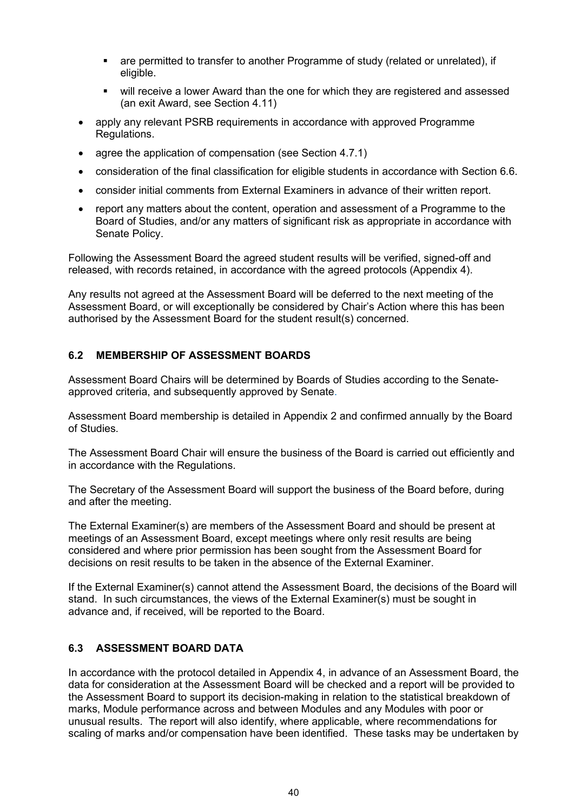- are permitted to transfer to another Programme of study (related or unrelated), if eligible.
- will receive a lower Award than the one for which they are registered and assessed (an exit Award, see Section 4.11)
- apply any relevant PSRB requirements in accordance with approved Programme Regulations.
- agree the application of compensation (see Section 4.7.1)
- consideration of the final classification for eligible students in accordance with Section 6.6.
- consider initial comments from External Examiners in advance of their written report.
- report any matters about the content, operation and assessment of a Programme to the Board of Studies, and/or any matters of significant risk as appropriate in accordance with Senate Policy.

Following the Assessment Board the agreed student results will be verified, signed-off and released, with records retained, in accordance with the agreed protocols (Appendix 4).

Any results not agreed at the Assessment Board will be deferred to the next meeting of the Assessment Board, or will exceptionally be considered by Chair's Action where this has been authorised by the Assessment Board for the student result(s) concerned.

# **6.2 MEMBERSHIP OF ASSESSMENT BOARDS**

Assessment Board Chairs will be determined by Boards of Studies according to the Senateapproved criteria, and subsequently approved by Senate.

Assessment Board membership is detailed in Appendix 2 and confirmed annually by the Board of Studies.

The Assessment Board Chair will ensure the business of the Board is carried out efficiently and in accordance with the Regulations.

The Secretary of the Assessment Board will support the business of the Board before, during and after the meeting.

The External Examiner(s) are members of the Assessment Board and should be present at meetings of an Assessment Board, except meetings where only resit results are being considered and where prior permission has been sought from the Assessment Board for decisions on resit results to be taken in the absence of the External Examiner.

If the External Examiner(s) cannot attend the Assessment Board, the decisions of the Board will stand. In such circumstances, the views of the External Examiner(s) must be sought in advance and, if received, will be reported to the Board.

# **6.3 ASSESSMENT BOARD DATA**

In accordance with the protocol detailed in Appendix 4, in advance of an Assessment Board, the data for consideration at the Assessment Board will be checked and a report will be provided to the Assessment Board to support its decision-making in relation to the statistical breakdown of marks, Module performance across and between Modules and any Modules with poor or unusual results. The report will also identify, where applicable, where recommendations for scaling of marks and/or compensation have been identified. These tasks may be undertaken by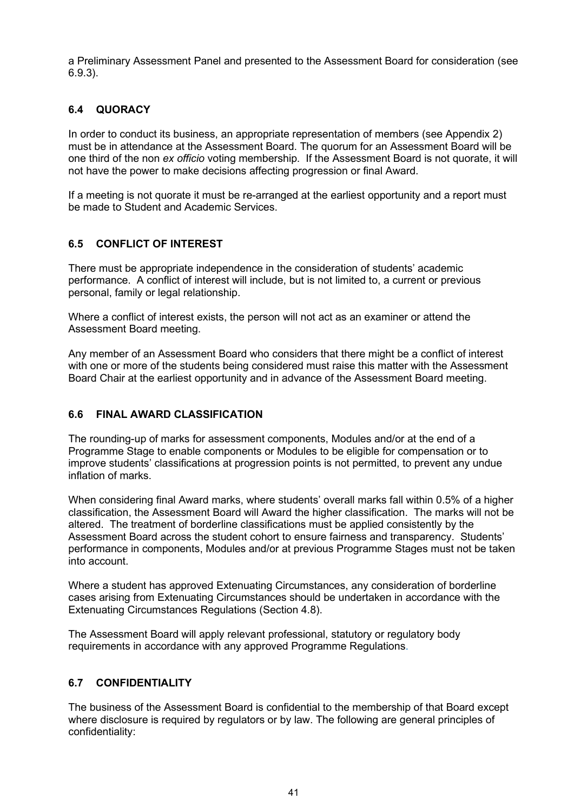a Preliminary Assessment Panel and presented to the Assessment Board for consideration (see 6.9.3).

# **6.4 QUORACY**

In order to conduct its business, an appropriate representation of members (see Appendix 2) must be in attendance at the Assessment Board. The quorum for an Assessment Board will be one third of the non *ex officio* voting membership. If the Assessment Board is not quorate, it will not have the power to make decisions affecting progression or final Award.

If a meeting is not quorate it must be re-arranged at the earliest opportunity and a report must be made to Student and Academic Services.

# **6.5 CONFLICT OF INTEREST**

There must be appropriate independence in the consideration of students' academic performance. A conflict of interest will include, but is not limited to, a current or previous personal, family or legal relationship.

Where a conflict of interest exists, the person will not act as an examiner or attend the Assessment Board meeting.

Any member of an Assessment Board who considers that there might be a conflict of interest with one or more of the students being considered must raise this matter with the Assessment Board Chair at the earliest opportunity and in advance of the Assessment Board meeting.

# **6.6 FINAL AWARD CLASSIFICATION**

The rounding-up of marks for assessment components, Modules and/or at the end of a Programme Stage to enable components or Modules to be eligible for compensation or to improve students' classifications at progression points is not permitted, to prevent any undue inflation of marks.

When considering final Award marks, where students' overall marks fall within 0.5% of a higher classification, the Assessment Board will Award the higher classification. The marks will not be altered. The treatment of borderline classifications must be applied consistently by the Assessment Board across the student cohort to ensure fairness and transparency. Students' performance in components, Modules and/or at previous Programme Stages must not be taken into account.

Where a student has approved Extenuating Circumstances, any consideration of borderline cases arising from Extenuating Circumstances should be undertaken in accordance with the Extenuating Circumstances Regulations (Section 4.8).

The Assessment Board will apply relevant professional, statutory or regulatory body requirements in accordance with any approved Programme Regulations.

# **6.7 CONFIDENTIALITY**

The business of the Assessment Board is confidential to the membership of that Board except where disclosure is required by regulators or by law. The following are general principles of confidentiality: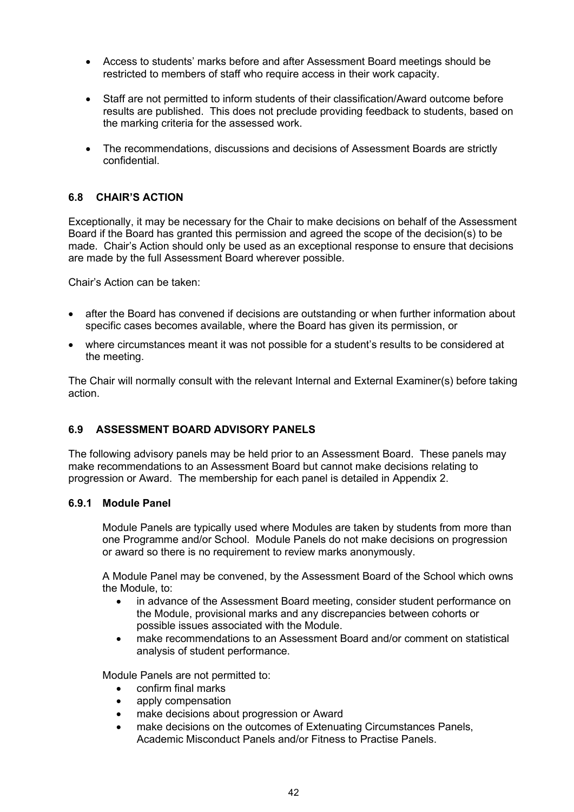- Access to students' marks before and after Assessment Board meetings should be restricted to members of staff who require access in their work capacity.
- Staff are not permitted to inform students of their classification/Award outcome before results are published. This does not preclude providing feedback to students, based on the marking criteria for the assessed work.
- The recommendations, discussions and decisions of Assessment Boards are strictly confidential.

## **6.8 CHAIR'S ACTION**

Exceptionally, it may be necessary for the Chair to make decisions on behalf of the Assessment Board if the Board has granted this permission and agreed the scope of the decision(s) to be made. Chair's Action should only be used as an exceptional response to ensure that decisions are made by the full Assessment Board wherever possible.

Chair's Action can be taken:

- after the Board has convened if decisions are outstanding or when further information about specific cases becomes available, where the Board has given its permission, or
- where circumstances meant it was not possible for a student's results to be considered at the meeting.

The Chair will normally consult with the relevant Internal and External Examiner(s) before taking action.

# **6.9 ASSESSMENT BOARD ADVISORY PANELS**

The following advisory panels may be held prior to an Assessment Board. These panels may make recommendations to an Assessment Board but cannot make decisions relating to progression or Award. The membership for each panel is detailed in Appendix 2.

#### **6.9.1 Module Panel**

Module Panels are typically used where Modules are taken by students from more than one Programme and/or School. Module Panels do not make decisions on progression or award so there is no requirement to review marks anonymously.

A Module Panel may be convened, by the Assessment Board of the School which owns the Module, to:

- in advance of the Assessment Board meeting, consider student performance on the Module, provisional marks and any discrepancies between cohorts or possible issues associated with the Module.
- make recommendations to an Assessment Board and/or comment on statistical analysis of student performance.

Module Panels are not permitted to:

- confirm final marks
- apply compensation
- make decisions about progression or Award
- make decisions on the outcomes of Extenuating Circumstances Panels, Academic Misconduct Panels and/or Fitness to Practise Panels.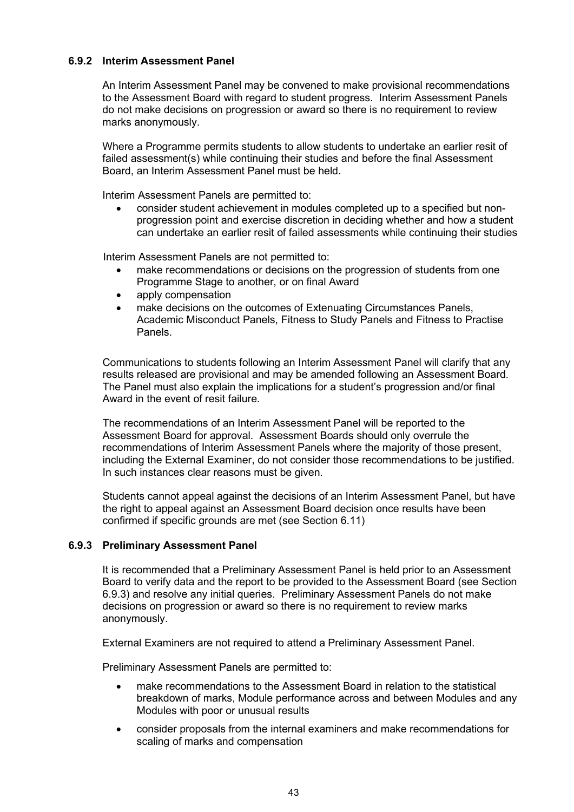#### **6.9.2 Interim Assessment Panel**

An Interim Assessment Panel may be convened to make provisional recommendations to the Assessment Board with regard to student progress. Interim Assessment Panels do not make decisions on progression or award so there is no requirement to review marks anonymously.

Where a Programme permits students to allow students to undertake an earlier resit of failed assessment(s) while continuing their studies and before the final Assessment Board, an Interim Assessment Panel must be held.

Interim Assessment Panels are permitted to:

• consider student achievement in modules completed up to a specified but nonprogression point and exercise discretion in deciding whether and how a student can undertake an earlier resit of failed assessments while continuing their studies

Interim Assessment Panels are not permitted to:

- make recommendations or decisions on the progression of students from one Programme Stage to another, or on final Award
- apply compensation
- make decisions on the outcomes of Extenuating Circumstances Panels, Academic Misconduct Panels, Fitness to Study Panels and Fitness to Practise Panels.

Communications to students following an Interim Assessment Panel will clarify that any results released are provisional and may be amended following an Assessment Board. The Panel must also explain the implications for a student's progression and/or final Award in the event of resit failure.

The recommendations of an Interim Assessment Panel will be reported to the Assessment Board for approval. Assessment Boards should only overrule the recommendations of Interim Assessment Panels where the majority of those present, including the External Examiner, do not consider those recommendations to be justified. In such instances clear reasons must be given.

Students cannot appeal against the decisions of an Interim Assessment Panel, but have the right to appeal against an Assessment Board decision once results have been confirmed if specific grounds are met (see Section 6.11)

#### **6.9.3 Preliminary Assessment Panel**

It is recommended that a Preliminary Assessment Panel is held prior to an Assessment Board to verify data and the report to be provided to the Assessment Board (see Section 6.9.3) and resolve any initial queries. Preliminary Assessment Panels do not make decisions on progression or award so there is no requirement to review marks anonymously.

External Examiners are not required to attend a Preliminary Assessment Panel.

Preliminary Assessment Panels are permitted to:

- make recommendations to the Assessment Board in relation to the statistical breakdown of marks, Module performance across and between Modules and any Modules with poor or unusual results
- consider proposals from the internal examiners and make recommendations for scaling of marks and compensation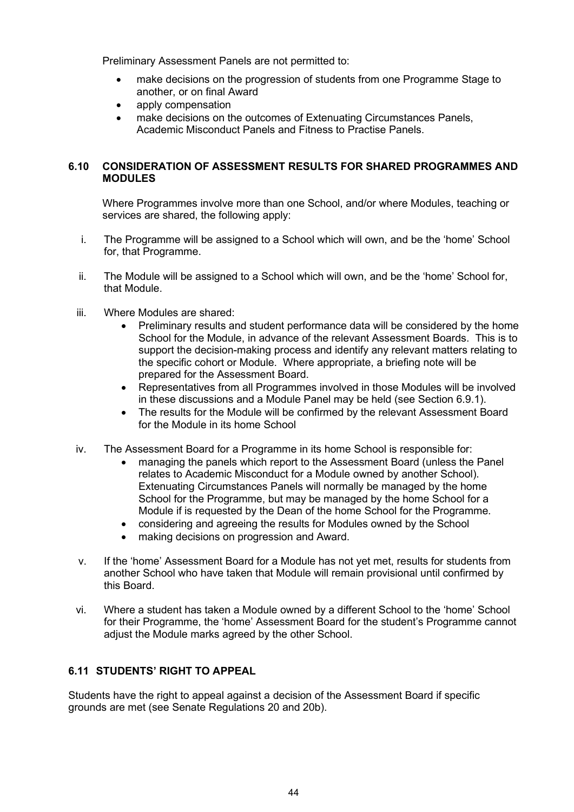Preliminary Assessment Panels are not permitted to:

- make decisions on the progression of students from one Programme Stage to another, or on final Award
- apply compensation
- make decisions on the outcomes of Extenuating Circumstances Panels, Academic Misconduct Panels and Fitness to Practise Panels.

## **6.10 CONSIDERATION OF ASSESSMENT RESULTS FOR SHARED PROGRAMMES AND MODULES**

Where Programmes involve more than one School, and/or where Modules, teaching or services are shared, the following apply:

- i. The Programme will be assigned to a School which will own, and be the 'home' School for, that Programme.
- ii. The Module will be assigned to a School which will own, and be the 'home' School for, that Module.
- iii. Where Modules are shared:
	- Preliminary results and student performance data will be considered by the home School for the Module, in advance of the relevant Assessment Boards. This is to support the decision-making process and identify any relevant matters relating to the specific cohort or Module. Where appropriate, a briefing note will be prepared for the Assessment Board.
	- Representatives from all Programmes involved in those Modules will be involved in these discussions and a Module Panel may be held (see Section 6.9.1).
	- The results for the Module will be confirmed by the relevant Assessment Board for the Module in its home School
- iv. The Assessment Board for a Programme in its home School is responsible for:
	- managing the panels which report to the Assessment Board (unless the Panel relates to Academic Misconduct for a Module owned by another School). Extenuating Circumstances Panels will normally be managed by the home School for the Programme, but may be managed by the home School for a Module if is requested by the Dean of the home School for the Programme.
	- considering and agreeing the results for Modules owned by the School
	- making decisions on progression and Award.
- v. If the 'home' Assessment Board for a Module has not yet met, results for students from another School who have taken that Module will remain provisional until confirmed by this Board.
- vi. Where a student has taken a Module owned by a different School to the 'home' School for their Programme, the 'home' Assessment Board for the student's Programme cannot adjust the Module marks agreed by the other School.

# **6.11 STUDENTS' RIGHT TO APPEAL**

Students have the right to appeal against a decision of the Assessment Board if specific grounds are met (see Senate Regulations 20 and 20b).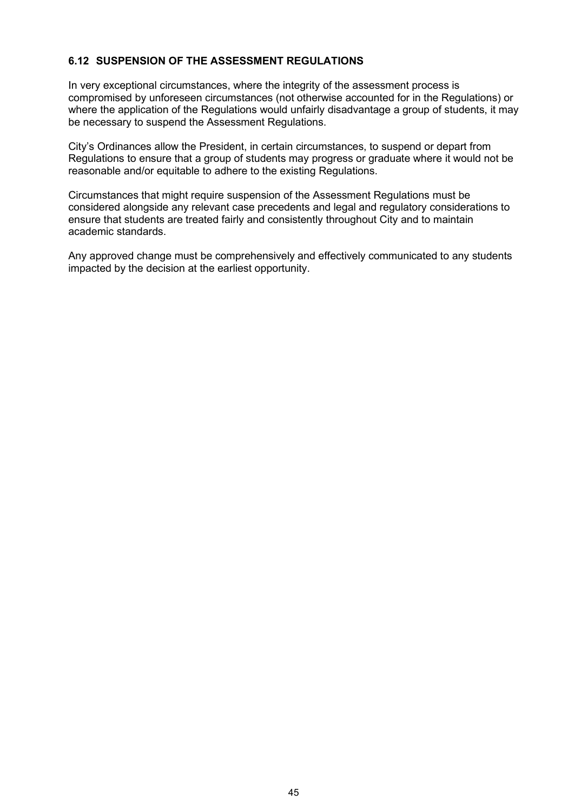# **6.12 SUSPENSION OF THE ASSESSMENT REGULATIONS**

In very exceptional circumstances, where the integrity of the assessment process is compromised by unforeseen circumstances (not otherwise accounted for in the Regulations) or where the application of the Regulations would unfairly disadvantage a group of students, it may be necessary to suspend the Assessment Regulations.

City's Ordinances allow the President, in certain circumstances, to suspend or depart from Regulations to ensure that a group of students may progress or graduate where it would not be reasonable and/or equitable to adhere to the existing Regulations.

Circumstances that might require suspension of the Assessment Regulations must be considered alongside any relevant case precedents and legal and regulatory considerations to ensure that students are treated fairly and consistently throughout City and to maintain academic standards.

Any approved change must be comprehensively and effectively communicated to any students impacted by the decision at the earliest opportunity.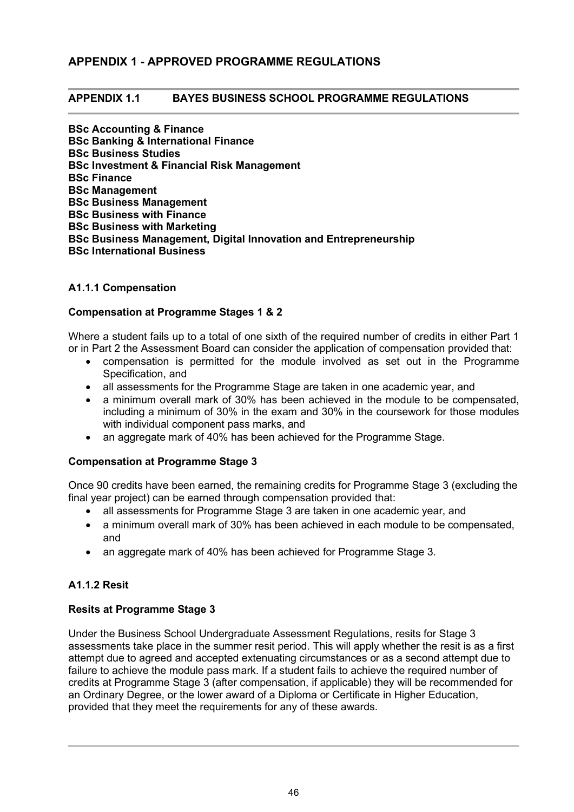# **APPENDIX 1 - APPROVED PROGRAMME REGULATIONS**

#### **APPENDIX 1.1 BAYES BUSINESS SCHOOL PROGRAMME REGULATIONS**

**BSc Accounting & Finance BSc Banking & International Finance BSc Business Studies BSc Investment & Financial Risk Management BSc Finance BSc Management BSc Business Management BSc Business with Finance BSc Business with Marketing BSc Business Management, Digital Innovation and Entrepreneurship BSc International Business**

#### **A1.1.1 Compensation**

#### **Compensation at Programme Stages 1 & 2**

Where a student fails up to a total of one sixth of the required number of credits in either Part 1 or in Part 2 the Assessment Board can consider the application of compensation provided that:

- compensation is permitted for the module involved as set out in the Programme Specification, and
- all assessments for the Programme Stage are taken in one academic year, and
- a minimum overall mark of 30% has been achieved in the module to be compensated, including a minimum of 30% in the exam and 30% in the coursework for those modules with individual component pass marks, and
- an aggregate mark of 40% has been achieved for the Programme Stage.

#### **Compensation at Programme Stage 3**

Once 90 credits have been earned, the remaining credits for Programme Stage 3 (excluding the final year project) can be earned through compensation provided that:

- all assessments for Programme Stage 3 are taken in one academic year, and
- a minimum overall mark of 30% has been achieved in each module to be compensated, and
- an aggregate mark of 40% has been achieved for Programme Stage 3.

#### **A1.1.2 Resit**

#### **Resits at Programme Stage 3**

Under the Business School Undergraduate Assessment Regulations, resits for Stage 3 assessments take place in the summer resit period. This will apply whether the resit is as a first attempt due to agreed and accepted extenuating circumstances or as a second attempt due to failure to achieve the module pass mark. If a student fails to achieve the required number of credits at Programme Stage 3 (after compensation, if applicable) they will be recommended for an Ordinary Degree, or the lower award of a Diploma or Certificate in Higher Education, provided that they meet the requirements for any of these awards.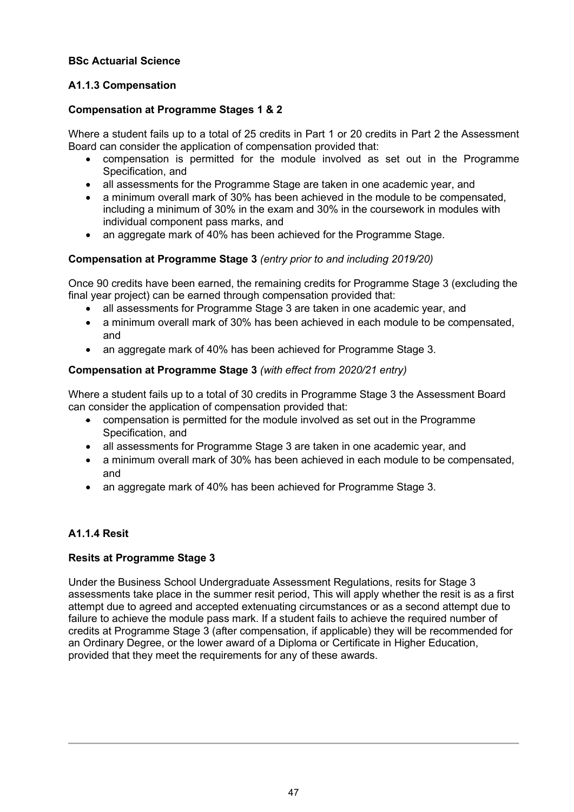## **BSc Actuarial Science**

# **A1.1.3 Compensation**

#### **Compensation at Programme Stages 1 & 2**

Where a student fails up to a total of 25 credits in Part 1 or 20 credits in Part 2 the Assessment Board can consider the application of compensation provided that:

- compensation is permitted for the module involved as set out in the Programme Specification, and
- all assessments for the Programme Stage are taken in one academic year, and
- a minimum overall mark of 30% has been achieved in the module to be compensated, including a minimum of 30% in the exam and 30% in the coursework in modules with individual component pass marks, and
- an aggregate mark of 40% has been achieved for the Programme Stage.

#### **Compensation at Programme Stage 3** *(entry prior to and including 2019/20)*

Once 90 credits have been earned, the remaining credits for Programme Stage 3 (excluding the final year project) can be earned through compensation provided that:

- all assessments for Programme Stage 3 are taken in one academic year, and
- a minimum overall mark of 30% has been achieved in each module to be compensated, and
- an aggregate mark of 40% has been achieved for Programme Stage 3.

## **Compensation at Programme Stage 3** *(with effect from 2020/21 entry)*

Where a student fails up to a total of 30 credits in Programme Stage 3 the Assessment Board can consider the application of compensation provided that:

- compensation is permitted for the module involved as set out in the Programme Specification, and
- all assessments for Programme Stage 3 are taken in one academic year, and
- a minimum overall mark of 30% has been achieved in each module to be compensated, and
- an aggregate mark of 40% has been achieved for Programme Stage 3.

# **A1.1.4 Resit**

# **Resits at Programme Stage 3**

Under the Business School Undergraduate Assessment Regulations, resits for Stage 3 assessments take place in the summer resit period, This will apply whether the resit is as a first attempt due to agreed and accepted extenuating circumstances or as a second attempt due to failure to achieve the module pass mark. If a student fails to achieve the required number of credits at Programme Stage 3 (after compensation, if applicable) they will be recommended for an Ordinary Degree, or the lower award of a Diploma or Certificate in Higher Education, provided that they meet the requirements for any of these awards.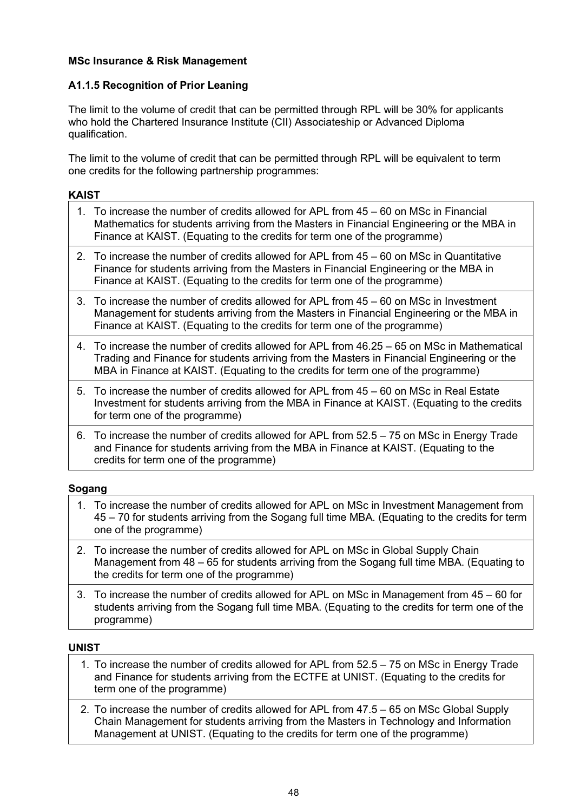## **MSc Insurance & Risk Management**

## **A1.1.5 Recognition of Prior Leaning**

The limit to the volume of credit that can be permitted through RPL will be 30% for applicants who hold the Chartered Insurance Institute (CII) Associateship or Advanced Diploma qualification.

The limit to the volume of credit that can be permitted through RPL will be equivalent to term one credits for the following partnership programmes:

## **KAIST**

- 1. To increase the number of credits allowed for APL from 45 60 on MSc in Financial Mathematics for students arriving from the Masters in Financial Engineering or the MBA in Finance at KAIST. (Equating to the credits for term one of the programme)
- 2. To increase the number of credits allowed for APL from 45 60 on MSc in Quantitative Finance for students arriving from the Masters in Financial Engineering or the MBA in Finance at KAIST. (Equating to the credits for term one of the programme)
- 3. To increase the number of credits allowed for APL from 45 60 on MSc in Investment Management for students arriving from the Masters in Financial Engineering or the MBA in Finance at KAIST. (Equating to the credits for term one of the programme)
- 4. To increase the number of credits allowed for APL from 46.25 65 on MSc in Mathematical Trading and Finance for students arriving from the Masters in Financial Engineering or the MBA in Finance at KAIST. (Equating to the credits for term one of the programme)
- 5. To increase the number of credits allowed for APL from 45 60 on MSc in Real Estate Investment for students arriving from the MBA in Finance at KAIST. (Equating to the credits for term one of the programme)
- 6. To increase the number of credits allowed for APL from 52.5 75 on MSc in Energy Trade and Finance for students arriving from the MBA in Finance at KAIST. (Equating to the credits for term one of the programme)

# **Sogang**

- 1. To increase the number of credits allowed for APL on MSc in Investment Management from 45 – 70 for students arriving from the Sogang full time MBA. (Equating to the credits for term one of the programme)
- 2. To increase the number of credits allowed for APL on MSc in Global Supply Chain Management from 48 – 65 for students arriving from the Sogang full time MBA. (Equating to the credits for term one of the programme)
- 3. To increase the number of credits allowed for APL on MSc in Management from 45 60 for students arriving from the Sogang full time MBA. (Equating to the credits for term one of the programme)

#### **UNIST**

- 1. To increase the number of credits allowed for APL from 52.5 75 on MSc in Energy Trade and Finance for students arriving from the ECTFE at UNIST. (Equating to the credits for term one of the programme)
- 2. To increase the number of credits allowed for APL from 47.5 65 on MSc Global Supply Chain Management for students arriving from the Masters in Technology and Information Management at UNIST. (Equating to the credits for term one of the programme)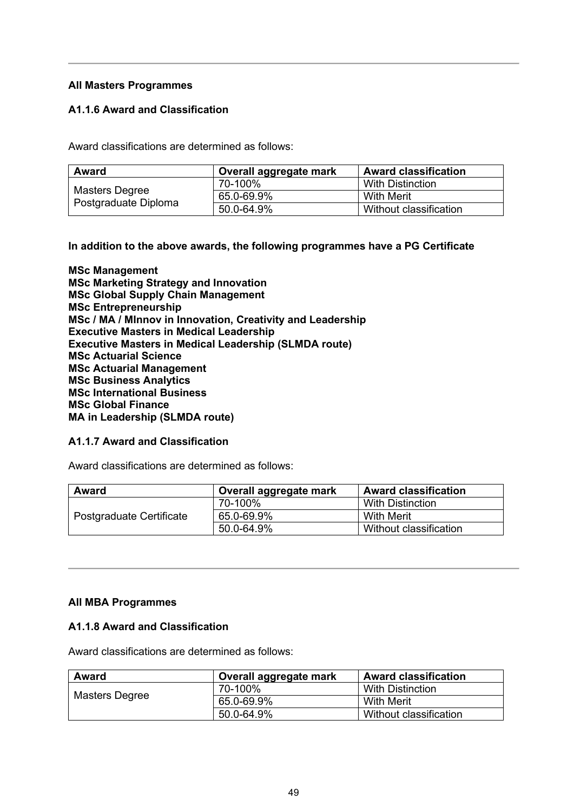## **All Masters Programmes**

## **A1.1.6 Award and Classification**

Award classifications are determined as follows:

| <b>Award</b>                           | Overall aggregate mark | <b>Award classification</b> |
|----------------------------------------|------------------------|-----------------------------|
| Masters Degree<br>Postgraduate Diploma | 70-100%                | With Distinction            |
|                                        | 65.0-69.9%             | With Merit                  |
|                                        | 50.0-64.9%             | Without classification      |

#### **In addition to the above awards, the following programmes have a PG Certificate**

**MSc Management MSc Marketing Strategy and Innovation MSc Global Supply Chain Management MSc Entrepreneurship MSc / MA / MInnov in Innovation, Creativity and Leadership Executive Masters in Medical Leadership Executive Masters in Medical Leadership (SLMDA route) MSc Actuarial Science MSc Actuarial Management MSc Business Analytics MSc International Business MSc Global Finance MA in Leadership (SLMDA route)**

#### **A1.1.7 Award and Classification**

Award classifications are determined as follows:

| Award                    | Overall aggregate mark | <b>Award classification</b> |
|--------------------------|------------------------|-----------------------------|
| Postgraduate Certificate | 70-100%                | <b>With Distinction</b>     |
|                          | 65.0-69.9%             | <b>With Merit</b>           |
|                          | 50.0-64.9%             | Without classification      |

#### **All MBA Programmes**

#### **A1.1.8 Award and Classification**

Award classifications are determined as follows:

| <b>Award</b>   | Overall aggregate mark | <b>Award classification</b> |
|----------------|------------------------|-----------------------------|
| Masters Degree | 70-100%                | With Distinction            |
|                | 65.0-69.9%             | With Merit                  |
|                | 50.0-64.9%             | Without classification      |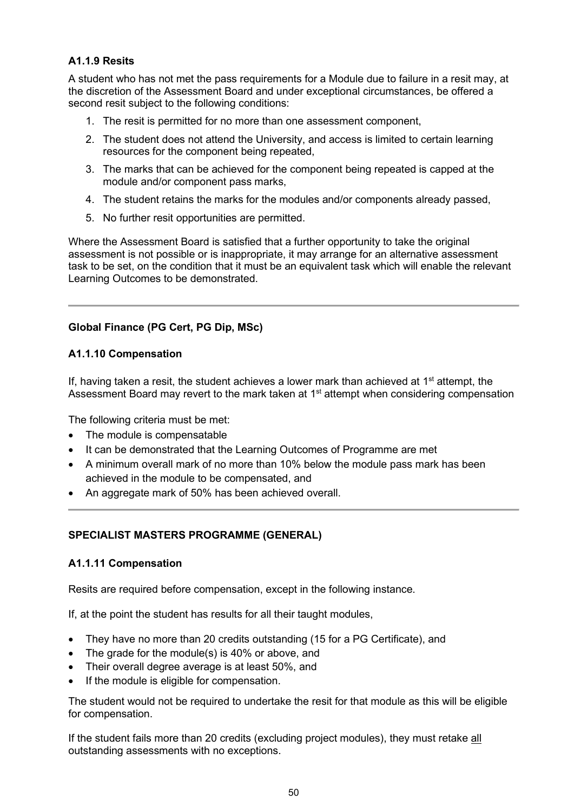# **A1.1.9 Resits**

A student who has not met the pass requirements for a Module due to failure in a resit may, at the discretion of the Assessment Board and under exceptional circumstances, be offered a second resit subject to the following conditions:

- 1. The resit is permitted for no more than one assessment component,
- 2. The student does not attend the University, and access is limited to certain learning resources for the component being repeated,
- 3. The marks that can be achieved for the component being repeated is capped at the module and/or component pass marks,
- 4. The student retains the marks for the modules and/or components already passed,
- 5. No further resit opportunities are permitted.

Where the Assessment Board is satisfied that a further opportunity to take the original assessment is not possible or is inappropriate, it may arrange for an alternative assessment task to be set, on the condition that it must be an equivalent task which will enable the relevant Learning Outcomes to be demonstrated.

# **Global Finance (PG Cert, PG Dip, MSc)**

# **A1.1.10 Compensation**

If, having taken a resit, the student achieves a lower mark than achieved at  $1<sup>st</sup>$  attempt, the Assessment Board may revert to the mark taken at 1<sup>st</sup> attempt when considering compensation

The following criteria must be met:

- The module is compensatable
- It can be demonstrated that the Learning Outcomes of Programme are met
- A minimum overall mark of no more than 10% below the module pass mark has been achieved in the module to be compensated, and
- An aggregate mark of 50% has been achieved overall.

# **SPECIALIST MASTERS PROGRAMME (GENERAL)**

#### **A1.1.11 Compensation**

Resits are required before compensation, except in the following instance.

If, at the point the student has results for all their taught modules,

- They have no more than 20 credits outstanding (15 for a PG Certificate), and
- The grade for the module(s) is 40% or above, and
- Their overall degree average is at least 50%, and
- If the module is eligible for compensation.

The student would not be required to undertake the resit for that module as this will be eligible for compensation.

If the student fails more than 20 credits (excluding project modules), they must retake all outstanding assessments with no exceptions.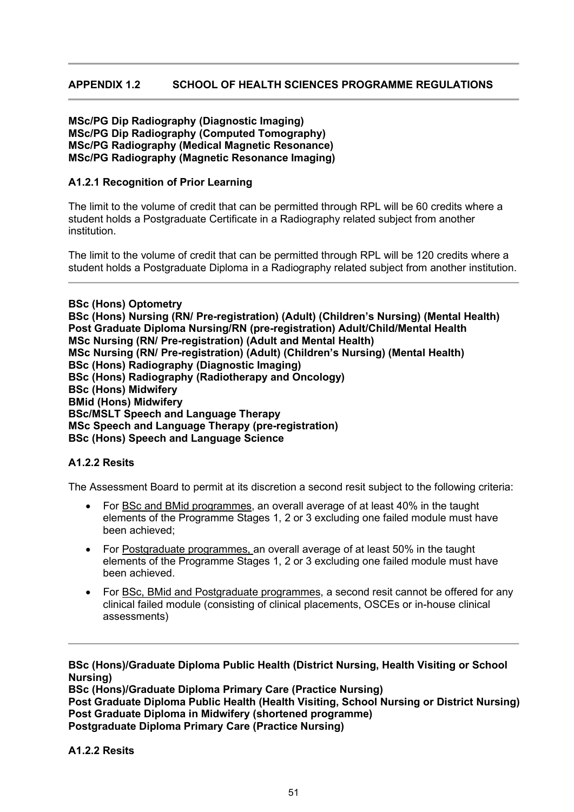# **APPENDIX 1.2 SCHOOL OF HEALTH SCIENCES PROGRAMME REGULATIONS**

#### **MSc/PG Dip Radiography (Diagnostic Imaging) MSc/PG Dip Radiography (Computed Tomography) MSc/PG Radiography (Medical Magnetic Resonance) MSc/PG Radiography (Magnetic Resonance Imaging)**

#### **A1.2.1 Recognition of Prior Learning**

The limit to the volume of credit that can be permitted through RPL will be 60 credits where a student holds a Postgraduate Certificate in a Radiography related subject from another institution.

The limit to the volume of credit that can be permitted through RPL will be 120 credits where a student holds a Postgraduate Diploma in a Radiography related subject from another institution.

**BSc (Hons) Optometry BSc (Hons) Nursing (RN/ Pre-registration) (Adult) (Children's Nursing) (Mental Health) Post Graduate Diploma Nursing/RN (pre-registration) Adult/Child/Mental Health MSc Nursing (RN/ Pre-registration) (Adult and Mental Health) MSc Nursing (RN/ Pre-registration) (Adult) (Children's Nursing) (Mental Health) BSc (Hons) Radiography (Diagnostic Imaging) BSc (Hons) Radiography (Radiotherapy and Oncology) BSc (Hons) Midwifery BMid (Hons) Midwifery BSc/MSLT Speech and Language Therapy MSc Speech and Language Therapy (pre-registration) BSc (Hons) Speech and Language Science**

#### **A1.2.2 Resits**

The Assessment Board to permit at its discretion a second resit subject to the following criteria:

- For BSc and BMid programmes, an overall average of at least 40% in the taught elements of the Programme Stages 1, 2 or 3 excluding one failed module must have been achieved;
- For Postgraduate programmes, an overall average of at least 50% in the taught elements of the Programme Stages 1, 2 or 3 excluding one failed module must have been achieved.
- For BSc, BMid and Postgraduate programmes, a second resit cannot be offered for any clinical failed module (consisting of clinical placements, OSCEs or in-house clinical assessments)

**BSc (Hons)/Graduate Diploma Public Health (District Nursing, Health Visiting or School Nursing)**

**BSc (Hons)/Graduate Diploma Primary Care (Practice Nursing) Post Graduate Diploma Public Health (Health Visiting, School Nursing or District Nursing) Post Graduate Diploma in Midwifery (shortened programme) Postgraduate Diploma Primary Care (Practice Nursing)**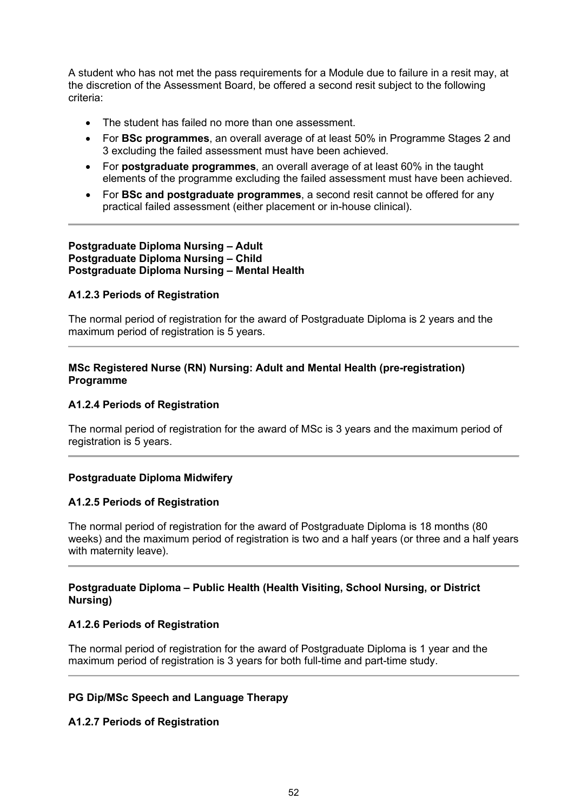A student who has not met the pass requirements for a Module due to failure in a resit may, at the discretion of the Assessment Board, be offered a second resit subject to the following criteria:

- The student has failed no more than one assessment.
- For **BSc programmes**, an overall average of at least 50% in Programme Stages 2 and 3 excluding the failed assessment must have been achieved.
- For **postgraduate programmes**, an overall average of at least 60% in the taught elements of the programme excluding the failed assessment must have been achieved.
- For **BSc and postgraduate programmes**, a second resit cannot be offered for any practical failed assessment (either placement or in-house clinical).

#### **Postgraduate Diploma Nursing – Adult Postgraduate Diploma Nursing – Child Postgraduate Diploma Nursing – Mental Health**

#### **A1.2.3 Periods of Registration**

The normal period of registration for the award of Postgraduate Diploma is 2 years and the maximum period of registration is 5 years.

## **MSc Registered Nurse (RN) Nursing: Adult and Mental Health (pre-registration) Programme**

#### **A1.2.4 Periods of Registration**

The normal period of registration for the award of MSc is 3 years and the maximum period of registration is 5 years.

#### **Postgraduate Diploma Midwifery**

#### **A1.2.5 Periods of Registration**

The normal period of registration for the award of Postgraduate Diploma is 18 months (80 weeks) and the maximum period of registration is two and a half years (or three and a half years with maternity leave).

#### **Postgraduate Diploma – Public Health (Health Visiting, School Nursing, or District Nursing)**

#### **A1.2.6 Periods of Registration**

The normal period of registration for the award of Postgraduate Diploma is 1 year and the maximum period of registration is 3 years for both full-time and part-time study.

#### **PG Dip/MSc Speech and Language Therapy**

#### **A1.2.7 Periods of Registration**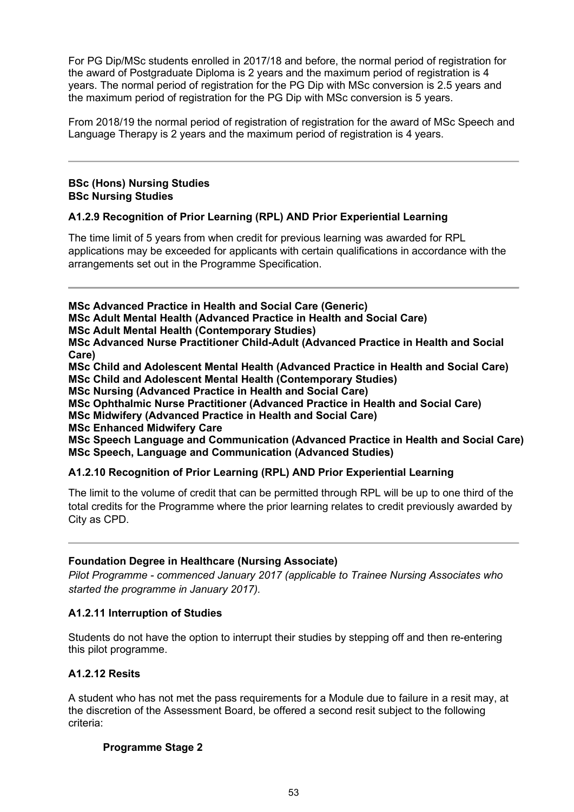For PG Dip/MSc students enrolled in 2017/18 and before, the normal period of registration for the award of Postgraduate Diploma is 2 years and the maximum period of registration is 4 years. The normal period of registration for the PG Dip with MSc conversion is 2.5 years and the maximum period of registration for the PG Dip with MSc conversion is 5 years.

From 2018/19 the normal period of registration of registration for the award of MSc Speech and Language Therapy is 2 years and the maximum period of registration is 4 years.

## **BSc (Hons) Nursing Studies BSc Nursing Studies**

# **A1.2.9 Recognition of Prior Learning (RPL) AND Prior Experiential Learning**

The time limit of 5 years from when credit for previous learning was awarded for RPL applications may be exceeded for applicants with certain qualifications in accordance with the arrangements set out in the Programme Specification.

**MSc Advanced Practice in Health and Social Care (Generic)**

**MSc Adult Mental Health (Advanced Practice in Health and Social Care)** 

**MSc Adult Mental Health (Contemporary Studies)**

**MSc Advanced Nurse Practitioner Child-Adult (Advanced Practice in Health and Social Care)** 

**MSc Child and Adolescent Mental Health (Advanced Practice in Health and Social Care) MSc Child and Adolescent Mental Health (Contemporary Studies)**

**MSc Nursing (Advanced Practice in Health and Social Care)** 

**MSc Ophthalmic Nurse Practitioner (Advanced Practice in Health and Social Care)**

**MSc Midwifery (Advanced Practice in Health and Social Care)** 

**MSc Enhanced Midwifery Care**

**MSc Speech Language and Communication (Advanced Practice in Health and Social Care) MSc Speech, Language and Communication (Advanced Studies)**

# **A1.2.10 Recognition of Prior Learning (RPL) AND Prior Experiential Learning**

The limit to the volume of credit that can be permitted through RPL will be up to one third of the total credits for the Programme where the prior learning relates to credit previously awarded by City as CPD.

# **Foundation Degree in Healthcare (Nursing Associate)**

*Pilot Programme - commenced January 2017 (applicable to Trainee Nursing Associates who started the programme in January 2017).*

# **A1.2.11 Interruption of Studies**

Students do not have the option to interrupt their studies by stepping off and then re-entering this pilot programme.

# **A1.2.12 Resits**

A student who has not met the pass requirements for a Module due to failure in a resit may, at the discretion of the Assessment Board, be offered a second resit subject to the following criteria:

# **Programme Stage 2**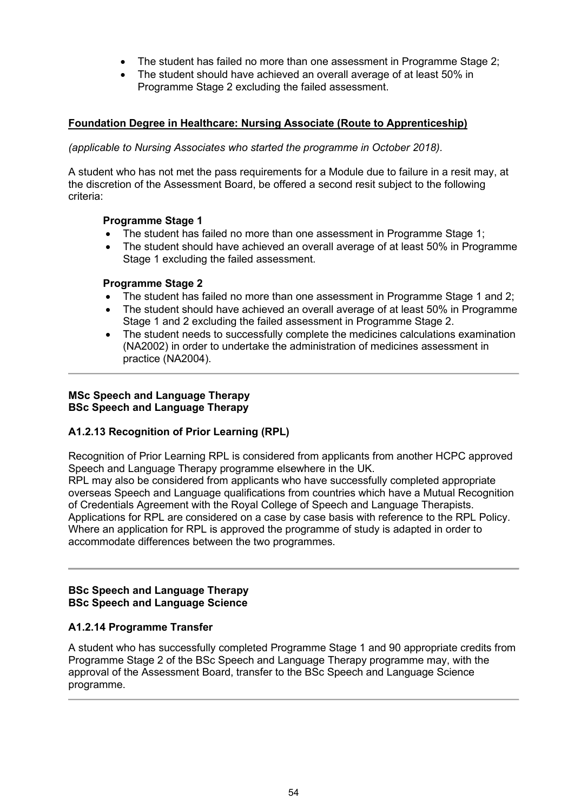- The student has failed no more than one assessment in Programme Stage 2;
- The student should have achieved an overall average of at least 50% in Programme Stage 2 excluding the failed assessment.

## **Foundation Degree in Healthcare: Nursing Associate (Route to Apprenticeship)**

#### *(applicable to Nursing Associates who started the programme in October 2018).*

A student who has not met the pass requirements for a Module due to failure in a resit may, at the discretion of the Assessment Board, be offered a second resit subject to the following criteria:

#### **Programme Stage 1**

- The student has failed no more than one assessment in Programme Stage 1;
- The student should have achieved an overall average of at least 50% in Programme Stage 1 excluding the failed assessment.

#### **Programme Stage 2**

- The student has failed no more than one assessment in Programme Stage 1 and 2;
- The student should have achieved an overall average of at least 50% in Programme Stage 1 and 2 excluding the failed assessment in Programme Stage 2.
- The student needs to successfully complete the medicines calculations examination (NA2002) in order to undertake the administration of medicines assessment in practice (NA2004).

#### **MSc Speech and Language Therapy BSc Speech and Language Therapy**

#### **A1.2.13 Recognition of Prior Learning (RPL)**

Recognition of Prior Learning RPL is considered from applicants from another HCPC approved Speech and Language Therapy programme elsewhere in the UK.

RPL may also be considered from applicants who have successfully completed appropriate overseas Speech and Language qualifications from countries which have a Mutual Recognition of Credentials Agreement with the Royal College of Speech and Language Therapists. Applications for RPL are considered on a case by case basis with reference to the RPL Policy. Where an application for RPL is approved the programme of study is adapted in order to accommodate differences between the two programmes.

#### **BSc Speech and Language Therapy BSc Speech and Language Science**

#### **A1.2.14 Programme Transfer**

A student who has successfully completed Programme Stage 1 and 90 appropriate credits from Programme Stage 2 of the BSc Speech and Language Therapy programme may, with the approval of the Assessment Board, transfer to the BSc Speech and Language Science programme.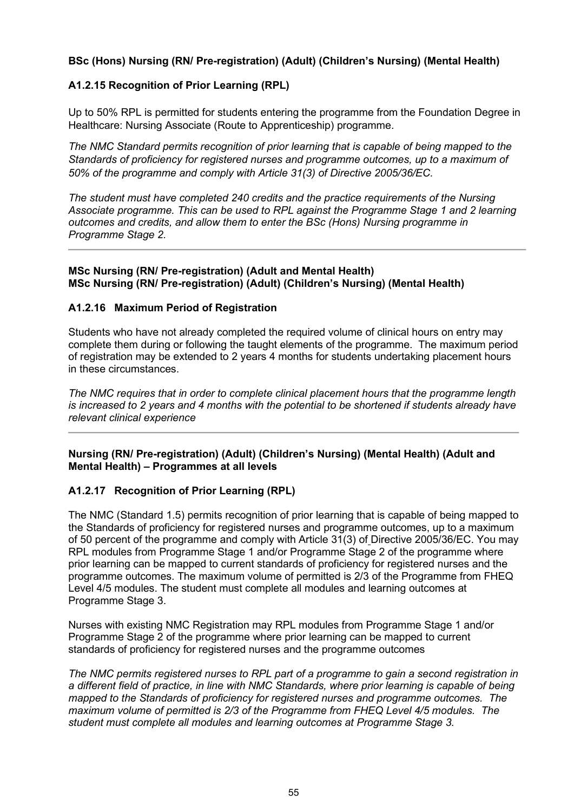## **BSc (Hons) Nursing (RN/ Pre-registration) (Adult) (Children's Nursing) (Mental Health)**

## **A1.2.15 Recognition of Prior Learning (RPL)**

Up to 50% RPL is permitted for students entering the programme from the Foundation Degree in Healthcare: Nursing Associate (Route to Apprenticeship) programme.

*The NMC Standard permits recognition of prior learning that is capable of being mapped to the Standards of proficiency for registered nurses and programme outcomes, up to a maximum of 50% of the programme and comply with Article 31(3) of Directive 2005/36/EC.*

*The student must have completed 240 credits and the practice requirements of the Nursing Associate programme. This can be used to RPL against the Programme Stage 1 and 2 learning outcomes and credits, and allow them to enter the BSc (Hons) Nursing programme in Programme Stage 2.*

#### **MSc Nursing (RN/ Pre-registration) (Adult and Mental Health) MSc Nursing (RN/ Pre-registration) (Adult) (Children's Nursing) (Mental Health)**

#### **A1.2.16 Maximum Period of Registration**

Students who have not already completed the required volume of clinical hours on entry may complete them during or following the taught elements of the programme. The maximum period of registration may be extended to 2 years 4 months for students undertaking placement hours in these circumstances.

*The NMC requires that in order to complete clinical placement hours that the programme length is increased to 2 years and 4 months with the potential to be shortened if students already have relevant clinical experience*

#### **Nursing (RN/ Pre-registration) (Adult) (Children's Nursing) (Mental Health) (Adult and Mental Health) – Programmes at all levels**

#### **A1.2.17 Recognition of Prior Learning (RPL)**

The NMC (Standard 1.5) permits recognition of prior learning that is capable of being mapped to the Standards of proficiency for registered nurses and programme outcomes, up to a maximum of 50 percent of the programme and comply with Article 31(3) of Directive 2005/36/EC. You may RPL modules from Programme Stage 1 and/or Programme Stage 2 of the programme where prior learning can be mapped to current standards of proficiency for registered nurses and the programme outcomes. The maximum volume of permitted is 2/3 of the Programme from FHEQ Level 4/5 modules. The student must complete all modules and learning outcomes at Programme Stage 3.

Nurses with existing NMC Registration may RPL modules from Programme Stage 1 and/or Programme Stage 2 of the programme where prior learning can be mapped to current standards of proficiency for registered nurses and the programme outcomes

*The NMC permits registered nurses to RPL part of a programme to gain a second registration in a different field of practice, in line with NMC Standards, where prior learning is capable of being mapped to the Standards of proficiency for registered nurses and programme outcomes. The maximum volume of permitted is 2/3 of the Programme from FHEQ Level 4/5 modules. The student must complete all modules and learning outcomes at Programme Stage 3.*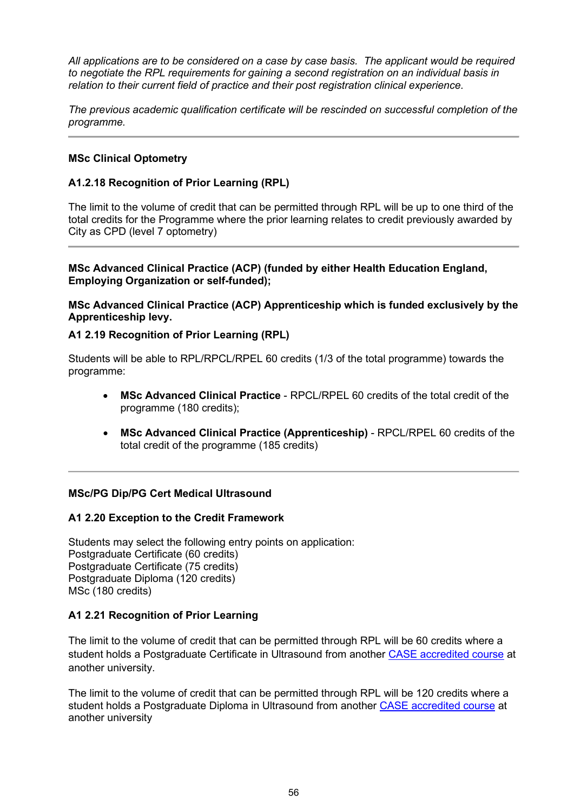*All applications are to be considered on a case by case basis. The applicant would be required to negotiate the RPL requirements for gaining a second registration on an individual basis in relation to their current field of practice and their post registration clinical experience.*

*The previous academic qualification certificate will be rescinded on successful completion of the programme.* 

## **MSc Clinical Optometry**

#### **A1.2.18 Recognition of Prior Learning (RPL)**

The limit to the volume of credit that can be permitted through RPL will be up to one third of the total credits for the Programme where the prior learning relates to credit previously awarded by City as CPD (level 7 optometry)

#### **MSc Advanced Clinical Practice (ACP) (funded by either Health Education England, Employing Organization or self-funded);**

**MSc Advanced Clinical Practice (ACP) Apprenticeship which is funded exclusively by the Apprenticeship levy.**

#### **A1 2.19 Recognition of Prior Learning (RPL)**

Students will be able to RPL/RPCL/RPEL 60 credits (1/3 of the total programme) towards the programme:

- **MSc Advanced Clinical Practice** RPCL/RPEL 60 credits of the total credit of the programme (180 credits);
- **MSc Advanced Clinical Practice (Apprenticeship)** RPCL/RPEL 60 credits of the total credit of the programme (185 credits)

#### **MSc/PG Dip/PG Cert Medical Ultrasound**

#### **A1 2.20 Exception to the Credit Framework**

Students may select the following entry points on application: Postgraduate Certificate (60 credits) Postgraduate Certificate (75 credits) Postgraduate Diploma (120 credits) MSc (180 credits)

#### **A1 2.21 Recognition of Prior Learning**

The limit to the volume of credit that can be permitted through RPL will be 60 credits where a student holds a Postgraduate Certificate in Ultrasound from another [CASE accredited course](http://www.case-uk.org/) at another university.

The limit to the volume of credit that can be permitted through RPL will be 120 credits where a student holds a Postgraduate Diploma in Ultrasound from another [CASE accredited course](http://www.case-uk.org/) at another university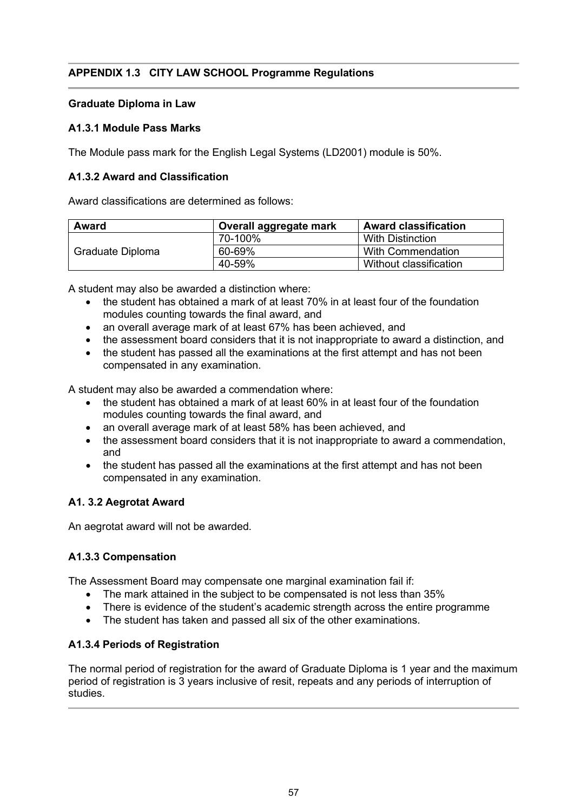# **APPENDIX 1.3 CITY LAW SCHOOL Programme Regulations**

## **Graduate Diploma in Law**

## **A1.3.1 Module Pass Marks**

The Module pass mark for the English Legal Systems (LD2001) module is 50%.

## **A1.3.2 Award and Classification**

Award classifications are determined as follows:

| <b>Award</b>     | Overall aggregate mark | <b>Award classification</b> |
|------------------|------------------------|-----------------------------|
| Graduate Diploma | 70-100%                | <b>With Distinction</b>     |
|                  | 60-69%                 | With Commendation           |
|                  | 40-59%                 | Without classification      |

A student may also be awarded a distinction where:

- the student has obtained a mark of at least 70% in at least four of the foundation modules counting towards the final award, and
- an overall average mark of at least 67% has been achieved, and
- the assessment board considers that it is not inappropriate to award a distinction, and
- the student has passed all the examinations at the first attempt and has not been compensated in any examination.

A student may also be awarded a commendation where:

- the student has obtained a mark of at least 60% in at least four of the foundation modules counting towards the final award, and
- an overall average mark of at least 58% has been achieved, and
- the assessment board considers that it is not inappropriate to award a commendation, and
- the student has passed all the examinations at the first attempt and has not been compensated in any examination.

#### **A1. 3.2 Aegrotat Award**

An aegrotat award will not be awarded.

#### **A1.3.3 Compensation**

The Assessment Board may compensate one marginal examination fail if:

- The mark attained in the subject to be compensated is not less than 35%
- There is evidence of the student's academic strength across the entire programme
- The student has taken and passed all six of the other examinations.

#### **A1.3.4 Periods of Registration**

The normal period of registration for the award of Graduate Diploma is 1 year and the maximum period of registration is 3 years inclusive of resit, repeats and any periods of interruption of studies.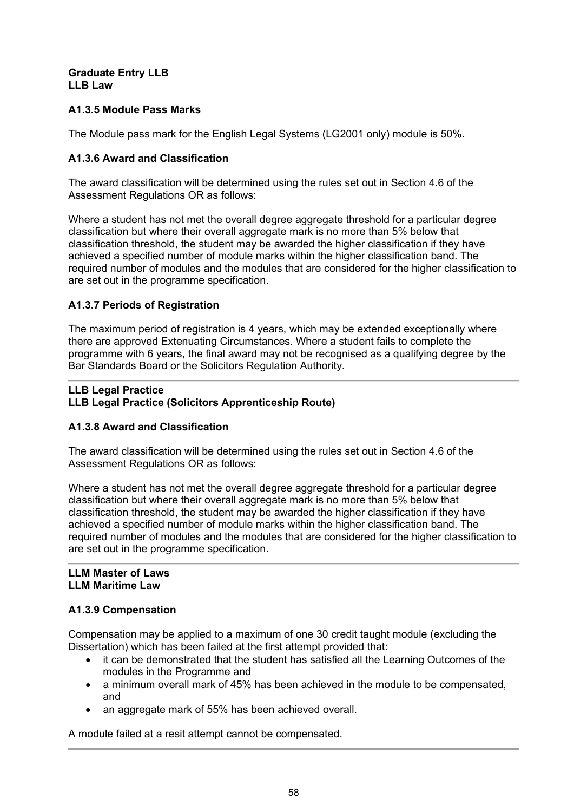#### **Graduate Entry LLB LLB Law**

# **A1.3.5 Module Pass Marks**

The Module pass mark for the English Legal Systems (LG2001 only) module is 50%.

## **A1.3.6 Award and Classification**

The award classification will be determined using the rules set out in Section 4.6 of the Assessment Regulations OR as follows:

Where a student has not met the overall degree aggregate threshold for a particular degree classification but where their overall aggregate mark is no more than 5% below that classification threshold, the student may be awarded the higher classification if they have achieved a specified number of module marks within the higher classification band. The required number of modules and the modules that are considered for the higher classification to are set out in the programme specification.

## **A1.3.7 Periods of Registration**

The maximum period of registration is 4 years, which may be extended exceptionally where there are approved Extenuating Circumstances. Where a student fails to complete the programme with 6 years, the final award may not be recognised as a qualifying degree by the Bar Standards Board or the Solicitors Regulation Authority.

## **LLB Legal Practice LLB Legal Practice (Solicitors Apprenticeship Route)**

# **A1.3.8 Award and Classification**

The award classification will be determined using the rules set out in Section 4.6 of the Assessment Regulations OR as follows:

Where a student has not met the overall degree aggregate threshold for a particular degree classification but where their overall aggregate mark is no more than 5% below that classification threshold, the student may be awarded the higher classification if they have achieved a specified number of module marks within the higher classification band. The required number of modules and the modules that are considered for the higher classification to are set out in the programme specification.

#### **LLM Master of Laws LLM Maritime Law**

# **A1.3.9 Compensation**

Compensation may be applied to a maximum of one 30 credit taught module (excluding the Dissertation) which has been failed at the first attempt provided that:

- it can be demonstrated that the student has satisfied all the Learning Outcomes of the modules in the Programme and
- a minimum overall mark of 45% has been achieved in the module to be compensated, and
- an aggregate mark of 55% has been achieved overall.

A module failed at a resit attempt cannot be compensated.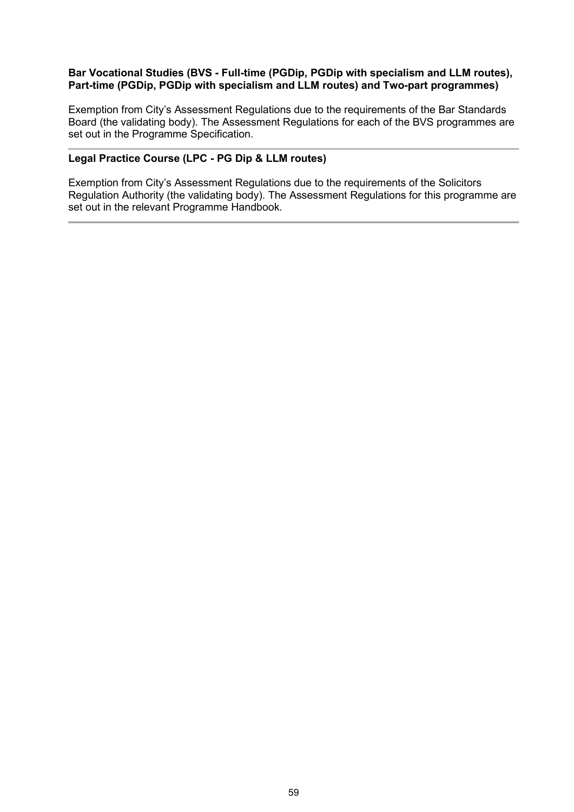#### **Bar Vocational Studies (BVS - Full-time (PGDip, PGDip with specialism and LLM routes), Part-time (PGDip, PGDip with specialism and LLM routes) and Two-part programmes)**

Exemption from City's Assessment Regulations due to the requirements of the Bar Standards Board (the validating body). The Assessment Regulations for each of the BVS programmes are set out in the Programme Specification.

#### **Legal Practice Course (LPC - PG Dip & LLM routes)**

Exemption from City's Assessment Regulations due to the requirements of the Solicitors Regulation Authority (the validating body). The Assessment Regulations for this programme are set out in the relevant Programme Handbook.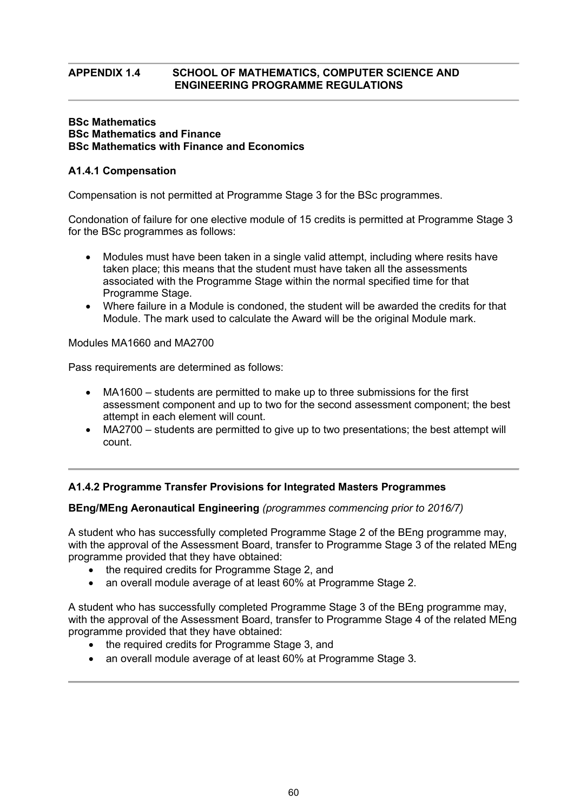## **APPENDIX 1.4 SCHOOL OF MATHEMATICS, COMPUTER SCIENCE AND ENGINEERING PROGRAMME REGULATIONS**

#### **BSc Mathematics BSc Mathematics and Finance BSc Mathematics with Finance and Economics**

## **A1.4.1 Compensation**

Compensation is not permitted at Programme Stage 3 for the BSc programmes.

Condonation of failure for one elective module of 15 credits is permitted at Programme Stage 3 for the BSc programmes as follows:

- Modules must have been taken in a single valid attempt, including where resits have taken place; this means that the student must have taken all the assessments associated with the Programme Stage within the normal specified time for that Programme Stage.
- Where failure in a Module is condoned, the student will be awarded the credits for that Module. The mark used to calculate the Award will be the original Module mark.

Modules MA1660 and MA2700

Pass requirements are determined as follows:

- MA1600 students are permitted to make up to three submissions for the first assessment component and up to two for the second assessment component; the best attempt in each element will count.
- MA2700 students are permitted to give up to two presentations; the best attempt will count.

#### **A1.4.2 Programme Transfer Provisions for Integrated Masters Programmes**

#### **BEng/MEng Aeronautical Engineering** *(programmes commencing prior to 2016/7)*

A student who has successfully completed Programme Stage 2 of the BEng programme may, with the approval of the Assessment Board, transfer to Programme Stage 3 of the related MEng programme provided that they have obtained:

- the required credits for Programme Stage 2, and
- an overall module average of at least 60% at Programme Stage 2.

A student who has successfully completed Programme Stage 3 of the BEng programme may, with the approval of the Assessment Board, transfer to Programme Stage 4 of the related MEng programme provided that they have obtained:

- the required credits for Programme Stage 3, and
- an overall module average of at least 60% at Programme Stage 3.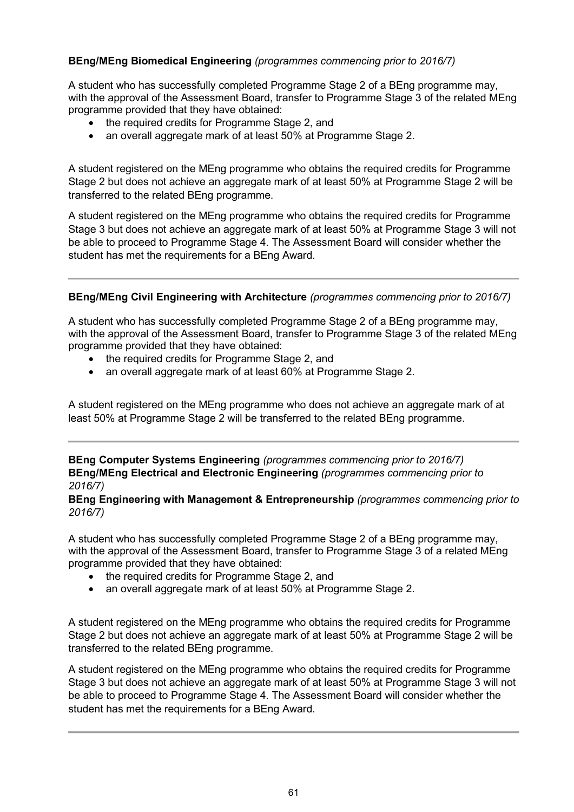# **BEng/MEng Biomedical Engineering** *(programmes commencing prior to 2016/7)*

A student who has successfully completed Programme Stage 2 of a BEng programme may, with the approval of the Assessment Board, transfer to Programme Stage 3 of the related MEng programme provided that they have obtained:

- the required credits for Programme Stage 2, and
- an overall aggregate mark of at least 50% at Programme Stage 2.

A student registered on the MEng programme who obtains the required credits for Programme Stage 2 but does not achieve an aggregate mark of at least 50% at Programme Stage 2 will be transferred to the related BEng programme.

A student registered on the MEng programme who obtains the required credits for Programme Stage 3 but does not achieve an aggregate mark of at least 50% at Programme Stage 3 will not be able to proceed to Programme Stage 4. The Assessment Board will consider whether the student has met the requirements for a BEng Award.

## **BEng/MEng Civil Engineering with Architecture** *(programmes commencing prior to 2016/7)*

A student who has successfully completed Programme Stage 2 of a BEng programme may, with the approval of the Assessment Board, transfer to Programme Stage 3 of the related MEng programme provided that they have obtained:

- the required credits for Programme Stage 2, and
- an overall aggregate mark of at least 60% at Programme Stage 2.

A student registered on the MEng programme who does not achieve an aggregate mark of at least 50% at Programme Stage 2 will be transferred to the related BEng programme.

**BEng Computer Systems Engineering** *(programmes commencing prior to 2016/7)* **BEng/MEng Electrical and Electronic Engineering** *(programmes commencing prior to 2016/7)*

**BEng Engineering with Management & Entrepreneurship** *(programmes commencing prior to 2016/7)*

A student who has successfully completed Programme Stage 2 of a BEng programme may, with the approval of the Assessment Board, transfer to Programme Stage 3 of a related MEng programme provided that they have obtained:

- the required credits for Programme Stage 2, and
- an overall aggregate mark of at least 50% at Programme Stage 2.

A student registered on the MEng programme who obtains the required credits for Programme Stage 2 but does not achieve an aggregate mark of at least 50% at Programme Stage 2 will be transferred to the related BEng programme.

A student registered on the MEng programme who obtains the required credits for Programme Stage 3 but does not achieve an aggregate mark of at least 50% at Programme Stage 3 will not be able to proceed to Programme Stage 4. The Assessment Board will consider whether the student has met the requirements for a BEng Award.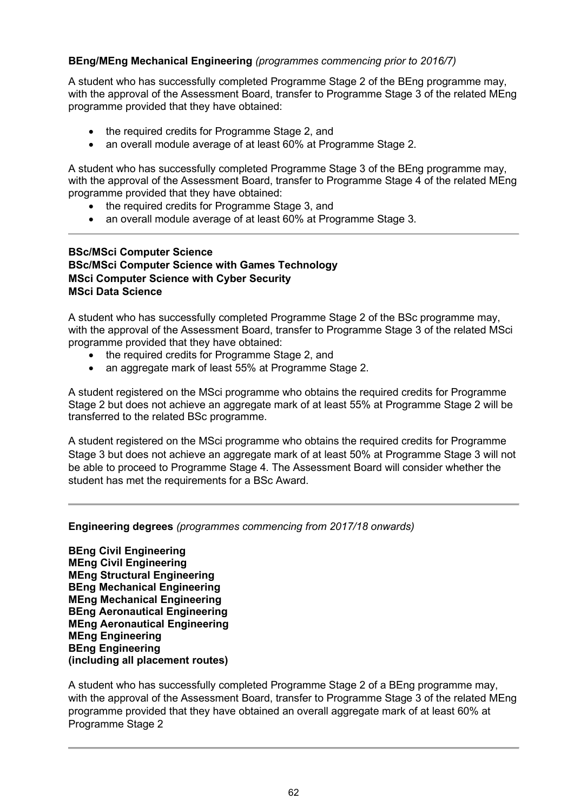## **BEng/MEng Mechanical Engineering** *(programmes commencing prior to 2016/7)*

A student who has successfully completed Programme Stage 2 of the BEng programme may, with the approval of the Assessment Board, transfer to Programme Stage 3 of the related MEng programme provided that they have obtained:

- the required credits for Programme Stage 2, and
- an overall module average of at least 60% at Programme Stage 2.

A student who has successfully completed Programme Stage 3 of the BEng programme may, with the approval of the Assessment Board, transfer to Programme Stage 4 of the related MEng programme provided that they have obtained:

- the required credits for Programme Stage 3, and
- an overall module average of at least 60% at Programme Stage 3.

## **BSc/MSci Computer Science BSc/MSci Computer Science with Games Technology MSci Computer Science with Cyber Security MSci Data Science**

A student who has successfully completed Programme Stage 2 of the BSc programme may, with the approval of the Assessment Board, transfer to Programme Stage 3 of the related MSci programme provided that they have obtained:

- the required credits for Programme Stage 2, and
- an aggregate mark of least 55% at Programme Stage 2.

A student registered on the MSci programme who obtains the required credits for Programme Stage 2 but does not achieve an aggregate mark of at least 55% at Programme Stage 2 will be transferred to the related BSc programme.

A student registered on the MSci programme who obtains the required credits for Programme Stage 3 but does not achieve an aggregate mark of at least 50% at Programme Stage 3 will not be able to proceed to Programme Stage 4. The Assessment Board will consider whether the student has met the requirements for a BSc Award.

#### **Engineering degrees** *(programmes commencing from 2017/18 onwards)*

**BEng Civil Engineering MEng Civil Engineering MEng Structural Engineering BEng Mechanical Engineering MEng Mechanical Engineering BEng Aeronautical Engineering MEng Aeronautical Engineering MEng Engineering BEng Engineering (including all placement routes)**

A student who has successfully completed Programme Stage 2 of a BEng programme may, with the approval of the Assessment Board, transfer to Programme Stage 3 of the related MEng programme provided that they have obtained an overall aggregate mark of at least 60% at Programme Stage 2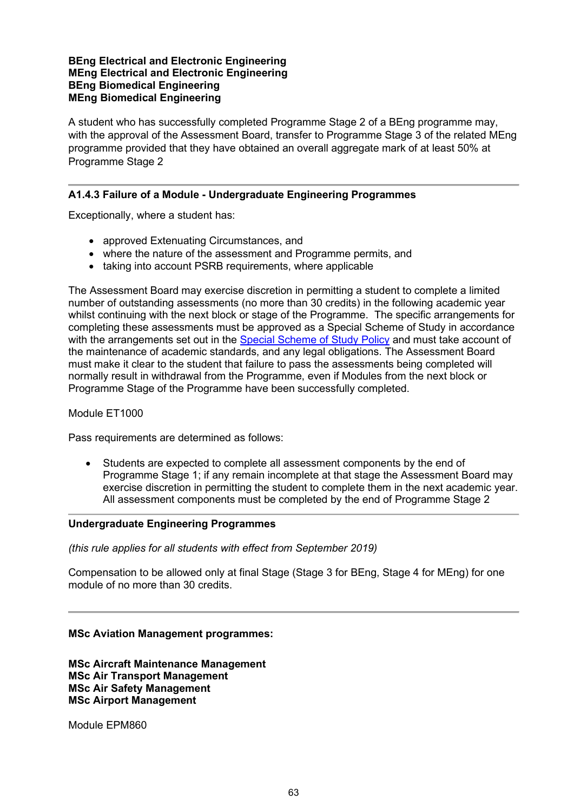#### **BEng Electrical and Electronic Engineering MEng Electrical and Electronic Engineering BEng Biomedical Engineering MEng Biomedical Engineering**

A student who has successfully completed Programme Stage 2 of a BEng programme may, with the approval of the Assessment Board, transfer to Programme Stage 3 of the related MEng programme provided that they have obtained an overall aggregate mark of at least 50% at Programme Stage 2

## **A1.4.3 Failure of a Module - Undergraduate Engineering Programmes**

Exceptionally, where a student has:

- approved Extenuating Circumstances, and
- where the nature of the assessment and Programme permits, and
- taking into account PSRB requirements, where applicable

The Assessment Board may exercise discretion in permitting a student to complete a limited number of outstanding assessments (no more than 30 credits) in the following academic year whilst continuing with the next block or stage of the Programme. The specific arrangements for completing these assessments must be approved as a Special Scheme of Study in accordance with the arrangements set out in the [Special Scheme of Study Policy](http://www.city.ac.uk/__data/assets/pdf_file/0007/69019/special_schemes_of_study.pdf) and must take account of the maintenance of academic standards, and any legal obligations. The Assessment Board must make it clear to the student that failure to pass the assessments being completed will normally result in withdrawal from the Programme, even if Modules from the next block or Programme Stage of the Programme have been successfully completed.

#### Module ET1000

Pass requirements are determined as follows:

• Students are expected to complete all assessment components by the end of Programme Stage 1; if any remain incomplete at that stage the Assessment Board may exercise discretion in permitting the student to complete them in the next academic year. All assessment components must be completed by the end of Programme Stage 2

#### **Undergraduate Engineering Programmes**

*(this rule applies for all students with effect from September 2019)*

Compensation to be allowed only at final Stage (Stage 3 for BEng, Stage 4 for MEng) for one module of no more than 30 credits.

#### **MSc Aviation Management programmes:**

**MSc Aircraft Maintenance Management MSc Air Transport Management MSc Air Safety Management MSc Airport Management**

Module EPM860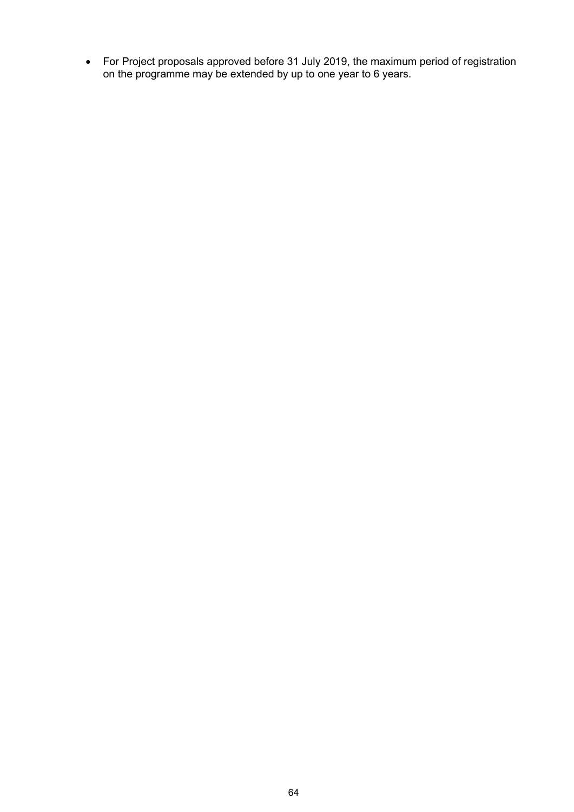• For Project proposals approved before 31 July 2019, the maximum period of registration on the programme may be extended by up to one year to 6 years.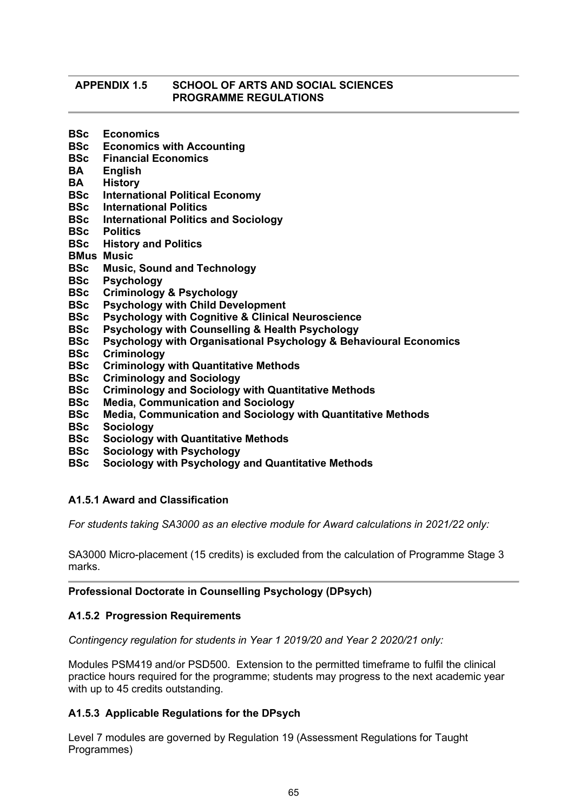#### **APPENDIX 1.5 SCHOOL OF ARTS AND SOCIAL SCIENCES PROGRAMME REGULATIONS**

- **BSc Economics**
- **Economics with Accounting**
- **BSc Financial Economics**
- **BA English**
- **BA History**
- **BSc International Political Economy**
- **BSc International Politics**
- **BSc International Politics and Sociology**
- **BSc Politics**
- **BSc History and Politics**
- **BMus Music**
- **BSc Music, Sound and Technology**
- **BSc Psychology**
- **BSc Criminology & Psychology**
- **BSc Psychology with Child Development**
- **BSc Psychology with Cognitive & Clinical Neuroscience**
- **Psychology with Counselling & Health Psychology**
- **BSc Psychology with Organisational Psychology & Behavioural Economics**
- **BSc Criminology**
- **BSc Criminology with Quantitative Methods**
- **BSc Criminology and Sociology**
- **BSc Criminology and Sociology with Quantitative Methods**
- **BSc Media, Communication and Sociology**
- **BSc Media, Communication and Sociology with Quantitative Methods**
- **BSc Sociology**
- **BSc Sociology with Quantitative Methods**
- **BSc Sociology with Psychology**
- **BSc Sociology with Psychology and Quantitative Methods**

#### **A1.5.1 Award and Classification**

*For students taking SA3000 as an elective module for Award calculations in 2021/22 only:*

SA3000 Micro-placement (15 credits) is excluded from the calculation of Programme Stage 3 marks.

## **Professional Doctorate in Counselling Psychology (DPsych)**

#### **A1.5.2 Progression Requirements**

*Contingency regulation for students in Year 1 2019/20 and Year 2 2020/21 only:*

Modules PSM419 and/or PSD500. Extension to the permitted timeframe to fulfil the clinical practice hours required for the programme; students may progress to the next academic year with up to 45 credits outstanding.

#### **A1.5.3 Applicable Regulations for the DPsych**

Level 7 modules are governed by Regulation 19 (Assessment Regulations for Taught Programmes)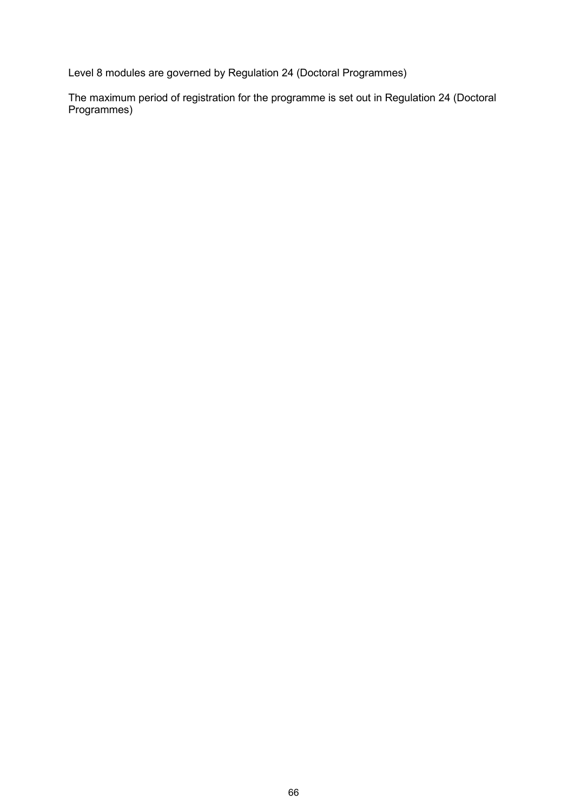Level 8 modules are governed by Regulation 24 (Doctoral Programmes)

The maximum period of registration for the programme is set out in Regulation 24 (Doctoral Programmes)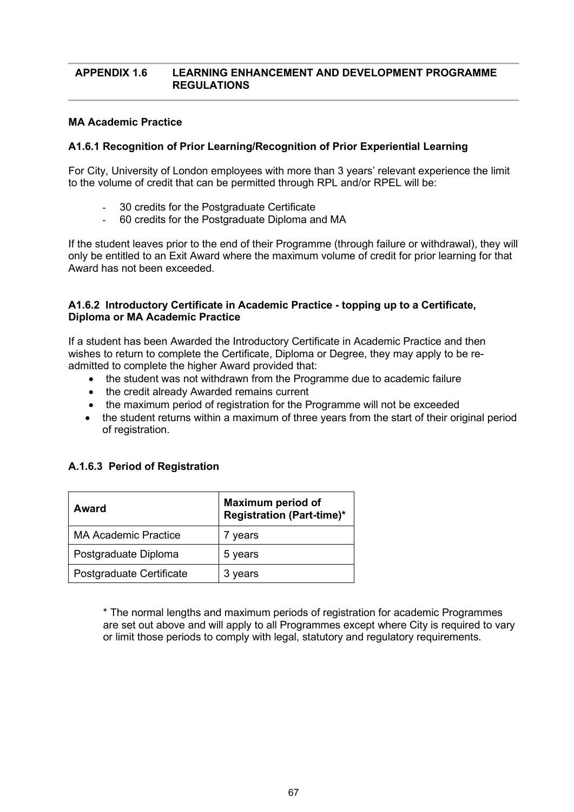#### **APPENDIX 1.6 LEARNING ENHANCEMENT AND DEVELOPMENT PROGRAMME REGULATIONS**

#### **MA Academic Practice**

## **A1.6.1 Recognition of Prior Learning/Recognition of Prior Experiential Learning**

For City, University of London employees with more than 3 years' relevant experience the limit to the volume of credit that can be permitted through RPL and/or RPEL will be:

- 30 credits for the Postgraduate Certificate
- 60 credits for the Postgraduate Diploma and MA

If the student leaves prior to the end of their Programme (through failure or withdrawal), they will only be entitled to an Exit Award where the maximum volume of credit for prior learning for that Award has not been exceeded.

#### **A1.6.2 Introductory Certificate in Academic Practice - topping up to a Certificate, Diploma or MA Academic Practice**

If a student has been Awarded the Introductory Certificate in Academic Practice and then wishes to return to complete the Certificate, Diploma or Degree, they may apply to be readmitted to complete the higher Award provided that:

- the student was not withdrawn from the Programme due to academic failure
- the credit already Awarded remains current
- the maximum period of registration for the Programme will not be exceeded
- the student returns within a maximum of three years from the start of their original period of registration.

| Award                    | <b>Maximum period of</b><br><b>Registration (Part-time)*</b> |
|--------------------------|--------------------------------------------------------------|
| MA Academic Practice     | 7 years                                                      |
| Postgraduate Diploma     | 5 years                                                      |
| Postgraduate Certificate | 3 years                                                      |

\* The normal lengths and maximum periods of registration for academic Programmes are set out above and will apply to all Programmes except where City is required to vary or limit those periods to comply with legal, statutory and regulatory requirements.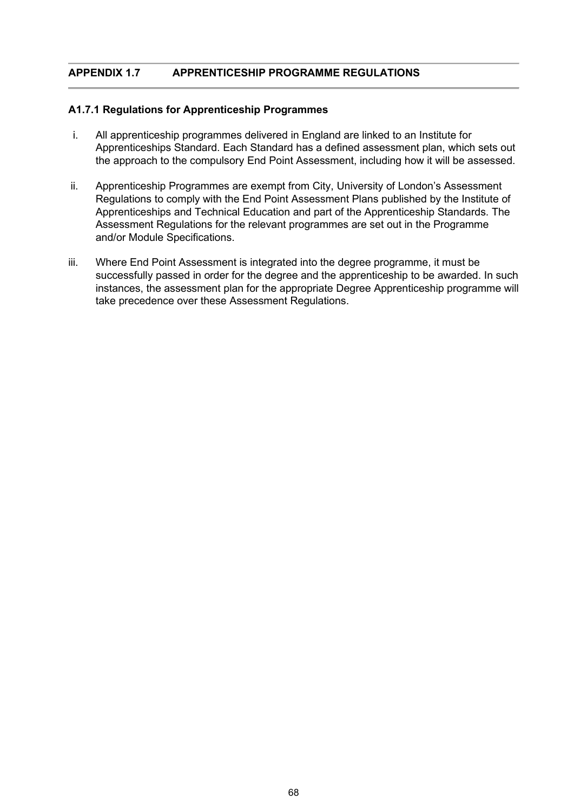## **APPENDIX 1.7 APPRENTICESHIP PROGRAMME REGULATIONS**

#### **A1.7.1 Regulations for Apprenticeship Programmes**

- i. All apprenticeship programmes delivered in England are linked to an Institute for Apprenticeships Standard. Each Standard has a defined assessment plan, which sets out the approach to the compulsory End Point Assessment, including how it will be assessed.
- ii. Apprenticeship Programmes are exempt from City, University of London's Assessment Regulations to comply with the End Point Assessment Plans published by the Institute of Apprenticeships and Technical Education and part of the Apprenticeship Standards. The Assessment Regulations for the relevant programmes are set out in the Programme and/or Module Specifications.
- iii. Where End Point Assessment is integrated into the degree programme, it must be successfully passed in order for the degree and the apprenticeship to be awarded. In such instances, the assessment plan for the appropriate Degree Apprenticeship programme will take precedence over these Assessment Regulations.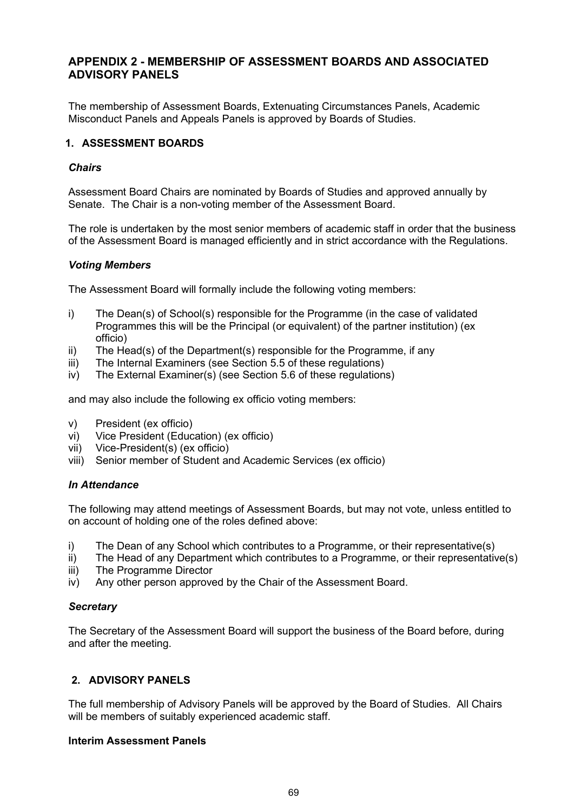# **APPENDIX 2 - MEMBERSHIP OF ASSESSMENT BOARDS AND ASSOCIATED ADVISORY PANELS**

The membership of Assessment Boards, Extenuating Circumstances Panels, Academic Misconduct Panels and Appeals Panels is approved by Boards of Studies.

## **1. ASSESSMENT BOARDS**

#### *Chairs*

Assessment Board Chairs are nominated by Boards of Studies and approved annually by Senate. The Chair is a non-voting member of the Assessment Board.

The role is undertaken by the most senior members of academic staff in order that the business of the Assessment Board is managed efficiently and in strict accordance with the Regulations.

#### *Voting Members*

The Assessment Board will formally include the following voting members:

- i) The Dean(s) of School(s) responsible for the Programme (in the case of validated Programmes this will be the Principal (or equivalent) of the partner institution) (ex officio)
- ii) The Head(s) of the Department(s) responsible for the Programme, if any
- iii) The Internal Examiners (see Section 5.5 of these regulations)
- iv) The External Examiner(s) (see Section 5.6 of these regulations)

and may also include the following ex officio voting members:

- v) President (ex officio)
- vi) Vice President (Education) (ex officio)
- vii) Vice-President(s) (ex officio)
- viii) Senior member of Student and Academic Services (ex officio)

#### *In Attendance*

The following may attend meetings of Assessment Boards, but may not vote, unless entitled to on account of holding one of the roles defined above:

- i) The Dean of any School which contributes to a Programme, or their representative(s)
- ii) The Head of any Department which contributes to a Programme, or their representative(s)
- iii) The Programme Director
- iv) Any other person approved by the Chair of the Assessment Board.

#### *Secretary*

The Secretary of the Assessment Board will support the business of the Board before, during and after the meeting.

# **2. ADVISORY PANELS**

The full membership of Advisory Panels will be approved by the Board of Studies. All Chairs will be members of suitably experienced academic staff.

#### **Interim Assessment Panels**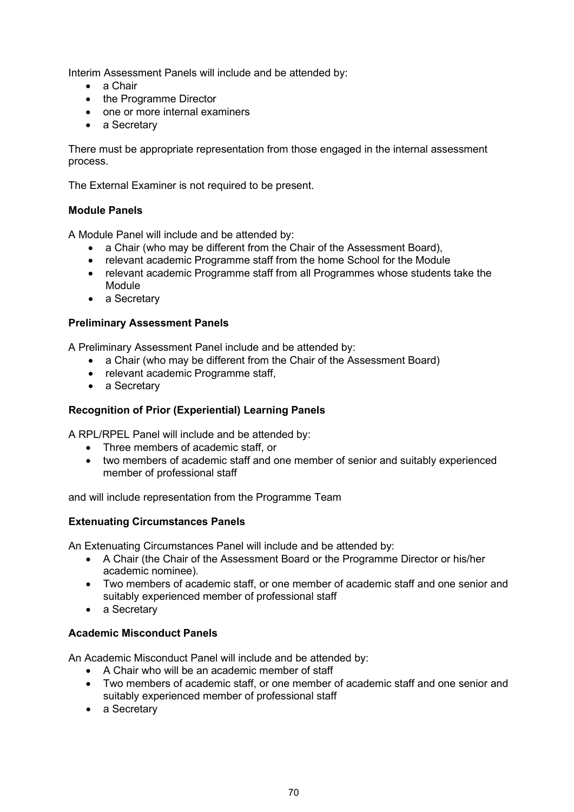Interim Assessment Panels will include and be attended by:

- a Chair
- the Programme Director
- one or more internal examiners
- a Secretary

There must be appropriate representation from those engaged in the internal assessment process.

The External Examiner is not required to be present.

## **Module Panels**

A Module Panel will include and be attended by:

- a Chair (who may be different from the Chair of the Assessment Board),
- relevant academic Programme staff from the home School for the Module
- relevant academic Programme staff from all Programmes whose students take the Module
- a Secretary

#### **Preliminary Assessment Panels**

A Preliminary Assessment Panel include and be attended by:

- a Chair (who may be different from the Chair of the Assessment Board)
- relevant academic Programme staff,
- a Secretary

# **Recognition of Prior (Experiential) Learning Panels**

A RPL/RPEL Panel will include and be attended by:

- Three members of academic staff, or
- two members of academic staff and one member of senior and suitably experienced member of professional staff

and will include representation from the Programme Team

#### **Extenuating Circumstances Panels**

An Extenuating Circumstances Panel will include and be attended by:

- A Chair (the Chair of the Assessment Board or the Programme Director or his/her academic nominee).
- Two members of academic staff, or one member of academic staff and one senior and suitably experienced member of professional staff
- a Secretary

# **Academic Misconduct Panels**

An Academic Misconduct Panel will include and be attended by:

- A Chair who will be an academic member of staff
- Two members of academic staff, or one member of academic staff and one senior and suitably experienced member of professional staff
- a Secretary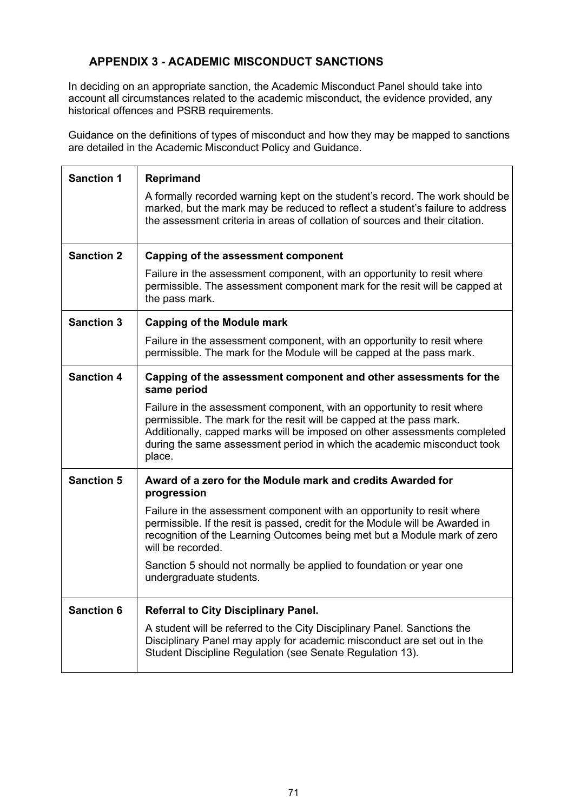# **APPENDIX 3 - ACADEMIC MISCONDUCT SANCTIONS**

In deciding on an appropriate sanction, the Academic Misconduct Panel should take into account all circumstances related to the academic misconduct, the evidence provided, any historical offences and PSRB requirements.

Guidance on the definitions of types of misconduct and how they may be mapped to sanctions are detailed in the Academic Misconduct Policy and Guidance.

| <b>Sanction 1</b> | <b>Reprimand</b>                                                                                                                                                                                                                                                                                                  |
|-------------------|-------------------------------------------------------------------------------------------------------------------------------------------------------------------------------------------------------------------------------------------------------------------------------------------------------------------|
|                   | A formally recorded warning kept on the student's record. The work should be<br>marked, but the mark may be reduced to reflect a student's failure to address<br>the assessment criteria in areas of collation of sources and their citation.                                                                     |
| <b>Sanction 2</b> | Capping of the assessment component                                                                                                                                                                                                                                                                               |
|                   | Failure in the assessment component, with an opportunity to resit where<br>permissible. The assessment component mark for the resit will be capped at<br>the pass mark.                                                                                                                                           |
| <b>Sanction 3</b> | <b>Capping of the Module mark</b>                                                                                                                                                                                                                                                                                 |
|                   | Failure in the assessment component, with an opportunity to resit where<br>permissible. The mark for the Module will be capped at the pass mark.                                                                                                                                                                  |
| <b>Sanction 4</b> | Capping of the assessment component and other assessments for the<br>same period                                                                                                                                                                                                                                  |
|                   | Failure in the assessment component, with an opportunity to resit where<br>permissible. The mark for the resit will be capped at the pass mark.<br>Additionally, capped marks will be imposed on other assessments completed<br>during the same assessment period in which the academic misconduct took<br>place. |
| <b>Sanction 5</b> | Award of a zero for the Module mark and credits Awarded for<br>progression                                                                                                                                                                                                                                        |
|                   | Failure in the assessment component with an opportunity to resit where<br>permissible. If the resit is passed, credit for the Module will be Awarded in<br>recognition of the Learning Outcomes being met but a Module mark of zero<br>will be recorded.                                                          |
|                   | Sanction 5 should not normally be applied to foundation or year one<br>undergraduate students.                                                                                                                                                                                                                    |
| <b>Sanction 6</b> | <b>Referral to City Disciplinary Panel.</b>                                                                                                                                                                                                                                                                       |
|                   | A student will be referred to the City Disciplinary Panel. Sanctions the<br>Disciplinary Panel may apply for academic misconduct are set out in the<br>Student Discipline Regulation (see Senate Regulation 13).                                                                                                  |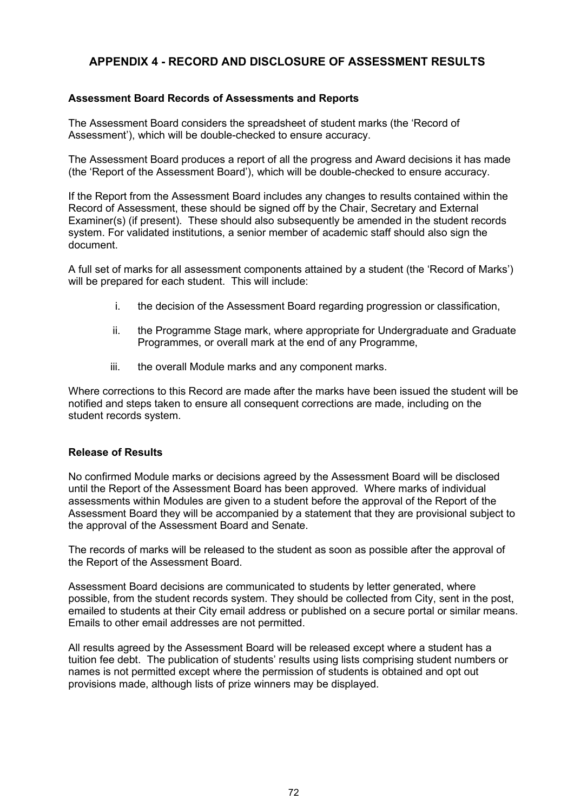# **APPENDIX 4 - RECORD AND DISCLOSURE OF ASSESSMENT RESULTS**

## **Assessment Board Records of Assessments and Reports**

The Assessment Board considers the spreadsheet of student marks (the 'Record of Assessment'), which will be double-checked to ensure accuracy.

The Assessment Board produces a report of all the progress and Award decisions it has made (the 'Report of the Assessment Board'), which will be double-checked to ensure accuracy.

If the Report from the Assessment Board includes any changes to results contained within the Record of Assessment, these should be signed off by the Chair, Secretary and External Examiner(s) (if present). These should also subsequently be amended in the student records system. For validated institutions, a senior member of academic staff should also sign the document.

A full set of marks for all assessment components attained by a student (the 'Record of Marks') will be prepared for each student. This will include:

- i. the decision of the Assessment Board regarding progression or classification,
- ii. the Programme Stage mark, where appropriate for Undergraduate and Graduate Programmes, or overall mark at the end of any Programme,
- iii. the overall Module marks and any component marks.

Where corrections to this Record are made after the marks have been issued the student will be notified and steps taken to ensure all consequent corrections are made, including on the student records system.

#### **Release of Results**

No confirmed Module marks or decisions agreed by the Assessment Board will be disclosed until the Report of the Assessment Board has been approved. Where marks of individual assessments within Modules are given to a student before the approval of the Report of the Assessment Board they will be accompanied by a statement that they are provisional subject to the approval of the Assessment Board and Senate.

The records of marks will be released to the student as soon as possible after the approval of the Report of the Assessment Board.

Assessment Board decisions are communicated to students by letter generated, where possible, from the student records system. They should be collected from City, sent in the post, emailed to students at their City email address or published on a secure portal or similar means. Emails to other email addresses are not permitted.

All results agreed by the Assessment Board will be released except where a student has a tuition fee debt. The publication of students' results using lists comprising student numbers or names is not permitted except where the permission of students is obtained and opt out provisions made, although lists of prize winners may be displayed.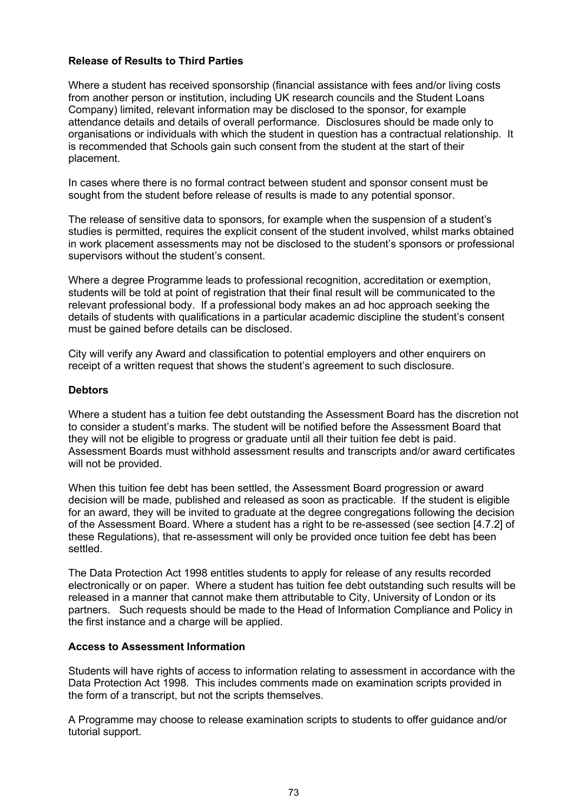# **Release of Results to Third Parties**

Where a student has received sponsorship (financial assistance with fees and/or living costs from another person or institution, including UK research councils and the Student Loans Company) limited, relevant information may be disclosed to the sponsor, for example attendance details and details of overall performance. Disclosures should be made only to organisations or individuals with which the student in question has a contractual relationship. It is recommended that Schools gain such consent from the student at the start of their placement.

In cases where there is no formal contract between student and sponsor consent must be sought from the student before release of results is made to any potential sponsor.

The release of sensitive data to sponsors, for example when the suspension of a student's studies is permitted, requires the explicit consent of the student involved, whilst marks obtained in work placement assessments may not be disclosed to the student's sponsors or professional supervisors without the student's consent.

Where a degree Programme leads to professional recognition, accreditation or exemption, students will be told at point of registration that their final result will be communicated to the relevant professional body. If a professional body makes an ad hoc approach seeking the details of students with qualifications in a particular academic discipline the student's consent must be gained before details can be disclosed.

City will verify any Award and classification to potential employers and other enquirers on receipt of a written request that shows the student's agreement to such disclosure.

#### **Debtors**

Where a student has a tuition fee debt outstanding the Assessment Board has the discretion not to consider a student's marks. The student will be notified before the Assessment Board that they will not be eligible to progress or graduate until all their tuition fee debt is paid. Assessment Boards must withhold assessment results and transcripts and/or award certificates will not be provided.

When this tuition fee debt has been settled, the Assessment Board progression or award decision will be made, published and released as soon as practicable. If the student is eligible for an award, they will be invited to graduate at the degree congregations following the decision of the Assessment Board. Where a student has a right to be re-assessed (see section [4.7.2] of these Regulations), that re-assessment will only be provided once tuition fee debt has been settled.

The Data Protection Act 1998 entitles students to apply for release of any results recorded electronically or on paper. Where a student has tuition fee debt outstanding such results will be released in a manner that cannot make them attributable to City, University of London or its partners. Such requests should be made to the Head of Information Compliance and Policy in the first instance and a charge will be applied.

# **Access to Assessment Information**

Students will have rights of access to information relating to assessment in accordance with the Data Protection Act 1998. This includes comments made on examination scripts provided in the form of a transcript, but not the scripts themselves.

A Programme may choose to release examination scripts to students to offer guidance and/or tutorial support.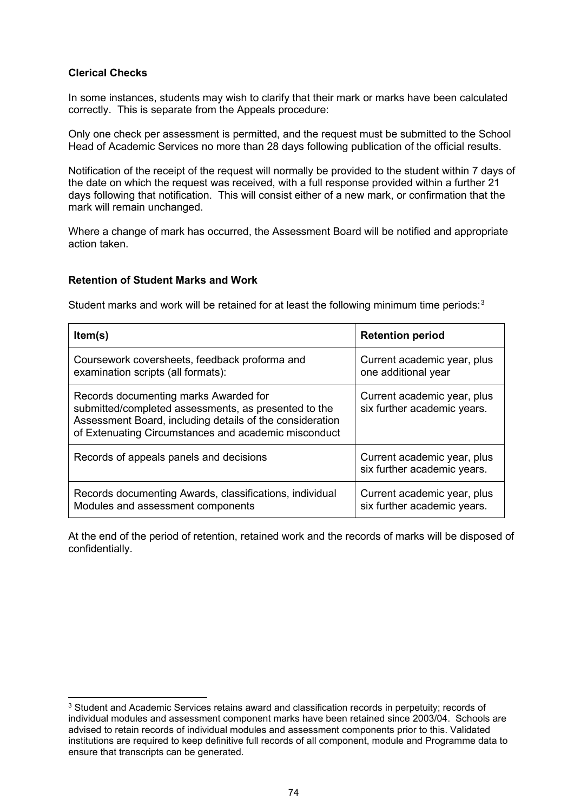# **Clerical Checks**

In some instances, students may wish to clarify that their mark or marks have been calculated correctly. This is separate from the Appeals procedure:

Only one check per assessment is permitted, and the request must be submitted to the School Head of Academic Services no more than 28 days following publication of the official results.

Notification of the receipt of the request will normally be provided to the student within 7 days of the date on which the request was received, with a full response provided within a further 21 days following that notification. This will consist either of a new mark, or confirmation that the mark will remain unchanged.

Where a change of mark has occurred, the Assessment Board will be notified and appropriate action taken.

# **Retention of Student Marks and Work**

Student marks and work will be retained for at least the following minimum time periods: $3$ 

| Item(s)                                                                                                                                                                                                           | <b>Retention period</b>                                    |
|-------------------------------------------------------------------------------------------------------------------------------------------------------------------------------------------------------------------|------------------------------------------------------------|
| Coursework coversheets, feedback proforma and<br>examination scripts (all formats):                                                                                                                               | Current academic year, plus<br>one additional year         |
| Records documenting marks Awarded for<br>submitted/completed assessments, as presented to the<br>Assessment Board, including details of the consideration<br>of Extenuating Circumstances and academic misconduct | Current academic year, plus<br>six further academic years. |
| Records of appeals panels and decisions                                                                                                                                                                           | Current academic year, plus<br>six further academic years. |
| Records documenting Awards, classifications, individual<br>Modules and assessment components                                                                                                                      | Current academic year, plus<br>six further academic years. |

At the end of the period of retention, retained work and the records of marks will be disposed of confidentially.

<span id="page-73-0"></span><sup>3</sup> Student and Academic Services retains award and classification records in perpetuity; records of individual modules and assessment component marks have been retained since 2003/04. Schools are advised to retain records of individual modules and assessment components prior to this. Validated institutions are required to keep definitive full records of all component, module and Programme data to ensure that transcripts can be generated.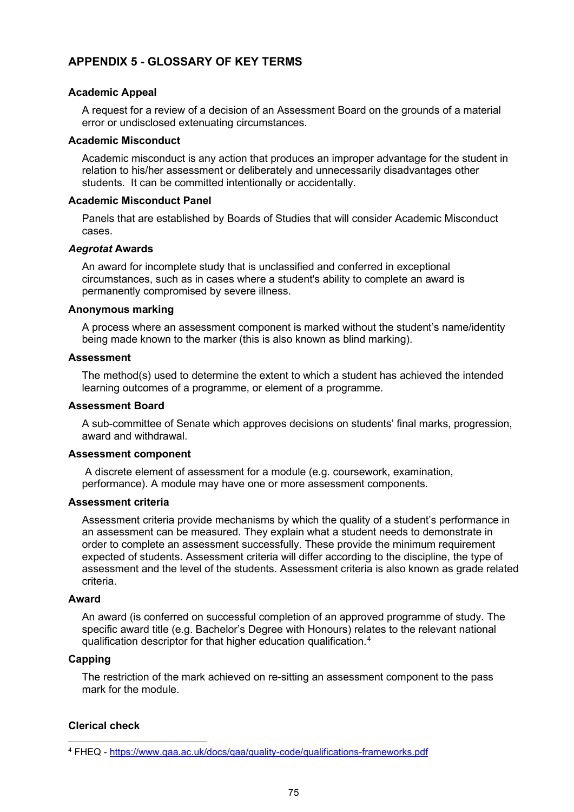# **APPENDIX 5 - GLOSSARY OF KEY TERMS**

# **Academic Appeal**

A request for a review of a decision of an Assessment Board on the grounds of a material error or undisclosed extenuating circumstances.

#### **Academic Misconduct**

Academic misconduct is any action that produces an improper advantage for the student in relation to his/her assessment or deliberately and unnecessarily disadvantages other students. It can be committed intentionally or accidentally.

### **Academic Misconduct Panel**

Panels that are established by Boards of Studies that will consider Academic Misconduct cases.

### *Aegrotat* **Awards**

An award for incomplete study that is unclassified and conferred in exceptional circumstances, such as in cases where a student's ability to complete an award is permanently compromised by severe illness.

#### **Anonymous marking**

A process where an assessment component is marked without the student's name/identity being made known to the marker (this is also known as blind marking).

### **Assessment**

The method(s) used to determine the extent to which a student has achieved the intended learning outcomes of a programme, or element of a programme.

### **Assessment Board**

A sub-committee of Senate which approves decisions on students' final marks, progression, award and withdrawal.

#### **Assessment component**

A discrete element of assessment for a module (e.g. coursework, examination, performance). A module may have one or more assessment components.

#### **Assessment criteria**

Assessment criteria provide mechanisms by which the quality of a student's performance in an assessment can be measured. They explain what a student needs to demonstrate in order to complete an assessment successfully. These provide the minimum requirement expected of students. Assessment criteria will differ according to the discipline, the type of assessment and the level of the students. Assessment criteria is also known as grade related criteria.

#### **Award**

An award (is conferred on successful completion of an approved programme of study. The specific award title (e.g. Bachelor's Degree with Honours) relates to the relevant national qualification descriptor for that higher education qualification.[4](#page-74-0)

#### **Capping**

The restriction of the mark achieved on re-sitting an assessment component to the pass mark for the module.

# **Clerical check**

<span id="page-74-0"></span><sup>4</sup> FHEQ - <https://www.qaa.ac.uk/docs/qaa/quality-code/qualifications-frameworks.pdf>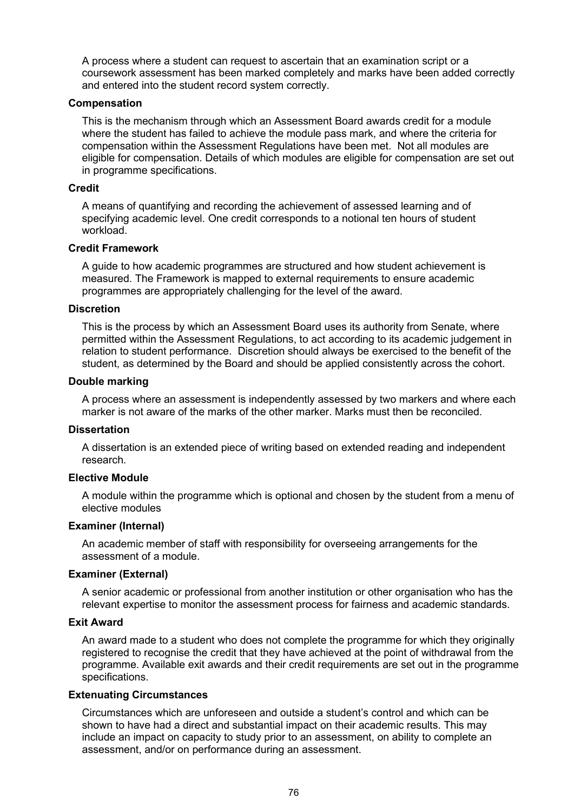A process where a student can request to ascertain that an examination script or a coursework assessment has been marked completely and marks have been added correctly and entered into the student record system correctly.

#### **Compensation**

This is the mechanism through which an Assessment Board awards credit for a module where the student has failed to achieve the module pass mark, and where the criteria for compensation within the Assessment Regulations have been met. Not all modules are eligible for compensation. Details of which modules are eligible for compensation are set out in programme specifications.

#### **Credit**

A means of quantifying and recording the achievement of assessed learning and of specifying academic level. One credit corresponds to a notional ten hours of student workload.

### **Credit Framework**

A guide to how academic programmes are structured and how student achievement is measured. The Framework is mapped to external requirements to ensure academic programmes are appropriately challenging for the level of the award.

#### **Discretion**

This is the process by which an Assessment Board uses its authority from Senate, where permitted within the Assessment Regulations, to act according to its academic judgement in relation to student performance. Discretion should always be exercised to the benefit of the student, as determined by the Board and should be applied consistently across the cohort.

#### **Double marking**

A process where an assessment is independently assessed by two markers and where each marker is not aware of the marks of the other marker. Marks must then be reconciled.

#### **Dissertation**

A dissertation is an extended piece of writing based on extended reading and independent research.

### **Elective Module**

A module within the programme which is optional and chosen by the student from a menu of elective modules

#### **Examiner (Internal)**

An academic member of staff with responsibility for overseeing arrangements for the assessment of a module.

#### **Examiner (External)**

A senior academic or professional from another institution or other organisation who has the relevant expertise to monitor the assessment process for fairness and academic standards.

#### **Exit Award**

An award made to a student who does not complete the programme for which they originally registered to recognise the credit that they have achieved at the point of withdrawal from the programme. Available exit awards and their credit requirements are set out in the programme specifications.

### **Extenuating Circumstances**

Circumstances which are unforeseen and outside a student's control and which can be shown to have had a direct and substantial impact on their academic results. This may include an impact on capacity to study prior to an assessment, on ability to complete an assessment, and/or on performance during an assessment.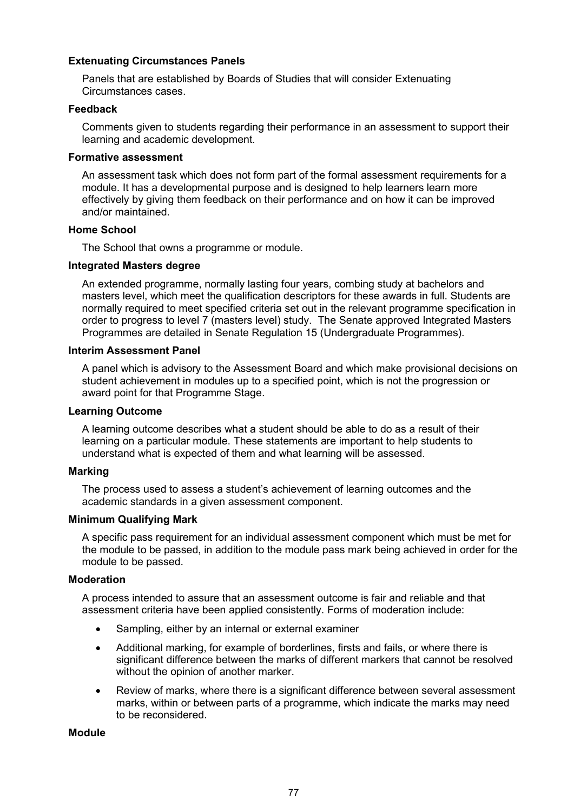# **Extenuating Circumstances Panels**

Panels that are established by Boards of Studies that will consider Extenuating Circumstances cases.

### **Feedback**

Comments given to students regarding their performance in an assessment to support their learning and academic development.

### **Formative assessment**

An assessment task which does not form part of the formal assessment requirements for a module. It has a developmental purpose and is designed to help learners learn more effectively by giving them feedback on their performance and on how it can be improved and/or maintained.

### **Home School**

The School that owns a programme or module.

### **Integrated Masters degree**

An extended programme, normally lasting four years, combing study at bachelors and masters level, which meet the qualification descriptors for these awards in full. Students are normally required to meet specified criteria set out in the relevant programme specification in order to progress to level 7 (masters level) study. The Senate approved Integrated Masters Programmes are detailed in Senate Regulation 15 (Undergraduate Programmes).

### **Interim Assessment Panel**

A panel which is advisory to the Assessment Board and which make provisional decisions on student achievement in modules up to a specified point, which is not the progression or award point for that Programme Stage.

### **Learning Outcome**

A learning outcome describes what a student should be able to do as a result of their learning on a particular module. These statements are important to help students to understand what is expected of them and what learning will be assessed.

### **Marking**

The process used to assess a student's achievement of learning outcomes and the academic standards in a given assessment component.

#### **Minimum Qualifying Mark**

A specific pass requirement for an individual assessment component which must be met for the module to be passed, in addition to the module pass mark being achieved in order for the module to be passed.

#### **Moderation**

A process intended to assure that an assessment outcome is fair and reliable and that assessment criteria have been applied consistently. Forms of moderation include:

- Sampling, either by an internal or external examiner
- Additional marking, for example of borderlines, firsts and fails, or where there is significant difference between the marks of different markers that cannot be resolved without the opinion of another marker.
- Review of marks, where there is a significant difference between several assessment marks, within or between parts of a programme, which indicate the marks may need to be reconsidered.

#### **Module**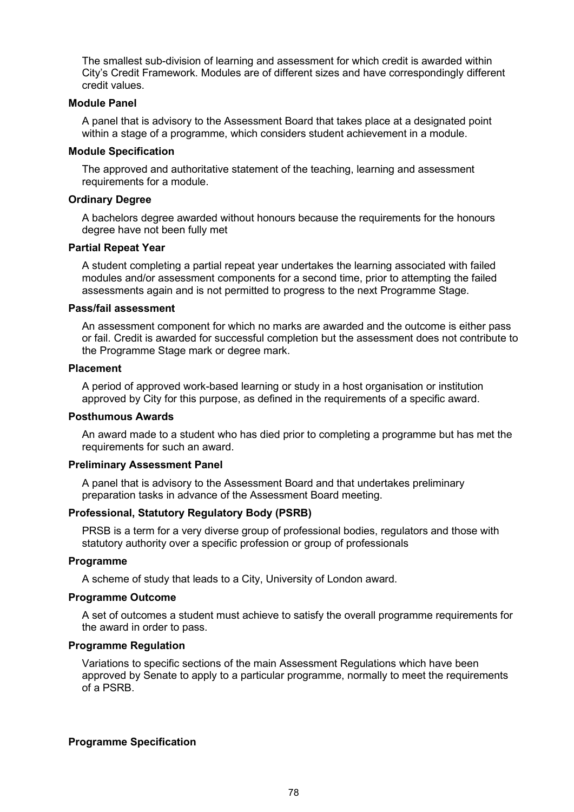The smallest sub-division of learning and assessment for which credit is awarded within City's Credit Framework. Modules are of different sizes and have correspondingly different credit values.

### **Module Panel**

A panel that is advisory to the Assessment Board that takes place at a designated point within a stage of a programme, which considers student achievement in a module.

#### **Module Specification**

The approved and authoritative statement of the teaching, learning and assessment requirements for a module.

#### **Ordinary Degree**

A bachelors degree awarded without honours because the requirements for the honours degree have not been fully met

## **Partial Repeat Year**

A student completing a partial repeat year undertakes the learning associated with failed modules and/or assessment components for a second time, prior to attempting the failed assessments again and is not permitted to progress to the next Programme Stage.

### **Pass/fail assessment**

An assessment component for which no marks are awarded and the outcome is either pass or fail. Credit is awarded for successful completion but the assessment does not contribute to the Programme Stage mark or degree mark.

#### **Placement**

A period of approved work-based learning or study in a host organisation or institution approved by City for this purpose, as defined in the requirements of a specific award.

# **Posthumous Awards**

An award made to a student who has died prior to completing a programme but has met the requirements for such an award.

#### **Preliminary Assessment Panel**

A panel that is advisory to the Assessment Board and that undertakes preliminary preparation tasks in advance of the Assessment Board meeting.

### **Professional, Statutory Regulatory Body (PSRB)**

PRSB is a term for a very diverse group of professional bodies, regulators and those with statutory authority over a specific profession or group of professionals

#### **Programme**

A scheme of study that leads to a City, University of London award.

#### **Programme Outcome**

A set of outcomes a student must achieve to satisfy the overall programme requirements for the award in order to pass.

### **Programme Regulation**

Variations to specific sections of the main Assessment Regulations which have been approved by Senate to apply to a particular programme, normally to meet the requirements of a PSRB.

#### **Programme Specification**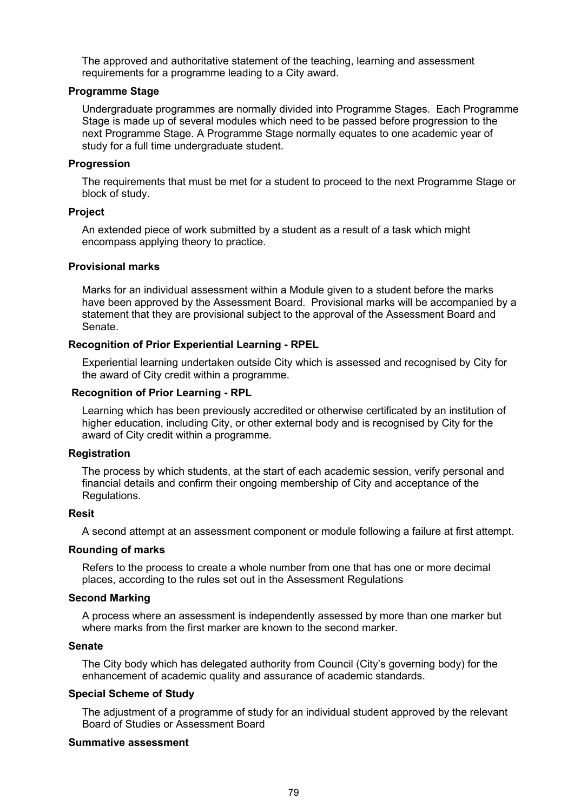The approved and authoritative statement of the teaching, learning and assessment requirements for a programme leading to a City award.

### **Programme Stage**

Undergraduate programmes are normally divided into Programme Stages. Each Programme Stage is made up of several modules which need to be passed before progression to the next Programme Stage. A Programme Stage normally equates to one academic year of study for a full time undergraduate student.

### **Progression**

The requirements that must be met for a student to proceed to the next Programme Stage or block of study.

### **Project**

An extended piece of work submitted by a student as a result of a task which might encompass applying theory to practice.

### **Provisional marks**

Marks for an individual assessment within a Module given to a student before the marks have been approved by the Assessment Board. Provisional marks will be accompanied by a statement that they are provisional subject to the approval of the Assessment Board and Senate.

# **Recognition of Prior Experiential Learning - RPEL**

Experiential learning undertaken outside City which is assessed and recognised by City for the award of City credit within a programme.

### **Recognition of Prior Learning - RPL**

Learning which has been previously accredited or otherwise certificated by an institution of higher education, including City, or other external body and is recognised by City for the award of City credit within a programme.

#### **Registration**

The process by which students, at the start of each academic session, verify personal and financial details and confirm their ongoing membership of City and acceptance of the Regulations.

#### **Resit**

A second attempt at an assessment component or module following a failure at first attempt.

#### **Rounding of marks**

Refers to the process to create a whole number from one that has one or more decimal places, according to the rules set out in the Assessment Regulations

## **Second Marking**

A process where an assessment is independently assessed by more than one marker but where marks from the first marker are known to the second marker.

#### **Senate**

The City body which has delegated authority from Council (City's governing body) for the enhancement of academic quality and assurance of academic standards.

# **Special Scheme of Study**

The adjustment of a programme of study for an individual student approved by the relevant Board of Studies or Assessment Board

### **Summative assessment**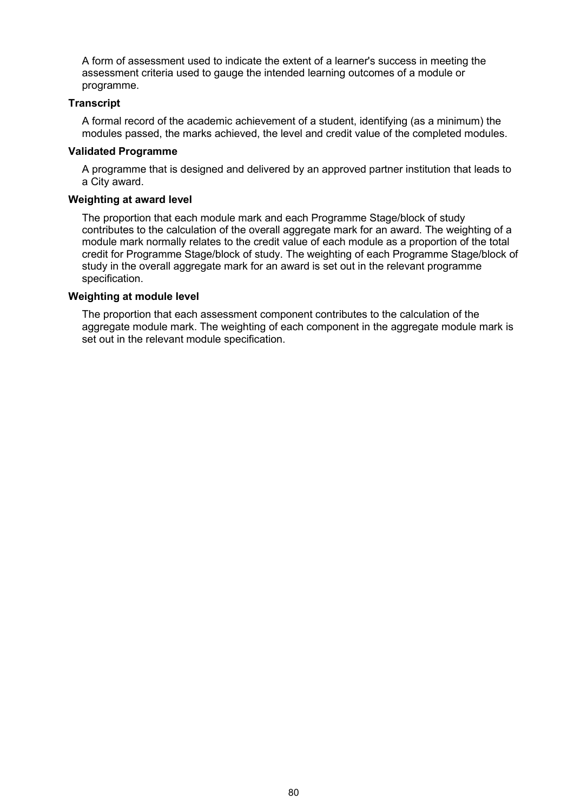A form of assessment used to indicate the extent of a learner's success in meeting the assessment criteria used to gauge the intended learning outcomes of a module or programme.

## **Transcript**

A formal record of the academic achievement of a student, identifying (as a minimum) the modules passed, the marks achieved, the level and credit value of the completed modules.

### **Validated Programme**

A programme that is designed and delivered by an approved partner institution that leads to a City award.

# **Weighting at award level**

The proportion that each module mark and each Programme Stage/block of study contributes to the calculation of the overall aggregate mark for an award. The weighting of a module mark normally relates to the credit value of each module as a proportion of the total credit for Programme Stage/block of study. The weighting of each Programme Stage/block of study in the overall aggregate mark for an award is set out in the relevant programme specification.

## **Weighting at module level**

The proportion that each assessment component contributes to the calculation of the aggregate module mark. The weighting of each component in the aggregate module mark is set out in the relevant module specification.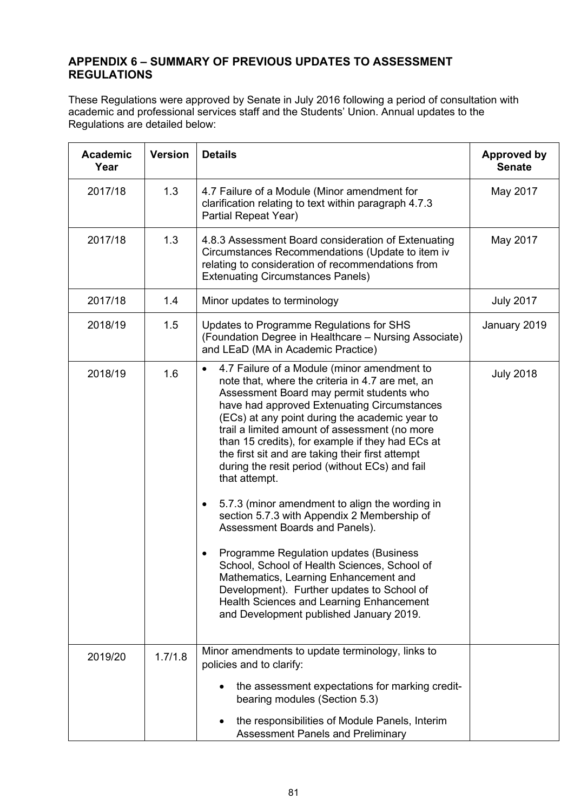# **APPENDIX 6 – SUMMARY OF PREVIOUS UPDATES TO ASSESSMENT REGULATIONS**

These Regulations were approved by Senate in July 2016 following a period of consultation with academic and professional services staff and the Students' Union. Annual updates to the Regulations are detailed below:

| <b>Academic</b><br>Year | <b>Version</b> | <b>Details</b>                                                                                                                                                                                                                                                                                                                                                                                                                                                                                                                                                                                                                                                                                                                                                                                                                                                                                        | <b>Approved by</b><br><b>Senate</b> |
|-------------------------|----------------|-------------------------------------------------------------------------------------------------------------------------------------------------------------------------------------------------------------------------------------------------------------------------------------------------------------------------------------------------------------------------------------------------------------------------------------------------------------------------------------------------------------------------------------------------------------------------------------------------------------------------------------------------------------------------------------------------------------------------------------------------------------------------------------------------------------------------------------------------------------------------------------------------------|-------------------------------------|
| 2017/18                 | 1.3            | 4.7 Failure of a Module (Minor amendment for<br>clarification relating to text within paragraph 4.7.3<br>Partial Repeat Year)                                                                                                                                                                                                                                                                                                                                                                                                                                                                                                                                                                                                                                                                                                                                                                         | May 2017                            |
| 2017/18                 | 1.3            | 4.8.3 Assessment Board consideration of Extenuating<br>Circumstances Recommendations (Update to item iv<br>relating to consideration of recommendations from<br><b>Extenuating Circumstances Panels)</b>                                                                                                                                                                                                                                                                                                                                                                                                                                                                                                                                                                                                                                                                                              | May 2017                            |
| 2017/18                 | 1.4            | Minor updates to terminology                                                                                                                                                                                                                                                                                                                                                                                                                                                                                                                                                                                                                                                                                                                                                                                                                                                                          | <b>July 2017</b>                    |
| 2018/19                 | 1.5            | Updates to Programme Regulations for SHS<br>(Foundation Degree in Healthcare - Nursing Associate)<br>and LEaD (MA in Academic Practice)                                                                                                                                                                                                                                                                                                                                                                                                                                                                                                                                                                                                                                                                                                                                                               | January 2019                        |
| 2018/19                 | 1.6            | 4.7 Failure of a Module (minor amendment to<br>$\bullet$<br>note that, where the criteria in 4.7 are met, an<br>Assessment Board may permit students who<br>have had approved Extenuating Circumstances<br>(ECs) at any point during the academic year to<br>trail a limited amount of assessment (no more<br>than 15 credits), for example if they had ECs at<br>the first sit and are taking their first attempt<br>during the resit period (without ECs) and fail<br>that attempt.<br>5.7.3 (minor amendment to align the wording in<br>٠<br>section 5.7.3 with Appendix 2 Membership of<br>Assessment Boards and Panels).<br>Programme Regulation updates (Business<br>School, School of Health Sciences, School of<br>Mathematics, Learning Enhancement and<br>Development). Further updates to School of<br>Health Sciences and Learning Enhancement<br>and Development published January 2019. | <b>July 2018</b>                    |
| 2019/20                 | 1.7/1.8        | Minor amendments to update terminology, links to<br>policies and to clarify:<br>the assessment expectations for marking credit-<br>bearing modules (Section 5.3)<br>the responsibilities of Module Panels, Interim<br><b>Assessment Panels and Preliminary</b>                                                                                                                                                                                                                                                                                                                                                                                                                                                                                                                                                                                                                                        |                                     |